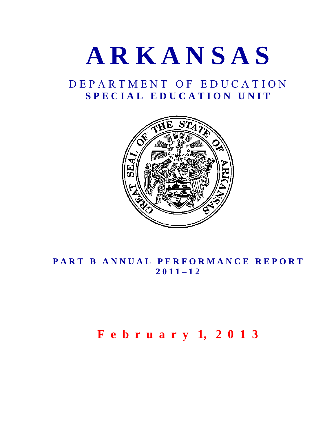

# D E P A R T M E N T O F E D U C A T I O N S P E C I A L E D U C A T I O N U N I T



# PART B ANNUAL PERFORMANCE REPORT **2 0 1 1 – 1 2**

# **F e b r u a r y 1, 2 0 1 3**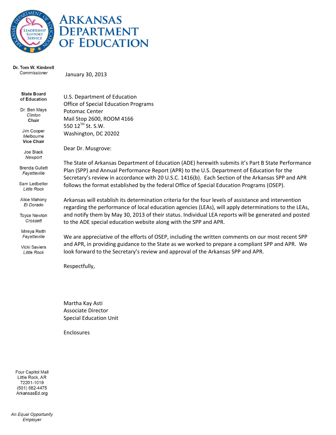



#### Dr. Tom W. Kimbrell Commissioner

January 30, 2013

| <b>State Board</b><br>of Education           | U.S. Department of Education<br><b>Office of Special Education Programs</b>                                                                                                                                                                                                                           |
|----------------------------------------------|-------------------------------------------------------------------------------------------------------------------------------------------------------------------------------------------------------------------------------------------------------------------------------------------------------|
| Dr. Ben Mays<br>Clinton<br>Chair             | Potomac Center<br>Mail Stop 2600, ROOM 4166                                                                                                                                                                                                                                                           |
| Jim Cooper<br>Melbourne<br><b>Vice Chair</b> | 550 12 <sup>TH</sup> St. S.W.<br>Washington, DC 20202                                                                                                                                                                                                                                                 |
| Joe Black<br>Newport                         | Dear Dr. Musgrove:                                                                                                                                                                                                                                                                                    |
| <b>Brenda Gullett</b><br>Fayetteville        | The State of Arkansas Department of Education (ADE) herewith submits it's Part B State Performance<br>Plan (SPP) and Annual Performance Report (APR) to the U.S. Department of Education for the<br>Secretary's review in accordance with 20 U.S.C. 1416(b). Each Section of the Arkansas SPP and APR |
| Sam Ledbetter<br><b>Little Rock</b>          | follows the format established by the federal Office of Special Education Programs (OSEP).                                                                                                                                                                                                            |
| Alice Mahony<br>El Dorado                    | Arkansas will establish its determination criteria for the four levels of assistance and intervention<br>regarding the performance of local education agencies (LEAs), will apply determinations to the LEAs,                                                                                         |
| <b>Toyce Newton</b><br>Crossett              | and notify them by May 30, 2013 of their status. Individual LEA reports will be generated and posted<br>to the ADE special education website along with the SPP and APR.                                                                                                                              |
| Mireya Reith<br>Fayetteville                 | We are appreciative of the efforts of OSEP, including the written comments on our most recent SPP                                                                                                                                                                                                     |
| <b>Vicki Saviers</b><br><b>Little Rock</b>   | and APR, in providing guidance to the State as we worked to prepare a compliant SPP and APR. We<br>look forward to the Secretary's review and approval of the Arkansas SPP and APR.                                                                                                                   |
|                                              | Respectfully,                                                                                                                                                                                                                                                                                         |

Martha Kay Asti Associate Director Special Education Unit

Enclosures

Four Capitol Mall Little Rock, AR 72201-1019 (501) 682-4475 ArkansasEd.org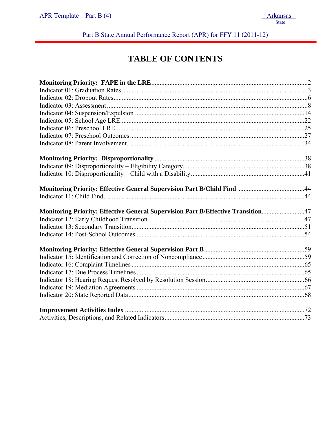Part B State Annual Performance Report (APR) for FFY 11 (2011-12)

# **TABLE OF CONTENTS**

| Monitoring Priority: Effective General Supervision Part B/Child Find 44          |  |
|----------------------------------------------------------------------------------|--|
|                                                                                  |  |
| Monitoring Priority: Effective General Supervision Part B/Effective Transition47 |  |
|                                                                                  |  |
|                                                                                  |  |
|                                                                                  |  |
|                                                                                  |  |
|                                                                                  |  |
|                                                                                  |  |
|                                                                                  |  |
|                                                                                  |  |
|                                                                                  |  |
|                                                                                  |  |
|                                                                                  |  |
|                                                                                  |  |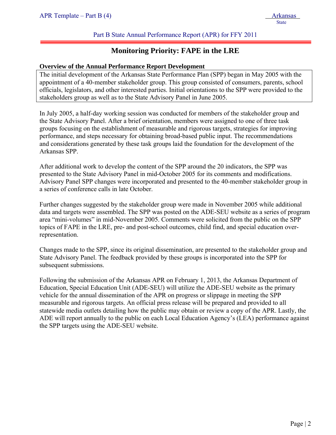# Part B State Annual Performance Report (APR) for FFY 2011

# **Monitoring Priority: FAPE in the LRE**

#### **Overview of the Annual Performance Report Development**

The initial development of the Arkansas State Performance Plan (SPP) began in May 2005 with the appointment of a 40-member stakeholder group. This group consisted of consumers, parents, school officials, legislators, and other interested parties. Initial orientations to the SPP were provided to the stakeholders group as well as to the State Advisory Panel in June 2005.

In July 2005, a half-day working session was conducted for members of the stakeholder group and the State Advisory Panel. After a brief orientation, members were assigned to one of three task groups focusing on the establishment of measurable and rigorous targets, strategies for improving performance, and steps necessary for obtaining broad-based public input. The recommendations and considerations generated by these task groups laid the foundation for the development of the Arkansas SPP.

After additional work to develop the content of the SPP around the 20 indicators, the SPP was presented to the State Advisory Panel in mid-October 2005 for its comments and modifications. Advisory Panel SPP changes were incorporated and presented to the 40-member stakeholder group in a series of conference calls in late October.

Further changes suggested by the stakeholder group were made in November 2005 while additional data and targets were assembled. The SPP was posted on the ADE-SEU website as a series of program area "mini-volumes" in mid-November 2005. Comments were solicited from the public on the SPP topics of FAPE in the LRE, pre- and post-school outcomes, child find, and special education overrepresentation.

Changes made to the SPP, since its original dissemination, are presented to the stakeholder group and State Advisory Panel. The feedback provided by these groups is incorporated into the SPP for subsequent submissions.

Following the submission of the Arkansas APR on February 1, 2013, the Arkansas Department of Education, Special Education Unit (ADE-SEU) will utilize the ADE-SEU website as the primary vehicle for the annual dissemination of the APR on progress or slippage in meeting the SPP measurable and rigorous targets. An official press release will be prepared and provided to all statewide media outlets detailing how the public may obtain or review a copy of the APR. Lastly, the ADE will report annually to the public on each Local Education Agency's (LEA) performance against the SPP targets using the ADE-SEU website.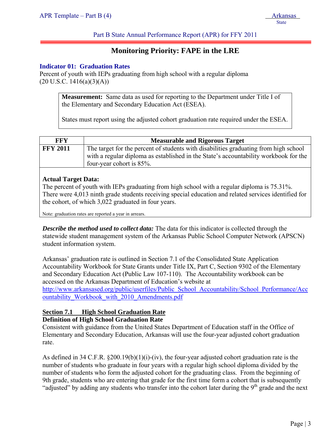Part B State Annual Performance Report (APR) for FFY 2011

# **Monitoring Priority: FAPE in the LRE**

#### **Indicator 01: Graduation Rates**

Percent of youth with IEPs graduating from high school with a regular diploma  $(20 \text{ U.S.C. } 1416(a)(3)(A))$ 

> **Measurement:** Same data as used for reporting to the Department under Title I of the Elementary and Secondary Education Act (ESEA).

States must report using the adjusted cohort graduation rate required under the ESEA.

| FFY             | <b>Measurable and Rigorous Target</b>                                                                                                                                                                    |
|-----------------|----------------------------------------------------------------------------------------------------------------------------------------------------------------------------------------------------------|
| <b>FFY 2011</b> | The target for the percent of students with disabilities graduating from high school<br>with a regular diploma as established in the State's accountability workbook for the<br>four-year cohort is 85%. |

# **Actual Target Data:**

The percent of youth with IEPs graduating from high school with a regular diploma is 75.31%. There were 4,013 ninth grade students receiving special education and related services identified for the cohort, of which 3,022 graduated in four years.

Note: graduation rates are reported a year in arrears.

*Describe the method used to collect data:* The data for this indicator is collected through the statewide student management system of the Arkansas Public School Computer Network (APSCN) student information system.

Arkansas' graduation rate is outlined in Section 7.1 of the Consolidated State Application Accountability Workbook for State Grants under Title IX, Part C, Section 9302 of the Elementary and Secondary Education Act (Public Law 107-110). The Accountability workbook can be accessed on the Arkansas Department of Education's website at http://www.arkansased.org/public/userfiles/Public\_School\_Accountability/School\_Performance/Acc ountability\_Workbook\_with\_2010\_Amendments.pdf

# **Section 7.1 High School Graduation Rate Definition of High School Graduation Rate**

Consistent with guidance from the United States Department of Education staff in the Office of Elementary and Secondary Education, Arkansas will use the four-year adjusted cohort graduation rate.

As defined in 34 C.F.R. §200.19(b)(1)(i)-(iv), the four-year adjusted cohort graduation rate is the number of students who graduate in four years with a regular high school diploma divided by the number of students who form the adjusted cohort for the graduating class. From the beginning of 9th grade, students who are entering that grade for the first time form a cohort that is subsequently "adjusted" by adding any students who transfer into the cohort later during the 9<sup>th</sup> grade and the next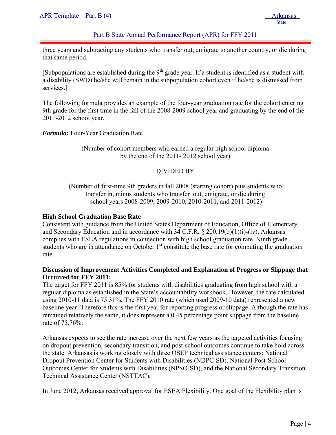# Part B State Annual Performance Report (APR) for FFY 2011

three years and subtracting any students who transfer out, emigrate to another country, or die during that same period.

[Subpopulations are established during the  $9<sup>th</sup>$  grade year. If a student is identified as a student with a disability (SWD) he/she will remain in the subpopulation cohort even if he/she is dismissed from services.]

The following formula provides an example of the four-year graduation rate for the cohort entering 9th grade for the first time in the fall of the 2008-2009 school year and graduating by the end of the 2011-2012 school year.

*Formula:* Four-Year Graduation Rate

(Number of cohort members who earned a regular high school diploma by the end of the 2011- 2012 school year)

# DIVIDED BY

(Number of first-time 9th graders in fall 2008 (starting cohort) plus students who transfer in, minus students who transfer out, emigrate, or die during school years 2008-2009, 2009-2010, 2010-2011, and 2011-2012)

## **High School Graduation Base Rate**

Consistent with guidance from the United States Department of Education, Office of Elementary and Secondary Education and in accordance with 34 C.F.R. § 200.19(b)(1)(i)-(iv), Arkansas complies with ESEA regulations in connection with high school graduation rate. Ninth grade students who are in attendance on October 1<sup>st</sup> constitute the base rate for computing the graduation rate.

# **Discussion of Improvement Activities Completed and Explanation of Progress or Slippage that Occurred for FFY 2011:**

The target for FFY 2011 is 85% for students with disabilities graduating from high school with a regular diploma as established in the State's accountability workbook. However, the rate calculated using 2010-11 data is 75.31%. The FFY 2010 rate (which used 2009-10 data) represented a new baseline year. Therefore this is the first year for reporting progress or slippage. Although the rate has remained relatively the same, it does represent a 0.45 percentage point slippage from the baseline rate of 75.76%.

Arkansas expects to see the rate increase over the next few years as the targeted activities focusing on dropout prevention, secondary transition, and post-school outcomes continue to take hold across the state. Arkansas is working closely with three OSEP technical assistance centers: National Dropout Prevention Center for Students with Disabilities (NDPC-SD), National Post-School Outcomes Center for Students with Disabilities (NPSO-SD), and the National Secondary Transition Technical Assistance Center (NSTTAC).

In June 2012, Arkansas received approval for ESEA Flexibility. One goal of the Flexibility plan is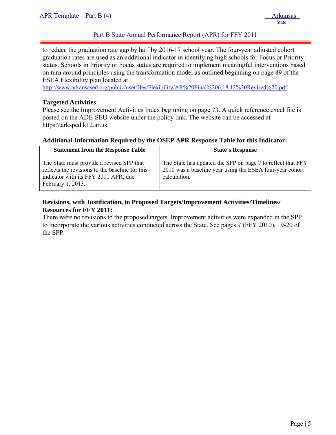# Part B State Annual Performance Report (APR) for FFY 2011

to reduce the graduation rate gap by half by 2016-17 school year. The four-year adjusted cohort graduation rates are used as an additional indicator in identifying high schools for Focus or Priority status. Schools in Priority or Focus status are required to implement meaningful interventions based on turn around principles using the transformation model as outlined beginning on page 89 of the ESEA Flexibility plan located at

http://www.arkansased.org/public/userfiles/Flexibility/AR%20Final%206.18.12%20Revised%20.pdf

## **Targeted Activities**:

Please see the Improvement Activities Index beginning on page 73. A quick reference excel file is posted on the ADE-SEU website under the policy link. The website can be accessed at https:\\arksped.k12.ar.us.

#### **Additional Information Required by the OSEP APR Response Table for this Indicator:**

| <b>Statement from the Response Table</b>                                                                                                                  | <b>State's Response</b>                                                                                                                 |
|-----------------------------------------------------------------------------------------------------------------------------------------------------------|-----------------------------------------------------------------------------------------------------------------------------------------|
| The State must provide a revised SPP that<br>reflects the revisions to the baseline for this<br>indicator with its FFY 2011 APR, due<br>February 1, 2013. | The State has updated the SPP on page 7 to reflect that FFY<br>2010 was a baseline year using the ESEA four-year cohort<br>calculation. |

# **Revisions, with Justification, to Proposed Targets/Improvement Activities/Timelines/ Resources for FFY 2011:**

There were no revisions to the proposed targets. Improvement activities were expanded in the SPP to incorporate the various activities conducted across the State. See pages 7 (FFY 2010), 19-20 of the SPP.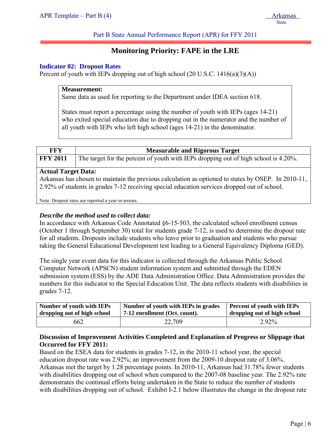Part B State Annual Performance Report (APR) for FFY 2011

# **Monitoring Priority: FAPE in the LRE**

## **Indicator 02: Dropout Rates**

Percent of youth with IEPs dropping out of high school  $(20 \text{ U.S.C. } 1416(a)(3)(A))$ 

#### **Measurement:**

Same data as used for reporting to the Department under IDEA section 618.

States must report a percentage using the number of youth with IEPs (ages 14-21) who exited special education due to dropping out in the numerator and the number of all youth with IEPs who left high school (ages 14-21) in the denominator.

| <b>FFY</b><br><b>Measurable and Rigorous Target</b><br><b>FFY 2011</b><br>The target for the percent of youth with IEPs dropping out of high school is 4.20%.<br><b>Actual Target Data:</b><br>Arkansas has chosen to maintain the previous calculation as optioned to states by OSEP. In 2010-11,<br>2.92% of students in grades 7-12 receiving special education services dropped out of school. |  |
|----------------------------------------------------------------------------------------------------------------------------------------------------------------------------------------------------------------------------------------------------------------------------------------------------------------------------------------------------------------------------------------------------|--|
|                                                                                                                                                                                                                                                                                                                                                                                                    |  |
|                                                                                                                                                                                                                                                                                                                                                                                                    |  |
| Note: Drapout rates are reported a veer in erregge                                                                                                                                                                                                                                                                                                                                                 |  |

Note: Dropout rates are reported a year in arrears.

## *Describe the method used to collect data:*

In accordance with Arkansas Code Annotated §6-15-503, the calculated school enrollment census (October 1 through September 30) total for students grade 7-12, is used to determine the dropout rate for all students. Dropouts include students who leave prior to graduation and students who pursue taking the General Educational Development test leading to a General Equivalency Diploma (GED).

The single year event data for this indicator is collected through the Arkansas Public School Computer Network (APSCN) student information system and submitted through the EDEN submission system (ESS) by the ADE Data Administration Office. Data Administration provides the numbers for this indicator to the Special Education Unit. The data reflects students with disabilities in grades 7-12.

| Number of youth with IEPs   | Number of youth with IEPs in grades | Percent of youth with IEPs  |
|-----------------------------|-------------------------------------|-----------------------------|
| dropping out of high school | 7-12 enrollment (Oct. count).       | dropping out of high school |
| 662                         | 22,709                              | 2.92%                       |

# **Discussion of Improvement Activities Completed and Explanation of Progress or Slippage that Occurred for FFY 2011:**

Based on the ESEA data for students in grades 7-12, in the 2010-11 school year, the special education dropout rate was 2.92%; an improvement from the 2009-10 dropout rate of 3.06%. Arkansas met the target by 1.28 percentage points. In 2010-11, Arkansas had 31.78% fewer students with disabilities dropping out of school when compared to the 2007-08 baseline year. The 2.92% rate demonstrates the continual efforts being undertaken in the State to reduce the number of students with disabilities dropping out of school. Exhibit I-2.1 below illustrates the change in the dropout rate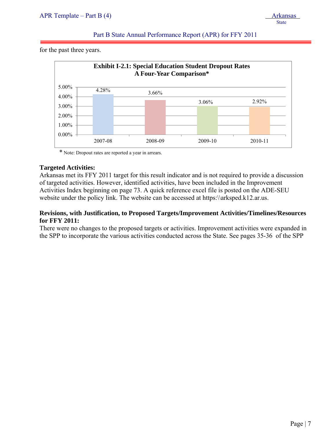for the past three years.

j



\* Note: Dropout rates are reported a year in arrears.

# **Targeted Activities:**

Arkansas met its FFY 2011 target for this result indicator and is not required to provide a discussion of targeted activities. However, identified activities, have been included in the Improvement Activities Index beginning on page 73. A quick reference excel file is posted on the ADE-SEU website under the policy link. The website can be accessed at https:\\arksped.k12.ar.us.

# **Revisions, with Justification, to Proposed Targets/Improvement Activities/Timelines/Resources for FFY 2011:**

There were no changes to the proposed targets or activities. Improvement activities were expanded in the SPP to incorporate the various activities conducted across the State. See pages 35-36 of the SPP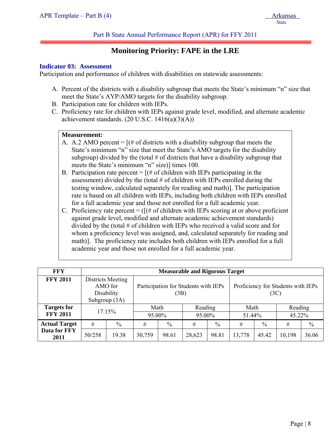# **Monitoring Priority: FAPE in the LRE**

#### **Indicator 03: Assessment**

j

Participation and performance of children with disabilities on statewide assessments:

- A. Percent of the districts with a disability subgroup that meets the State's minimum "n" size that meet the State's AYP/AMO targets for the disability subgroup.
- B. Participation rate for children with IEPs.
- C. Proficiency rate for children with IEPs against grade level, modified, and alternate academic achievement standards.  $(20 \text{ U.S.C. } 1416(a)(3)(A))$

#### **Measurement:**

- A. A.2 AMO percent  $=$   $[(# of \, \text{districts with a disability subgroup that meets the}]$ State's minimum "n" size that meet the State's AMO targets for the disability subgroup) divided by the (total  $\#$  of districts that have a disability subgroup that meets the State's minimum "n" size)] times 100.
- B. Participation rate percent  $=$   $[(# of children with IEPs participating in the$ assessment) divided by the (total  $#$  of children with IEPs enrolled during the testing window, calculated separately for reading and math)]. The participation rate is based on all children with IEPs, including both children with IEPs enrolled for a full academic year and those not enrolled for a full academic year.
- C. Proficiency rate percent  $=$  ( $[(# of children with IEPs scoring at or above proficient$ ) against grade level, modified and alternate academic achievement standards) divided by the (total # of children with IEPs who received a valid score and for whom a proficiency level was assigned, and, calculated separately for reading and math)]. The proficiency rate includes both children with IEPs enrolled for a full academic year and those not enrolled for a full academic year.

| <b>FFY</b>           |        | <b>Measurable and Rigorous Target</b> |        |                                                                            |         |       |        |       |         |               |  |  |  |
|----------------------|--------|---------------------------------------|--------|----------------------------------------------------------------------------|---------|-------|--------|-------|---------|---------------|--|--|--|
| <b>FFY 2011</b>      |        | <b>Districts Meeting</b><br>AMO for   |        | Participation for Students with IEPs<br>Proficiency for Students with IEPs |         |       |        |       |         |               |  |  |  |
|                      |        | Disability                            |        | (3B)                                                                       |         |       |        | (3C)  |         |               |  |  |  |
|                      |        | Subgroup (3A)                         |        |                                                                            |         |       |        |       |         |               |  |  |  |
| <b>Targets for</b>   | 17.15% |                                       | Math   |                                                                            | Reading |       | Math   |       | Reading |               |  |  |  |
| <b>FFY 2011</b>      |        |                                       | 95.00% |                                                                            | 95.00%  |       | 51.44% |       | 45.22%  |               |  |  |  |
| <b>Actual Target</b> | #      | $\%$                                  | #      | $\frac{0}{0}$                                                              | #       | $\%$  | #      | $\%$  | #       | $\frac{0}{0}$ |  |  |  |
| Data for FFY<br>2011 | 50/258 | 19.38                                 | 30,759 | 98.61                                                                      | 28,623  | 98.81 | 13,778 | 45.42 | 10,198  | 36.06         |  |  |  |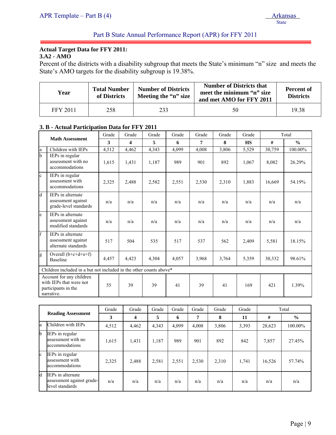# **Actual Target Data for FFY 2011:**

**3.A2 - AMO** 

j

Percent of the districts with a disability subgroup that meets the State's minimum "n" size and meets the State's AMO targets for the disability subgroup is 19.38%.

| Year            | <b>Number of Districts</b><br><b>Total Number</b><br>Meeting the "n" size<br>of Districts |     | <b>Number of Districts that</b><br>meet the minimum "n" size<br>and met AMO for FFY 2011 | <b>Percent of</b><br><b>Districts</b> |
|-----------------|-------------------------------------------------------------------------------------------|-----|------------------------------------------------------------------------------------------|---------------------------------------|
| <b>FFY 2011</b> | 258                                                                                       | 233 | 50                                                                                       | 1938                                  |

#### **3. B - Actual Participation Data for FFY 2011**

| <b>Math Assessment</b>  |                                                                                          | Grade | Grade | Grade | Grade | Grade | Grade | Grade     |        | Total         |
|-------------------------|------------------------------------------------------------------------------------------|-------|-------|-------|-------|-------|-------|-----------|--------|---------------|
|                         |                                                                                          | 3     | 4     | 5     | 6     | 7     | 8     | <b>HS</b> | #      | $\frac{0}{0}$ |
| a                       | Children with IEPs                                                                       | 4,512 | 4,462 | 4,343 | 4.099 | 4.008 | 3,806 | 5,529     | 30,759 | 100.00%       |
| $\mathbf b$             | IEPs in regular<br>assessment with no<br>accommodations                                  | 1,615 | 1,431 | 1,187 | 989   | 901   | 892   | 1,067     | 8,082  | 26.29%        |
| $\mathbf{c}$            | IEPs in regular<br>assessment with<br>accommodations                                     | 2,325 | 2,488 | 2,582 | 2,551 | 2,530 | 2,310 | 1,883     | 16,669 | 54.19%        |
| $\overline{\mathbf{d}}$ | IEPs in alternate<br>assessment against<br>grade-level standards                         | n/a   | n/a   | n/a   | n/a   | n/a   | n/a   | n/a       | n/a    | n/a           |
| e                       | <b>IEPs</b> in alternate<br>assessment against<br>modified standards                     | n/a   | n/a   | n/a   | n/a   | n/a   | n/a   | n/a       | n/a    | n/a           |
| $\mathbf{f}$            | IEPs in alternate<br>assessment against<br>alternate standards                           | 517   | 504   | 535   | 517   | 537   | 562   | 2,409     | 5,581  | 18.15%        |
| g                       | Overall $(b+c+d+e+f)$<br><b>Baseline</b>                                                 | 4,457 | 4,423 | 4,304 | 4,057 | 3,968 | 3,764 | 5,359     | 30,332 | 98.61%        |
|                         | Children included in a but not included in the other counts above*                       |       |       |       |       |       |       |           |        |               |
|                         | Account for any children<br>with IEPs that were not<br>participants in the<br>narrative. | 55    | 39    | 39    | 41    | 39    | 41    | 169       | 421    | 1.39%         |

|            |                                                                   | Grade | Grade                   | Grade | Grade | Grade | Grade | Grade | Total  |               |
|------------|-------------------------------------------------------------------|-------|-------------------------|-------|-------|-------|-------|-------|--------|---------------|
|            | <b>Reading Assessment</b>                                         | 3     | $\overline{\mathbf{4}}$ | 5     | 6     | 7     | 8     | 11    | #      | $\frac{0}{0}$ |
| a          | Children with IEPs                                                | 4,512 | 4,462                   | 4,343 | 4,099 | 4,008 | 3,806 | 3,393 | 28,623 | 100.00%       |
| lb.        | IEPs in regular<br>assessment with no<br>accommodations           | 1,615 | 1,431                   | 1,187 | 989   | 901   | 892   | 842   | 7,857  | 27.45%        |
| lc.        | <b>IEPs</b> in regular<br>assessment with<br>accommodations       | 2,325 | 2,488                   | 2,581 | 2,551 | 2,530 | 2,310 | 1,741 | 16,526 | 57.74%        |
| <b>I</b> d | IEPs in alternate<br>assessment against grade-<br>level standards | n/a   | n/a                     | n/a   | n/a   | n/a   | n/a   | n/a   | n/a    | n/a           |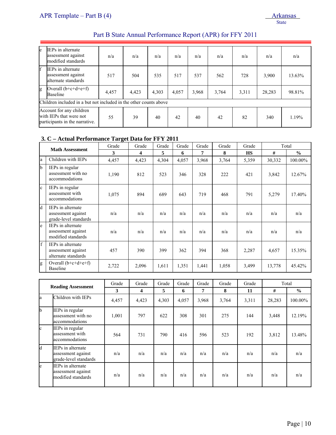| le | IEPs in alternate<br>assessment against<br>modified standards                         | n/a   | n/a   | n/a   | n/a   | n/a   | n/a   | n/a   | n/a    | n/a    |
|----|---------------------------------------------------------------------------------------|-------|-------|-------|-------|-------|-------|-------|--------|--------|
| f  | IEPs in alternate<br>assessment against<br>alternate standards                        | 517   | 504   | 535   | 517   | 537   | 562   | 728   | 3,900  | 13.63% |
| g  | Overall $(b+c+d+e+f)$<br><b>Baseline</b>                                              | 4,457 | 4,423 | 4,303 | 4,057 | 3,968 | 3,764 | 3,311 | 28,283 | 98.81% |
|    | Children included in a but not included in the other counts above                     |       |       |       |       |       |       |       |        |        |
|    | Account for any children<br>with IEPs that were not<br>participants in the narrative. | 55    | 39    | 40    | 42    | 40    | 42    | 82    | 340    | 1.19%  |

#### **3. C – Actual Performance Target Data for FFY 2011**

| <b>Math Assessment</b> |                                                                  | Grade | Grade | Grade | Grade | Grade | Grade | Grade     |        | Total         |
|------------------------|------------------------------------------------------------------|-------|-------|-------|-------|-------|-------|-----------|--------|---------------|
|                        |                                                                  | 3     | 4     | 5     | 6     | 7     | 8     | <b>HS</b> | #      | $\frac{0}{0}$ |
| la                     | Children with IEPs                                               | 4,457 | 4,423 | 4,304 | 4,057 | 3,968 | 3,764 | 5,359     | 30,332 | 100.00%       |
| <sup>1</sup> b         | IEPs in regular<br>assessment with no<br>accommodations          | 1,190 | 812   | 523   | 346   | 328   | 222   | 421       | 3,842  | 12.67%        |
| $\mathbf{c}$           | IEPs in regular<br>assessment with<br>accommodations             | 1,075 | 894   | 689   | 643   | 719   | 468   | 791       | 5,279  | 17.40%        |
| Id                     | IEPs in alternate<br>assessment against<br>grade-level standards | n/a   | n/a   | n/a   | n/a   | n/a   | n/a   | n/a       | n/a    | n/a           |
| le                     | IEPs in alternate<br>assessment against<br>modified standards    | n/a   | n/a   | n/a   | n/a   | n/a   | n/a   | n/a       | n/a    | n/a           |
| <sup>f</sup>           | IEPs in alternate<br>assessment against<br>alternate standards   | 457   | 390   | 399   | 362   | 394   | 368   | 2,287     | 4,657  | 15.35%        |
| g                      | Overall $(b+c+d+e+f)$<br>Baseline                                | 2,722 | 2,096 | 1,611 | 1,351 | 1,441 | 1,058 | 3,499     | 13,778 | 45.42%        |

| <b>Reading Assessment</b> |                                                                      | Grade | Grade | Grade | Grade | Grade | Grade | Grade | Total  |               |
|---------------------------|----------------------------------------------------------------------|-------|-------|-------|-------|-------|-------|-------|--------|---------------|
|                           |                                                                      | 3     | 4     | 5     | 6     | 7     | 8     | 11    | #      | $\frac{0}{0}$ |
| la                        | Children with IEPs                                                   | 4,457 | 4,423 | 4,303 | 4,057 | 3,968 | 3,764 | 3,311 | 28,283 | 100.00%       |
| lb.                       | IEPs in regular<br>assessment with no<br>accommodations              | 1,001 | 797   | 622   | 308   | 301   | 275   | 144   | 3,448  | 12.19%        |
| $\mathbf{c}$              | IEPs in regular<br>assessment with<br>accommodations                 | 564   | 731   | 790   | 416   | 596   | 523   | 192   | 3,812  | 13.48%        |
| d                         | IEPs in alternate<br>assessment against<br>grade-level standards     | n/a   | n/a   | n/a   | n/a   | n/a   | n/a   | n/a   | n/a    | n/a           |
| le.                       | <b>IEPs</b> in alternate<br>assessment against<br>modified standards | n/a   | n/a   | n/a   | n/a   | n/a   | n/a   | n/a   | n/a    | n/a           |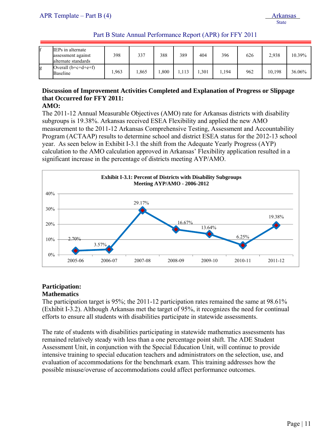| Part B State Annual Performance Report (APR) for FFY 2011 |  |
|-----------------------------------------------------------|--|
|-----------------------------------------------------------|--|

|   | IEPs in alternate<br>assessment against<br>alternate standards | 398  | 337  | 388  | 389   | 404  | 396   | 626 | 2.938  | 10.39% |
|---|----------------------------------------------------------------|------|------|------|-------|------|-------|-----|--------|--------|
| g | Overall $(b+c+d+e+f)$<br>Baseline                              | .963 | .865 | .800 | 1,113 | .301 | 1,194 | 962 | 10.198 | 36.06% |

# **Discussion of Improvement Activities Completed and Explanation of Progress or Slippage that Occurred for FFY 2011:**

# **AMO:**

The 2011-12 Annual Measurable Objectives (AMO) rate for Arkansas districts with disability subgroups is 19.38%. Arkansas received ESEA Flexibility and applied the new AMO measurement to the 2011-12 Arkansas Comprehensive Testing, Assessment and Accountability Program (ACTAAP) results to determine school and district ESEA status for the 2012-13 school year. As seen below in Exhibit I-3.1 the shift from the Adequate Yearly Progress (AYP) calculation to the AMO calculation approved in Arkansas' Flexibility application resulted in a significant increase in the percentage of districts meeting AYP/AMO.



#### **Participation: Mathematics**

The participation target is 95%; the 2011-12 participation rates remained the same at 98.61% (Exhibit I-3.2). Although Arkansas met the target of 95%, it recognizes the need for continual efforts to ensure all students with disabilities participate in statewide assessments.

The rate of students with disabilities participating in statewide mathematics assessments has remained relatively steady with less than a one percentage point shift. The ADE Student Assessment Unit, in conjunction with the Special Education Unit, will continue to provide intensive training to special education teachers and administrators on the selection, use, and evaluation of accommodations for the benchmark exam. This training addresses how the possible misuse/overuse of accommodations could affect performance outcomes.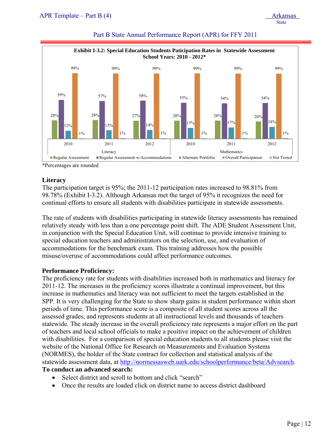| Exhibit I-3.2: Special Education Students Paticipation Rates in Statewide Assessment<br>School Years: 2010 - 2012* |                            |                            |                            |                            |                            |  |  |  |
|--------------------------------------------------------------------------------------------------------------------|----------------------------|----------------------------|----------------------------|----------------------------|----------------------------|--|--|--|
| 99%                                                                                                                | 99%                        | 99%                        | 99%                        | 99%                        | 99%                        |  |  |  |
| 59%<br>28%<br>12%<br>$1\%$                                                                                         | 57%<br>28%<br>13%<br>$1\%$ | 58%<br>27%<br>14%<br>$1\%$ | 55%<br>28%<br>17%<br>$1\%$ | 54%<br>28%<br>17%<br>$1\%$ | 54%<br>26%<br>18%<br>$1\%$ |  |  |  |
| 2010                                                                                                               | 2011                       | 2012                       | 2010                       | 2011                       | 2012                       |  |  |  |

\*Percentages are rounded

#### **Literacy**

The participation target is 95%; the 2011-12 participation rates increased to 98.81% from 98.78% (Exhibit I-3.2). Although Arkansas met the target of 95% it recognizes the need for continual efforts to ensure all students with disabilities participate in statewide assessments.

The rate of students with disabilities participating in statewide literacy assessments has remained relatively steady with less than a one percentage point shift. The ADE Student Assessment Unit, in conjunction with the Special Education Unit, will continue to provide intensive training to special education teachers and administrators on the selection, use, and evaluation of accommodations for the benchmark exam. This training addresses how the possible misuse/overuse of accommodations could affect performance outcomes.

# **Performance Proficiency:**

The proficiency rate for students with disabilities increased both in mathematics and literacy for 2011-12. The increases in the proficiency scores illustrate a continual improvement, but this increase in mathematics and literacy was not sufficient to meet the targets established in the SPP. It is very challenging for the State to show sharp gains in student performance within short periods of time. This performance score is a composite of all student scores across all the assessed grades, and represents students at all instructional levels and thousands of teachers statewide. The steady increase in the overall proficiency rate represents a major effort on the part of teachers and local school officials to make a positive impact on the achievement of children with disabilities. For a comparison of special education students to all students please visit the website of the National Office for Research on Measurements and Evaluation Systems (NORMES), the holder of the State contract for collection and statistical analysis of the statewide assessment data, at http://normessasweb.uark.edu/schoolperformance/beta/Advsearch. **To conduct an advanced search:** 

- Select district and scroll to bottom and click "search"
- Once the results are loaded click on district name to access district dashboard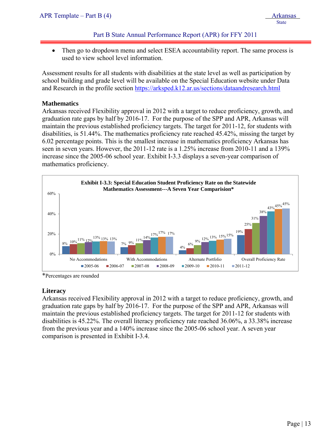• Then go to dropdown menu and select ESEA accountability report. The same process is used to view school level information.

Assessment results for all students with disabilities at the state level as well as participation by school building and grade level will be available on the Special Education website under Data and Research in the profile section https://arksped.k12.ar.us/sections/dataandresearch.html

# **Mathematics**

j

Arkansas received Flexibility approval in 2012 with a target to reduce proficiency, growth, and graduation rate gaps by half by 2016-17. For the purpose of the SPP and APR, Arkansas will maintain the previous established proficiency targets. The target for 2011-12, for students with disabilities, is 51.44%. The mathematics proficiency rate reached 45.42%, missing the target by 6.02 percentage points. This is the smallest increase in mathematics proficiency Arkansas has seen in seven years. However, the 2011-12 rate is a 1.25% increase from 2010-11 and a 139% increase since the 2005-06 school year. Exhibit I-3.3 displays a seven-year comparison of mathematics proficiency.



\*Percentages are rounded

#### **Literacy**

Arkansas received Flexibility approval in 2012 with a target to reduce proficiency, growth, and graduation rate gaps by half by 2016-17. For the purpose of the SPP and APR, Arkansas will maintain the previous established proficiency targets. The target for 2011-12 for students with disabilities is 45.22%. The overall literacy proficiency rate reached 36.06%, a 33.38% increase from the previous year and a 140% increase since the 2005-06 school year. A seven year comparison is presented in Exhibit I-3.4.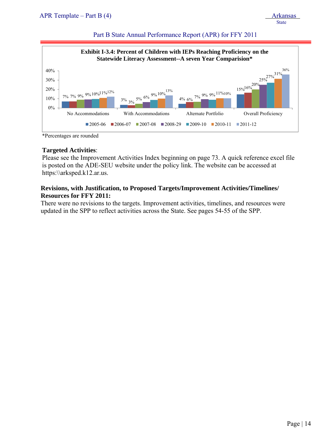| APR Template – Part B $(4)$ | <b>Arkansas</b> |
|-----------------------------|-----------------|
|                             | <b>State</b>    |



\*Percentages are rounded

#### **Targeted Activities**:

Please see the Improvement Activities Index beginning on page 73. A quick reference excel file is posted on the ADE-SEU website under the policy link. The website can be accessed at https:\\arksped.k12.ar.us.

# **Revisions, with Justification, to Proposed Targets/Improvement Activities/Timelines/ Resources for FFY 2011:**

There were no revisions to the targets. Improvement activities, timelines, and resources were updated in the SPP to reflect activities across the State. See pages 54-55 of the SPP.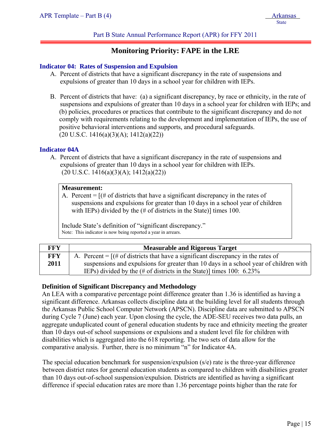# Part B State Annual Performance Report (APR) for FFY 2011

# **Monitoring Priority: FAPE in the LRE**

## **Indicator 04: Rates of Suspension and Expulsion**

- A. Percent of districts that have a significant discrepancy in the rate of suspensions and expulsions of greater than 10 days in a school year for children with IEPs.
- B. Percent of districts that have: (a) a significant discrepancy, by race or ethnicity, in the rate of suspensions and expulsions of greater than 10 days in a school year for children with IEPs; and (b) policies, procedures or practices that contribute to the significant discrepancy and do not comply with requirements relating to the development and implementation of IEPs, the use of positive behavioral interventions and supports, and procedural safeguards.  $(20 \text{ U.S.C. } 1416(a)(3)(A); 1412(a)(22))$

# **Indicator 04A**

A. Percent of districts that have a significant discrepancy in the rate of suspensions and expulsions of greater than 10 days in a school year for children with IEPs.  $(20 \text{ U.S.C. } 1416(a)(3)(A); 1412(a)(22))$ 

#### **Measurement:**

A. Percent  $=$   $[(# of \, \text{districts} \, \text{that} \, \text{have a significant discrepancy} \, \text{in} \, \text{the rates of} \, \text{in} \, \text{at} \, \text{the rate of} \, \text{in} \, \text{the rate of} \, \text{in} \, \text{the rate of} \, \text{in} \, \text{the rate of} \, \text{in} \, \text{the rate of} \, \text{in} \, \text{the rate of} \, \text{the rate of} \, \text{the rate of} \, \text{the rate of} \, \text{the rate of} \, \text{the rate of} \, \text{the rate of} \, \$ suspensions and expulsions for greater than 10 days in a school year of children with IEPs) divided by the (# of districts in the State)] times 100.

Include State's definition of "significant discrepancy." Note: This indicator is now being reported a year in arrears.

| FFY  | <b>Measurable and Rigorous Target</b>                                                                                                                                                                                                                                                                                                                                                                                                                                                                                               |
|------|-------------------------------------------------------------------------------------------------------------------------------------------------------------------------------------------------------------------------------------------------------------------------------------------------------------------------------------------------------------------------------------------------------------------------------------------------------------------------------------------------------------------------------------|
| FFY  | A. Percent = $[(# of \, \text{districts} \, \text{that} \, \text{have a significant discrepancy} \, \text{in} \, \text{the rates of} \, \text{in} \, \text{at} \, \text{the rate of} \, \text{in} \, \text{the rate of} \, \text{the rate of} \, \text{the rate of} \, \text{the rate of} \, \text{the rate of} \, \text{the rate of} \, \text{the rate of} \, \text{the rate of} \, \text{the rate of} \, \text{the rate of} \, \text{the rate of} \, \text{the rate of} \, \text{the rate of} \, \text{the rate of} \, \text{the$ |
| 2011 | suspensions and expulsions for greater than 10 days in a school year of children with                                                                                                                                                                                                                                                                                                                                                                                                                                               |
|      | IEPs) divided by the $(\# \text{ of districts in the State})$ times 100: 6.23%                                                                                                                                                                                                                                                                                                                                                                                                                                                      |

# **Definition of Significant Discrepancy and Methodology**

An LEA with a comparative percentage point difference greater than 1.36 is identified as having a significant difference. Arkansas collects discipline data at the building level for all students through the Arkansas Public School Computer Network (APSCN). Discipline data are submitted to APSCN during Cycle 7 (June) each year. Upon closing the cycle, the ADE-SEU receives two data pulls, an aggregate unduplicated count of general education students by race and ethnicity meeting the greater than 10 days out-of school suspensions or expulsions and a student level file for children with disabilities which is aggregated into the 618 reporting. The two sets of data allow for the comparative analysis. Further, there is no minimum "n" for Indicator 4A.

The special education benchmark for suspension/expulsion (s/e) rate is the three-year difference between district rates for general education students as compared to children with disabilities greater than 10 days out-of-school suspension/expulsion. Districts are identified as having a significant difference if special education rates are more than 1.36 percentage points higher than the rate for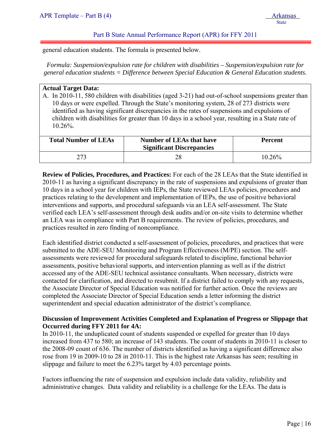general education students. The formula is presented below.

*Formula: Suspension/expulsion rate for children with disabilities – Suspension/expulsion rate for general education students = Difference between Special Education & General Education students.* 

#### **Actual Target Data:**

j

A. In 2010-11, 580 children with disabilities (aged 3-21) had out-of-school suspensions greater than 10 days or were expelled. Through the State's monitoring system, 28 of 273 districts were identified as having significant discrepancies in the rates of suspensions and expulsions of children with disabilities for greater than 10 days in a school year, resulting in a State rate of 10.26%.

| <b>Total Number of LEAs</b> | <b>Number of LEAs that have</b><br><b>Significant Discrepancies</b> | <b>Percent</b> |
|-----------------------------|---------------------------------------------------------------------|----------------|
|                             | 28                                                                  | 10.26%         |

**Review of Policies, Procedures, and Practices:** For each of the 28 LEAs that the State identified in 2010-11 as having a significant discrepancy in the rate of suspensions and expulsions of greater than 10 days in a school year for children with IEPs, the State reviewed LEAs policies, procedures and practices relating to the development and implementation of IEPs, the use of positive behavioral interventions and supports, and procedural safeguards via an LEA self-assessment. The State verified each LEA's self-assessment through desk audits and/or on-site visits to determine whether an LEA was in compliance with Part B requirements. The review of policies, procedures, and practices resulted in zero finding of noncompliance.

Each identified district conducted a self-assessment of policies, procedures, and practices that were submitted to the ADE-SEU Monitoring and Program Effectiveness (M/PE) section. The selfassessments were reviewed for procedural safeguards related to discipline, functional behavior assessments, positive behavioral supports, and intervention planning as well as if the district accessed any of the ADE-SEU technical assistance consultants. When necessary, districts were contacted for clarification, and directed to resubmit. If a district failed to comply with any requests, the Associate Director of Special Education was notified for further action. Once the reviews are completed the Associate Director of Special Education sends a letter informing the district superintendent and special education administrator of the district's compliance.

# **Discussion of Improvement Activities Completed and Explanation of Progress or Slippage that Occurred during FFY 2011 for 4A:**

In 2010-11, the unduplicated count of students suspended or expelled for greater than 10 days increased from 437 to 580; an increase of 143 students. The count of students in 2010-11 is closer to the 2008-09 count of 636. The number of districts identified as having a significant difference also rose from 19 in 2009-10 to 28 in 2010-11. This is the highest rate Arkansas has seen; resulting in slippage and failure to meet the 6.23% target by 4.03 percentage points.

Factors influencing the rate of suspension and expulsion include data validity, reliability and administrative changes. Data validity and reliability is a challenge for the LEAs. The data is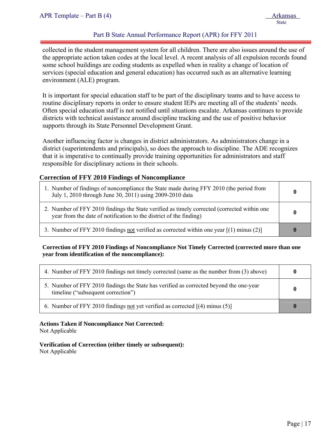# Part B State Annual Performance Report (APR) for FFY 2011

collected in the student management system for all children. There are also issues around the use of the appropriate action taken codes at the local level. A recent analysis of all expulsion records found some school buildings are coding students as expelled when in reality a change of location of services (special education and general education) has occurred such as an alternative learning environment (ALE) program.

It is important for special education staff to be part of the disciplinary teams and to have access to routine disciplinary reports in order to ensure student IEPs are meeting all of the students' needs. Often special education staff is not notified until situations escalate. Arkansas continues to provide districts with technical assistance around discipline tracking and the use of positive behavior supports through its State Personnel Development Grant.

Another influencing factor is changes in district administrators. As administrators change in a district (superintendents and principals), so does the approach to discipline. The ADE recognizes that it is imperative to continually provide training opportunities for administrators and staff responsible for disciplinary actions in their schools.

#### **Correction of FFY 2010 Findings of Noncompliance**

| 1. Number of findings of noncompliance the State made during FFY 2010 (the period from<br>July 1, 2010 through June 30, 2011) using 2009-2010 data                | $\bf{0}$    |
|-------------------------------------------------------------------------------------------------------------------------------------------------------------------|-------------|
| 2. Number of FFY 2010 findings the State verified as timely corrected (corrected within one<br>year from the date of notification to the district of the finding) | 0           |
| 3. Number of FFY 2010 findings not verified as corrected within one year $[(1)$ minus (2)                                                                         | $\mathbf 0$ |

#### **Correction of FFY 2010 Findings of Noncompliance Not Timely Corrected (corrected more than one year from identification of the noncompliance):**

| 4. Number of FFY 2010 findings not timely corrected (same as the number from (3) above)                                      | $\bf{0}$ |
|------------------------------------------------------------------------------------------------------------------------------|----------|
| 5. Number of FFY 2010 findings the State has verified as corrected beyond the one-year<br>timeline ("subsequent correction") | $\bf{0}$ |
| 6. Number of FFY 2010 findings not yet verified as corrected [(4) minus (5)]                                                 |          |

#### **Actions Taken if Noncompliance Not Corrected:**

Not Applicable

# **Verification of Correction (either timely or subsequent):**

Not Applicable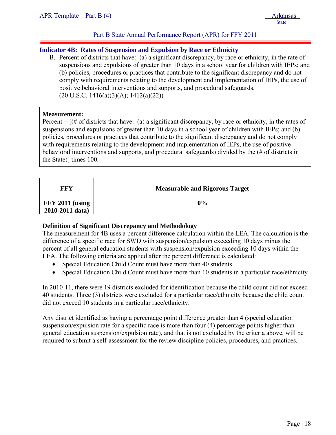# **Indicator 4B: Rates of Suspension and Expulsion by Race or Ethnicity**

B. Percent of districts that have: (a) a significant discrepancy, by race or ethnicity, in the rate of suspensions and expulsions of greater than 10 days in a school year for children with IEPs; and (b) policies, procedures or practices that contribute to the significant discrepancy and do not comply with requirements relating to the development and implementation of IEPs, the use of positive behavioral interventions and supports, and procedural safeguards.  $(20 \text{ U.S.C. } 1416(a)(3)(A); 1412(a)(22))$ 

#### **Measurement:**

j

Percent  $=$   $[$  (# of districts that have: (a) a significant discrepancy, by race or ethnicity, in the rates of suspensions and expulsions of greater than 10 days in a school year of children with IEPs; and (b) policies, procedures or practices that contribute to the significant discrepancy and do not comply with requirements relating to the development and implementation of IEPs, the use of positive behavioral interventions and supports, and procedural safeguards) divided by the (# of districts in the State)] times 100.

| FFY               | <b>Measurable and Rigorous Target</b> |
|-------------------|---------------------------------------|
| $FFY 2011$ (using | 0%                                    |
| 2010-2011 data)   |                                       |

# **Definition of Significant Discrepancy and Methodology**

The measurement for 4B uses a percent difference calculation within the LEA. The calculation is the difference of a specific race for SWD with suspension/expulsion exceeding 10 days minus the percent of all general education students with suspension/expulsion exceeding 10 days within the LEA. The following criteria are applied after the percent difference is calculated:

- Special Education Child Count must have more than 40 students
- Special Education Child Count must have more than 10 students in a particular race/ethnicity

In 2010-11, there were 19 districts excluded for identification because the child count did not exceed 40 students. Three (3) districts were excluded for a particular race/ethnicity because the child count did not exceed 10 students in a particular race/ethnicity.

Any district identified as having a percentage point difference greater than 4 (special education suspension/expulsion rate for a specific race is more than four (4) percentage points higher than general education suspension/expulsion rate), and that is not excluded by the criteria above, will be required to submit a self-assessment for the review discipline policies, procedures, and practices.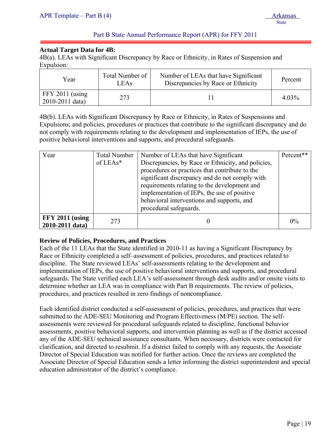# **Actual Target Data for 4B:**

j

4B(a). LEAs with Significant Discrepancy by Race or Ethnicity, in Rates of Suspension and Expulsion:

| Year                                     | Total Number of<br>LEAs | Number of LEAs that have Significant<br>Discrepancies by Race or Ethnicity | Percent |
|------------------------------------------|-------------------------|----------------------------------------------------------------------------|---------|
| $FFY 2011$ (using<br>$2010 - 2011$ data) | 273                     |                                                                            | 4.03%   |

4B(b). LEAs with Significant Discrepancy by Race or Ethnicity, in Rates of Suspensions and Expulsions; and policies, procedures or practices that contribute to the significant discrepancy and do not comply with requirements relating to the development and implementation of IEPs, the use of positive behavioral interventions and supports, and procedural safeguards.

| Year                                 | <b>Total Number</b><br>of $LEAs*$ | Number of LEAs that have Significant<br>Discrepancies, by Race or Ethnicity, and policies,<br>procedures or practices that contribute to the<br>significant discrepancy and do not comply with<br>requirements relating to the development and<br>implementation of IEPs, the use of positive<br>behavioral interventions and supports, and<br>procedural safeguards. | Percent** |
|--------------------------------------|-----------------------------------|-----------------------------------------------------------------------------------------------------------------------------------------------------------------------------------------------------------------------------------------------------------------------------------------------------------------------------------------------------------------------|-----------|
| $FFY 2011$ (using<br>2010-2011 data) | 273                               |                                                                                                                                                                                                                                                                                                                                                                       | 0%        |

# **Review of Policies, Procedures, and Practices**

Each of the 11 LEAs that the State identified in 2010-11 as having a Significant Discrepancy by Race or Ethnicity completed a self–assessment of policies, procedures, and practices related to discipline. The State reviewed LEAs' self-assessments relating to the development and implementation of IEPs, the use of positive behavioral interventions and supports, and procedural safeguards. The State verified each LEA's self-assessment through desk audits and/or onsite visits to determine whether an LEA was in compliance with Part B requirements. The review of policies, procedures, and practices resulted in zero findings of noncompliance.

Each identified district conducted a self-assessment of policies, procedures, and practices that were submitted to the ADE-SEU Monitoring and Program Effectiveness (M/PE) section. The selfassessments were reviewed for procedural safeguards related to discipline, functional behavior assessments, positive behavioral supports, and intervention planning as well as if the district accessed any of the ADE-SEU technical assistance consultants. When necessary, districts were contacted for clarification, and directed to resubmit. If a district failed to comply with any requests, the Associate Director of Special Education was notified for further action. Once the reviews are completed the Associate Director of Special Education sends a letter informing the district superintendent and special education administrator of the district's compliance.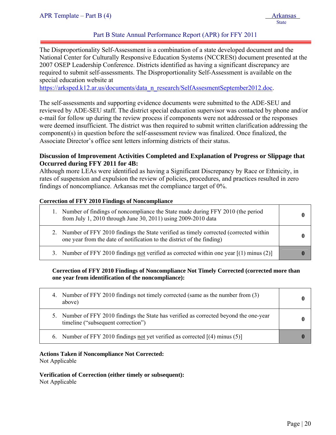# Part B State Annual Performance Report (APR) for FFY 2011

The Disproportionality Self-Assessment is a combination of a state developed document and the National Center for Culturally Responsive Education Systems (NCCRESt) document presented at the 2007 OSEP Leadership Conference. Districts identified as having a significant discrepancy are required to submit self-assessments. The Disproportionality Self-Assessment is available on the special education website at

https://arksped.k12.ar.us/documents/data\_n\_research/SelfAssesmentSeptember2012.doc.

The self-assessments and supporting evidence documents were submitted to the ADE-SEU and reviewed by ADE-SEU staff. The district special education supervisor was contacted by phone and/or e-mail for follow up during the review process if components were not addressed or the responses were deemed insufficient. The district was then required to submit written clarification addressing the component(s) in question before the self-assessment review was finalized. Once finalized, the Associate Director's office sent letters informing districts of their status.

# **Discussion of Improvement Activities Completed and Explanation of Progress or Slippage that Occurred during FFY 2011 for 4B:**

Although more LEAs were identified as having a Significant Discrepancy by Race or Ethnicity, in rates of suspension and expulsion the review of policies, procedures, and practices resulted in zero findings of noncompliance. Arkansas met the compliance target of 0%.

#### **Correction of FFY 2010 Findings of Noncompliance**

| 1. Number of findings of noncompliance the State made during FFY 2010 (the period<br>from July 1, 2010 through June 30, 2011) using 2009-2010 data                |  |
|-------------------------------------------------------------------------------------------------------------------------------------------------------------------|--|
| 2. Number of FFY 2010 findings the State verified as timely corrected (corrected within<br>one year from the date of notification to the district of the finding) |  |
| 3. Number of FFY 2010 findings not verified as corrected within one year $[(1)$ minus (2)]                                                                        |  |

# **Correction of FFY 2010 Findings of Noncompliance Not Timely Corrected (corrected more than one year from identification of the noncompliance):**

| 4. Number of FFY 2010 findings not timely corrected (same as the number from (3)<br>above)                                   |  |
|------------------------------------------------------------------------------------------------------------------------------|--|
| 5. Number of FFY 2010 findings the State has verified as corrected beyond the one-year<br>timeline ("subsequent correction") |  |
| 6. Number of FFY 2010 findings not yet verified as corrected $[(4)$ minus (5)                                                |  |

# **Actions Taken if Noncompliance Not Corrected:**

Not Applicable

**Verification of Correction (either timely or subsequent):**  Not Applicable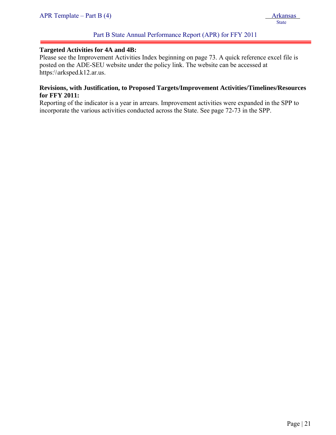# Part B State Annual Performance Report (APR) for FFY 2011

## **Targeted Activities for 4A and 4B:**

Please see the Improvement Activities Index beginning on page 73. A quick reference excel file is posted on the ADE-SEU website under the policy link. The website can be accessed at https:\\arksped.k12.ar.us.

# **Revisions, with Justification, to Proposed Targets/Improvement Activities/Timelines/Resources for FFY 2011:**

Reporting of the indicator is a year in arrears. Improvement activities were expanded in the SPP to incorporate the various activities conducted across the State. See page 72-73 in the SPP.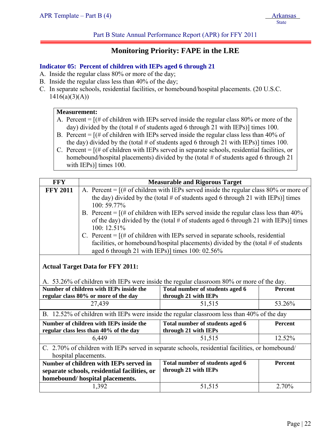Part B State Annual Performance Report (APR) for FFY 2011

# **Monitoring Priority: FAPE in the LRE**

# **Indicator 05: Percent of children with IEPs aged 6 through 21**

- A. Inside the regular class 80% or more of the day;
- B. Inside the regular class less than 40% of the day;
- C. In separate schools, residential facilities, or homebound/hospital placements. (20 U.S.C.  $1416(a)(3)(A))$

#### **Measurement:**

- A. Percent  $=$   $[(# of children with IEPs served inside the regular class 80% or more of the$ day) divided by the (total  $\#$  of students aged 6 through 21 with IEPs)] times 100.
- B. Percent  $=$   $[(# of children with IEPs served inside the regular class less than 40% of$ the day) divided by the (total  $\#$  of students aged 6 through 21 with IEPs)] times 100.
- C. Percent  $=$   $[(# of children with IEPs served in separate schools, residual facilities, or$ homebound/hospital placements) divided by the (total # of students aged 6 through 21 with IEPs)] times 100.

| <b>FFY</b>                                                                                       | <b>Measurable and Rigorous Target</b>                                                                                                                                 |                                                                                           |         |  |
|--------------------------------------------------------------------------------------------------|-----------------------------------------------------------------------------------------------------------------------------------------------------------------------|-------------------------------------------------------------------------------------------|---------|--|
| <b>FFY 2011</b>                                                                                  | A. Percent = $[(# of children with IEPs served inside the regular class 80% or more of$                                                                               |                                                                                           |         |  |
|                                                                                                  | the day) divided by the (total # of students aged 6 through 21 with IEPs)] times<br>100:59.77%                                                                        |                                                                                           |         |  |
|                                                                                                  |                                                                                                                                                                       | B. Percent = $[(# of children with IEPs served inside the regular class less than 40\%]$  |         |  |
|                                                                                                  | of the day) divided by the (total $#$ of students aged 6 through 21 with IEPs)] times                                                                                 |                                                                                           |         |  |
|                                                                                                  | 100: 12.51%                                                                                                                                                           |                                                                                           |         |  |
|                                                                                                  | C. Percent = $[(# of children with IEPs served in separate schools, residual]$<br>facilities, or homebound/hospital placements) divided by the (total $#$ of students |                                                                                           |         |  |
|                                                                                                  | aged 6 through 21 with IEPs)] times 100: 02.56%                                                                                                                       |                                                                                           |         |  |
|                                                                                                  |                                                                                                                                                                       |                                                                                           |         |  |
|                                                                                                  | <b>Actual Target Data for FFY 2011:</b>                                                                                                                               |                                                                                           |         |  |
|                                                                                                  |                                                                                                                                                                       | A. 53.26% of children with IEPs were inside the regular classroom 80% or more of the day. |         |  |
|                                                                                                  | Number of children with IEPs inside the<br>Total number of students aged 6<br><b>Percent</b>                                                                          |                                                                                           |         |  |
| regular class 80% or more of the day<br>27,439                                                   |                                                                                                                                                                       | through 21 with IEPs<br>51,515                                                            | 53.26%  |  |
| B. 12.52% of children with IEPs were inside the regular classroom less than 40% of the day       |                                                                                                                                                                       |                                                                                           |         |  |
| Number of children with IEPs inside the<br>regular class less than 40% of the day                |                                                                                                                                                                       | Total number of students aged 6<br>through 21 with IEPs                                   | Percent |  |
|                                                                                                  | 6,449                                                                                                                                                                 | 51,515                                                                                    | 12.52%  |  |
| C. 2.70% of children with IEPs served in separate schools, residential facilities, or homebound/ |                                                                                                                                                                       |                                                                                           |         |  |
| hospital placements.                                                                             |                                                                                                                                                                       |                                                                                           |         |  |
| Number of children with IEPs served in                                                           |                                                                                                                                                                       | Total number of students aged 6                                                           | Percent |  |
|                                                                                                  | separate schools, residential facilities, or                                                                                                                          | through 21 with IEPs                                                                      |         |  |
| homebound/ hospital placements.<br>1,392                                                         |                                                                                                                                                                       | 51,515                                                                                    | 2.70%   |  |
|                                                                                                  |                                                                                                                                                                       |                                                                                           |         |  |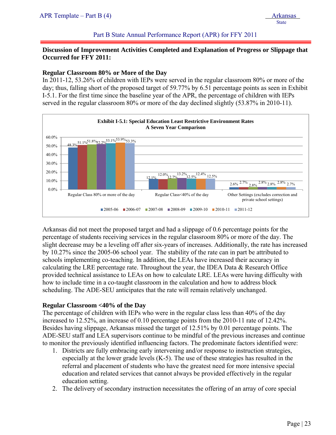# Part B State Annual Performance Report (APR) for FFY 2011

# **Discussion of Improvement Activities Completed and Explanation of Progress or Slippage that Occurred for FFY 2011:**

## **Regular Classroom 80% or More of the Day**

In 2011-12, 53.26% of children with IEPs were served in the regular classroom 80% or more of the day; thus, falling short of the proposed target of 59.77% by 6.51 percentage points as seen in Exhibit I-5.1. For the first time since the baseline year of the APR, the percentage of children with IEPs served in the regular classroom 80% or more of the day declined slightly (53.87% in 2010-11).



Arkansas did not meet the proposed target and had a slippage of 0.6 percentage points for the percentage of students receiving services in the regular classroom 80% or more of the day. The slight decrease may be a leveling off after six-years of increases. Additionally, the rate has increased by 10.27% since the 2005-06 school year. The stability of the rate can in part be attributed to schools implementing co-teaching. In addition, the LEAs have increased their accuracy in calculating the LRE percentage rate. Throughout the year, the IDEA Data & Research Office provided technical assistance to LEAs on how to calculate LRE. LEAs were having difficulty with how to include time in a co-taught classroom in the calculation and how to address block scheduling. The ADE-SEU anticipates that the rate will remain relatively unchanged.

# **Regular Classroom <40% of the Day**

The percentage of children with IEPs who were in the regular class less than 40% of the day increased to 12.52%, an increase of 0.10 percentage points from the 2010-11 rate of 12.42%. Besides having slippage, Arkansas missed the target of 12.51% by 0.01 percentage points. The ADE-SEU staff and LEA supervisors continue to be mindful of the previous increases and continue to monitor the previously identified influencing factors. The predominate factors identified were:

- 1. Districts are fully embracing early intervening and/or response to instruction strategies, especially at the lower grade levels (K-5). The use of these strategies has resulted in the referral and placement of students who have the greatest need for more intensive special education and related services that cannot always be provided effectively in the regular education setting.
- 2. The delivery of secondary instruction necessitates the offering of an array of core special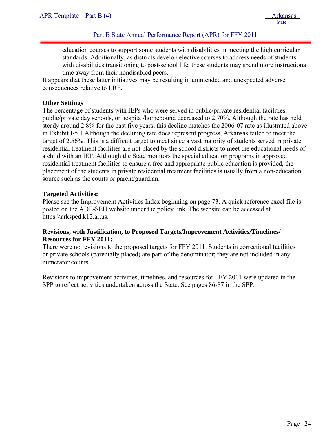education courses to support some students with disabilities in meeting the high curricular standards. Additionally, as districts develop elective courses to address needs of students with disabilities transitioning to post-school life, these students may spend more instructional time away from their nondisabled peers.

It appears that these latter initiatives may be resulting in unintended and unexpected adverse consequences relative to LRE.

## **Other Settings**

j

The percentage of students with IEPs who were served in public/private residential facilities, public/private day schools, or hospital/homebound decreased to 2.70%. Although the rate has held steady around 2.8% for the past five years, this decline matches the 2006-07 rate as illustrated above in Exhibit I-5.1 Although the declining rate does represent progress, Arkansas failed to meet the target of 2.56%. This is a difficult target to meet since a vast majority of students served in private residential treatment facilities are not placed by the school districts to meet the educational needs of a child with an IEP. Although the State monitors the special education programs in approved residential treatment facilities to ensure a free and appropriate public education is provided, the placement of the students in private residential treatment facilities is usually from a non-education source such as the courts or parent/guardian.

#### **Targeted Activities:**

Please see the Improvement Activities Index beginning on page 73. A quick reference excel file is posted on the ADE-SEU website under the policy link. The website can be accessed at https:\\arksped.k12.ar.us.

# **Revisions, with Justification, to Proposed Targets/Improvement Activities/Timelines/ Resources for FFY 2011:**

There were no revisions to the proposed targets for FFY 2011. Students in correctional facilities or private schools (parentally placed) are part of the denominator; they are not included in any numerator counts.

Revisions to improvement activities, timelines, and resources for FFY 2011 were updated in the SPP to reflect activities undertaken across the State. See pages 86-87 in the SPP.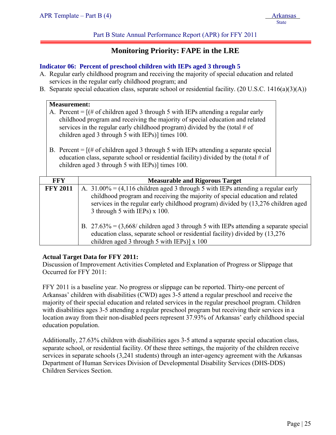Part B State Annual Performance Report (APR) for FFY 2011

# **Monitoring Priority: FAPE in the LRE**

## **Indicator 06: Percent of preschool children with IEPs aged 3 through 5**

- A. Regular early childhood program and receiving the majority of special education and related services in the regular early childhood program; and
- B. Separate special education class, separate school or residential facility. (20 U.S.C. 1416(a)(3)(A))

| <b>Measurement:</b><br>A. Percent = $[(# of children aged 3 through 5 with IEPs attending a regular early]$<br>childhood program and receiving the majority of special education and related<br>services in the regular early childhood program) divided by the (total $\#$ of<br>children aged 3 through 5 with IEPs)] times 100. |                                                                                                                                                                                                                                                                                                                       |  |  |
|------------------------------------------------------------------------------------------------------------------------------------------------------------------------------------------------------------------------------------------------------------------------------------------------------------------------------------|-----------------------------------------------------------------------------------------------------------------------------------------------------------------------------------------------------------------------------------------------------------------------------------------------------------------------|--|--|
| B. Percent = $[(# of children aged 3 through 5 with IEPs attending a separate special]$<br>education class, separate school or residential facility) divided by the (total $#$ of<br>children aged 3 through 5 with IEPs)] times 100.                                                                                              |                                                                                                                                                                                                                                                                                                                       |  |  |
| <b>FFY</b><br><b>Measurable and Rigorous Target</b>                                                                                                                                                                                                                                                                                |                                                                                                                                                                                                                                                                                                                       |  |  |
| <b>FFY 2011</b>                                                                                                                                                                                                                                                                                                                    | A. $31.00\% = (4.116 \text{ children aged } 3 \text{ through } 5 \text{ with IEPs attending a regular early})$<br>childhood program and receiving the majority of special education and related<br>services in the regular early childhood program) divided by (13,276 children aged<br>3 through 5 with IEPs) x 100. |  |  |
| B. $27.63\% = (3,668/\text{ children aged } 3 \text{ through } 5 \text{ with IEPs attending a separate special})$<br>education class, separate school or residential facility) divided by (13,276<br>children aged 3 through 5 with IEPs)] $x 100$                                                                                 |                                                                                                                                                                                                                                                                                                                       |  |  |

# **Actual Target Data for FFY 2011:**

Discussion of Improvement Activities Completed and Explanation of Progress or Slippage that Occurred for FFY 2011:

FFY 2011 is a baseline year. No progress or slippage can be reported. Thirty-one percent of Arkansas' children with disabilities (CWD) ages 3-5 attend a regular preschool and receive the majority of their special education and related services in the regular preschool program. Children with disabilities ages 3-5 attending a regular preschool program but receiving their services in a location away from their non-disabled peers represent 37.93% of Arkansas' early childhood special education population.

Additionally, 27.63% children with disabilities ages 3-5 attend a separate special education class, separate school, or residential facility. Of these three settings, the majority of the children receive services in separate schools (3,241 students) through an inter-agency agreement with the Arkansas Department of Human Services Division of Developmental Disability Services (DHS-DDS) Children Services Section.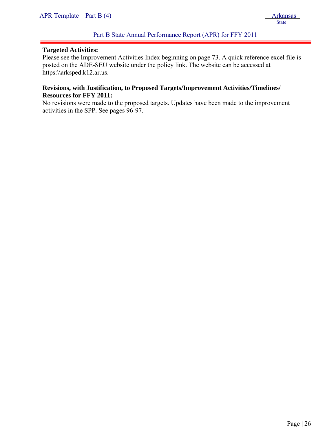#### **Targeted Activities:**

j

Please see the Improvement Activities Index beginning on page 73. A quick reference excel file is posted on the ADE-SEU website under the policy link. The website can be accessed at https:\\arksped.k12.ar.us.

# **Revisions, with Justification, to Proposed Targets/Improvement Activities/Timelines/ Resources for FFY 2011:**

No revisions were made to the proposed targets. Updates have been made to the improvement activities in the SPP. See pages 96-97.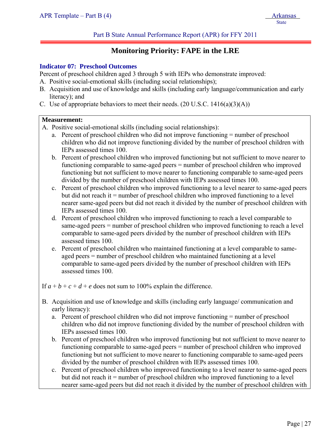# **Monitoring Priority: FAPE in the LRE**

## **Indicator 07: Preschool Outcomes**

Percent of preschool children aged 3 through 5 with IEPs who demonstrate improved:

- A. Positive social-emotional skills (including social relationships);
- B. Acquisition and use of knowledge and skills (including early language/communication and early literacy); and
- C. Use of appropriate behaviors to meet their needs.  $(20 \text{ U.S.C. } 1416(a)(3)(A))$

#### **Measurement:**

j

- A. Positive social-emotional skills (including social relationships):
	- a. Percent of preschool children who did not improve functioning = number of preschool children who did not improve functioning divided by the number of preschool children with IEPs assessed times 100.
	- b. Percent of preschool children who improved functioning but not sufficient to move nearer to functioning comparable to same-aged peers = number of preschool children who improved functioning but not sufficient to move nearer to functioning comparable to same-aged peers divided by the number of preschool children with IEPs assessed times 100.
	- c. Percent of preschool children who improved functioning to a level nearer to same-aged peers but did not reach it = number of preschool children who improved functioning to a level nearer same-aged peers but did not reach it divided by the number of preschool children with IEPs assessed times 100.
	- d. Percent of preschool children who improved functioning to reach a level comparable to same-aged peers = number of preschool children who improved functioning to reach a level comparable to same-aged peers divided by the number of preschool children with IEPs assessed times 100.
	- e. Percent of preschool children who maintained functioning at a level comparable to sameaged peers = number of preschool children who maintained functioning at a level comparable to same-aged peers divided by the number of preschool children with IEPs assessed times 100.

If  $a + b + c + d + e$  does not sum to 100% explain the difference.

- B. Acquisition and use of knowledge and skills (including early language/ communication and early literacy):
	- a. Percent of preschool children who did not improve functioning = number of preschool children who did not improve functioning divided by the number of preschool children with IEPs assessed times 100.
	- b. Percent of preschool children who improved functioning but not sufficient to move nearer to functioning comparable to same-aged peers = number of preschool children who improved functioning but not sufficient to move nearer to functioning comparable to same-aged peers divided by the number of preschool children with IEPs assessed times 100.
	- c. Percent of preschool children who improved functioning to a level nearer to same-aged peers but did not reach it = number of preschool children who improved functioning to a level nearer same-aged peers but did not reach it divided by the number of preschool children with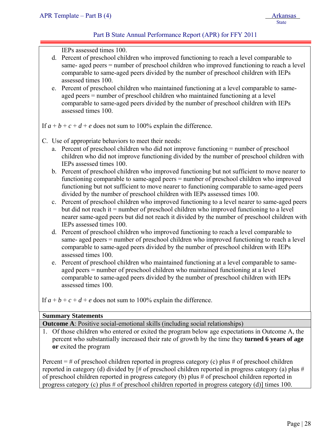# Part B State Annual Performance Report (APR) for FFY 2011

IEPs assessed times 100.

- d. Percent of preschool children who improved functioning to reach a level comparable to same- aged peers = number of preschool children who improved functioning to reach a level comparable to same-aged peers divided by the number of preschool children with IEPs assessed times 100.
- e. Percent of preschool children who maintained functioning at a level comparable to sameaged peers = number of preschool children who maintained functioning at a level comparable to same-aged peers divided by the number of preschool children with IEPs assessed times 100.

If  $a + b + c + d + e$  does not sum to 100% explain the difference.

- C. Use of appropriate behaviors to meet their needs:
	- a. Percent of preschool children who did not improve functioning = number of preschool children who did not improve functioning divided by the number of preschool children with IEPs assessed times 100.
	- b. Percent of preschool children who improved functioning but not sufficient to move nearer to functioning comparable to same-aged peers = number of preschool children who improved functioning but not sufficient to move nearer to functioning comparable to same-aged peers divided by the number of preschool children with IEPs assessed times 100.
	- c. Percent of preschool children who improved functioning to a level nearer to same-aged peers but did not reach it = number of preschool children who improved functioning to a level nearer same-aged peers but did not reach it divided by the number of preschool children with IEPs assessed times 100.
	- d. Percent of preschool children who improved functioning to reach a level comparable to same- aged peers = number of preschool children who improved functioning to reach a level comparable to same-aged peers divided by the number of preschool children with IEPs assessed times 100.
	- e. Percent of preschool children who maintained functioning at a level comparable to sameaged peers = number of preschool children who maintained functioning at a level comparable to same-aged peers divided by the number of preschool children with IEPs assessed times 100.

If  $a + b + c + d + e$  does not sum to 100% explain the difference.

# **Summary Statements**

**Outcome A**: Positive social-emotional skills (including social relationships)

1. Of those children who entered or exited the program below age expectations in Outcome A, the percent who substantially increased their rate of growth by the time they **turned 6 years of age or** exited the program

Percent  $=$  # of preschool children reported in progress category (c) plus # of preschool children reported in category (d) divided by [# of preschool children reported in progress category (a) plus # of preschool children reported in progress category (b) plus # of preschool children reported in progress category (c) plus # of preschool children reported in progress category (d)] times 100.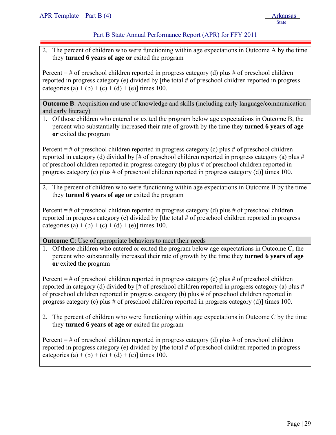# Part B State Annual Performance Report (APR) for FFY 2011

2. The percent of children who were functioning within age expectations in Outcome A by the time they **turned 6 years of age or** exited the program

Percent  $=$  # of preschool children reported in progress category (d) plus # of preschool children reported in progress category (e) divided by [the total # of preschool children reported in progress categories (a) + (b) + (c) + (d) + (e)] times 100.

**Outcome B**: Acquisition and use of knowledge and skills (including early language/communication and early literacy)

1. Of those children who entered or exited the program below age expectations in Outcome B, the percent who substantially increased their rate of growth by the time they **turned 6 years of age or** exited the program

Percent  $=$  # of preschool children reported in progress category (c) plus # of preschool children reported in category (d) divided by [# of preschool children reported in progress category (a) plus # of preschool children reported in progress category (b) plus # of preschool children reported in progress category (c) plus # of preschool children reported in progress category (d)] times 100.

2. The percent of children who were functioning within age expectations in Outcome B by the time they **turned 6 years of age or** exited the program

Percent  $=$  # of preschool children reported in progress category (d) plus # of preschool children reported in progress category (e) divided by [the total # of preschool children reported in progress categories (a) + (b) + (c) + (d) + (e)] times 100.

**Outcome C**: Use of appropriate behaviors to meet their needs

1. Of those children who entered or exited the program below age expectations in Outcome C, the percent who substantially increased their rate of growth by the time they **turned 6 years of age or** exited the program

Percent  $=$  # of preschool children reported in progress category (c) plus # of preschool children reported in category (d) divided by [# of preschool children reported in progress category (a) plus # of preschool children reported in progress category (b) plus # of preschool children reported in progress category (c) plus # of preschool children reported in progress category (d)] times 100.

2. The percent of children who were functioning within age expectations in Outcome C by the time they **turned 6 years of age or** exited the program

Percent  $=$  # of preschool children reported in progress category (d) plus # of preschool children reported in progress category (e) divided by [the total # of preschool children reported in progress categories (a) + (b) + (c) + (d) + (e)] times 100.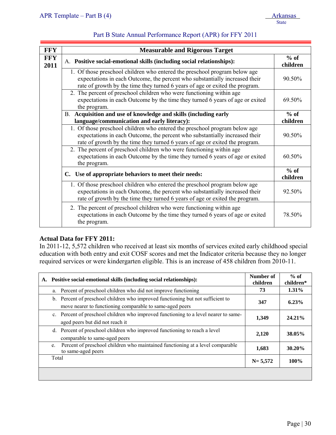| <b>FFY</b>         | <b>Measurable and Rigorous Target</b>                                                                                                                                                                                                     |                    |  |  |
|--------------------|-------------------------------------------------------------------------------------------------------------------------------------------------------------------------------------------------------------------------------------------|--------------------|--|--|
| <b>FFY</b><br>2011 | A. Positive social-emotional skills (including social relationships):                                                                                                                                                                     | $%$ of<br>children |  |  |
|                    | 1. Of those preschool children who entered the preschool program below age<br>expectations in each Outcome, the percent who substantially increased their<br>rate of growth by the time they turned 6 years of age or exited the program. | 90.50%             |  |  |
|                    | 2. The percent of preschool children who were functioning within age<br>expectations in each Outcome by the time they turned 6 years of age or exited<br>the program.                                                                     | 69.50%             |  |  |
|                    | B. Acquisition and use of knowledge and skills (including early                                                                                                                                                                           | $%$ of             |  |  |
|                    | language/communication and early literacy):                                                                                                                                                                                               | children           |  |  |
|                    | 1. Of those preschool children who entered the preschool program below age<br>expectations in each Outcome, the percent who substantially increased their<br>rate of growth by the time they turned 6 years of age or exited the program. | 90.50%             |  |  |
|                    | 2. The percent of preschool children who were functioning within age<br>expectations in each Outcome by the time they turned 6 years of age or exited<br>the program.                                                                     | 60.50%             |  |  |
|                    | C. Use of appropriate behaviors to meet their needs:                                                                                                                                                                                      |                    |  |  |
|                    | 1. Of those preschool children who entered the preschool program below age<br>expectations in each Outcome, the percent who substantially increased their<br>rate of growth by the time they turned 6 years of age or exited the program. | 92.50%             |  |  |
|                    | 2. The percent of preschool children who were functioning within age<br>expectations in each Outcome by the time they turned 6 years of age or exited<br>the program.                                                                     | 78.50%             |  |  |

# **Actual Data for FFY 2011:**

In 2011-12, 5,572 children who received at least six months of services exited early childhood special education with both entry and exit COSF scores and met the Indicator criteria because they no longer required services or were kindergarten eligible. This is an increase of 458 children from 2010-11.

| А. | Positive social-emotional skills (including social relationships):                                                                          | Number of<br>children | $%$ of<br>children* |
|----|---------------------------------------------------------------------------------------------------------------------------------------------|-----------------------|---------------------|
|    | Percent of preschool children who did not improve functioning<br>a.                                                                         | 73                    | $1.31\%$            |
|    | b. Percent of preschool children who improved functioning but not sufficient to<br>move nearer to functioning comparable to same-aged peers | 347                   | 6.23%               |
|    | c. Percent of preschool children who improved functioning to a level nearer to same-<br>aged peers but did not reach it                     | 1,349                 | 24.21%              |
|    | d. Percent of preschool children who improved functioning to reach a level<br>comparable to same-aged peers                                 | 2,120                 | 38.05%              |
|    | Percent of preschool children who maintained functioning at a level comparable<br>e.<br>to same-aged peers                                  | 1,683                 | 30.20%              |
|    | Total                                                                                                                                       | $N = 5,572$           | 100%                |
|    |                                                                                                                                             |                       |                     |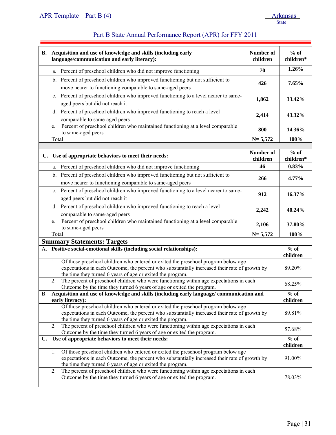|                                                                                                                                                                                                                                                        | B. Acquisition and use of knowledge and skills (including early<br>language/communication and early literacy):                                             | Number of<br>children | $%$ of<br>children*                     |
|--------------------------------------------------------------------------------------------------------------------------------------------------------------------------------------------------------------------------------------------------------|------------------------------------------------------------------------------------------------------------------------------------------------------------|-----------------------|-----------------------------------------|
|                                                                                                                                                                                                                                                        | a. Percent of preschool children who did not improve functioning                                                                                           | 70                    | 1.26%                                   |
|                                                                                                                                                                                                                                                        | b. Percent of preschool children who improved functioning but not sufficient to                                                                            | 426                   | 7.65%                                   |
|                                                                                                                                                                                                                                                        | move nearer to functioning comparable to same-aged peers                                                                                                   |                       |                                         |
|                                                                                                                                                                                                                                                        | c. Percent of preschool children who improved functioning to a level nearer to same-                                                                       | 1,862                 | 33.42%                                  |
|                                                                                                                                                                                                                                                        | aged peers but did not reach it                                                                                                                            |                       |                                         |
|                                                                                                                                                                                                                                                        | d. Percent of preschool children who improved functioning to reach a level<br>comparable to same-aged peers                                                | 2,414                 | 43.32%                                  |
|                                                                                                                                                                                                                                                        | Percent of preschool children who maintained functioning at a level comparable<br>e.<br>to same-aged peers                                                 | 800                   | 14.36%                                  |
|                                                                                                                                                                                                                                                        | Total                                                                                                                                                      | $N = 5,572$           | 100%                                    |
|                                                                                                                                                                                                                                                        |                                                                                                                                                            |                       |                                         |
|                                                                                                                                                                                                                                                        | C. Use of appropriate behaviors to meet their needs:                                                                                                       | Number of<br>children | $%$ of<br>children*                     |
|                                                                                                                                                                                                                                                        | a. Percent of preschool children who did not improve functioning                                                                                           | 46                    | 0.83%                                   |
|                                                                                                                                                                                                                                                        | b. Percent of preschool children who improved functioning but not sufficient to                                                                            | 266                   | 4.77%                                   |
|                                                                                                                                                                                                                                                        | move nearer to functioning comparable to same-aged peers                                                                                                   |                       |                                         |
|                                                                                                                                                                                                                                                        | c. Percent of preschool children who improved functioning to a level nearer to same-                                                                       | 912                   | 16.37%                                  |
|                                                                                                                                                                                                                                                        | aged peers but did not reach it                                                                                                                            |                       |                                         |
|                                                                                                                                                                                                                                                        | d. Percent of preschool children who improved functioning to reach a level                                                                                 | 2,242                 | 40.24%                                  |
|                                                                                                                                                                                                                                                        | comparable to same-aged peers                                                                                                                              |                       |                                         |
|                                                                                                                                                                                                                                                        | Percent of preschool children who maintained functioning at a level comparable<br>e.<br>to same-aged peers                                                 | 2,106                 | 37.80%                                  |
|                                                                                                                                                                                                                                                        | Total                                                                                                                                                      | $N = 5,572$           | 100%                                    |
| <b>Summary Statements: Targets</b>                                                                                                                                                                                                                     |                                                                                                                                                            |                       |                                         |
|                                                                                                                                                                                                                                                        | A. Positive social-emotional skills (including social relationships):                                                                                      |                       | $\overline{\frac{9}{6}}$ of<br>children |
|                                                                                                                                                                                                                                                        | Of those preschool children who entered or exited the preschool program below age<br>1.                                                                    |                       |                                         |
|                                                                                                                                                                                                                                                        | expectations in each Outcome, the percent who substantially increased their rate of growth by                                                              |                       | 89.20%                                  |
|                                                                                                                                                                                                                                                        | the time they turned 6 years of age or exited the program.                                                                                                 |                       |                                         |
| The percent of preschool children who were functioning within age expectations in each<br>2.<br>Outcome by the time they turned 6 years of age or exited the program.                                                                                  |                                                                                                                                                            |                       | 68.25%                                  |
| Acquisition and use of knowledge and skills (including early language/ communication and<br><b>B.</b><br>early literacy):                                                                                                                              |                                                                                                                                                            |                       | $%$ of<br>children                      |
|                                                                                                                                                                                                                                                        | Of those preschool children who entered or exited the preschool program below age<br>1.                                                                    |                       |                                         |
|                                                                                                                                                                                                                                                        | expectations in each Outcome, the percent who substantially increased their rate of growth by                                                              |                       | 89.81%                                  |
|                                                                                                                                                                                                                                                        | the time they turned 6 years of age or exited the program.<br>The percent of preschool children who were functioning within age expectations in each<br>2. |                       |                                         |
| Outcome by the time they turned 6 years of age or exited the program.                                                                                                                                                                                  |                                                                                                                                                            |                       | 57.68%                                  |
| Use of appropriate behaviors to meet their needs:<br>C.                                                                                                                                                                                                |                                                                                                                                                            |                       | $%$ of                                  |
|                                                                                                                                                                                                                                                        |                                                                                                                                                            |                       | children                                |
| Of those preschool children who entered or exited the preschool program below age<br>1.<br>expectations in each Outcome, the percent who substantially increased their rate of growth by<br>the time they turned 6 years of age or exited the program. |                                                                                                                                                            |                       | 91.00%                                  |
| The percent of preschool children who were functioning within age expectations in each<br>2.<br>Outcome by the time they turned 6 years of age or exited the program.                                                                                  |                                                                                                                                                            |                       | 78.03%                                  |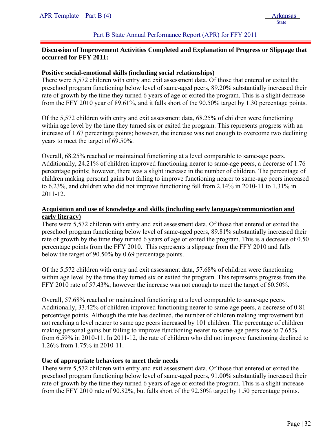## Part B State Annual Performance Report (APR) for FFY 2011

# **Discussion of Improvement Activities Completed and Explanation of Progress or Slippage that occurred for FFY 2011:**

#### **Positive social-emotional skills (including social relationships)**

There were 5,572 children with entry and exit assessment data. Of those that entered or exited the preschool program functioning below level of same-aged peers, 89.20% substantially increased their rate of growth by the time they turned 6 years of age or exited the program. This is a slight decrease from the FFY 2010 year of 89.61%, and it falls short of the 90.50% target by 1.30 percentage points.

Of the 5,572 children with entry and exit assessment data, 68.25% of children were functioning within age level by the time they turned six or exited the program. This represents progress with an increase of 1.67 percentage points; however, the increase was not enough to overcome two declining years to meet the target of 69.50%.

Overall, 68.25% reached or maintained functioning at a level comparable to same-age peers. Additionally, 24.21% of children improved functioning nearer to same-age peers, a decrease of 1.76 percentage points; however, there was a slight increase in the number of children. The percentage of children making personal gains but failing to improve functioning nearer to same-age peers increased to 6.23%, and children who did not improve functioning fell from 2.14% in 2010-11 to 1.31% in 2011-12.

# **Acquisition and use of knowledge and skills (including early language/communication and early literacy)**

There were 5,572 children with entry and exit assessment data. Of those that entered or exited the preschool program functioning below level of same-aged peers, 89.81% substantially increased their rate of growth by the time they turned 6 years of age or exited the program. This is a decrease of 0.50 percentage points from the FFY 2010. This represents a slippage from the FFY 2010 and falls below the target of 90.50% by 0.69 percentage points.

Of the 5,572 children with entry and exit assessment data, 57.68% of children were functioning within age level by the time they turned six or exited the program. This represents progress from the FFY 2010 rate of 57.43%; however the increase was not enough to meet the target of 60.50%.

Overall, 57.68% reached or maintained functioning at a level comparable to same-age peers. Additionally, 33.42% of children improved functioning nearer to same-age peers, a decrease of 0.81 percentage points. Although the rate has declined, the number of children making improvement but not reaching a level nearer to same age peers increased by 101 children. The percentage of children making personal gains but failing to improve functioning nearer to same-age peers rose to 7.65% from 6.59% in 2010-11. In 2011-12, the rate of children who did not improve functioning declined to 1.26% from 1.75% in 2010-11.

#### **Use of appropriate behaviors to meet their needs**

There were 5,572 children with entry and exit assessment data. Of those that entered or exited the preschool program functioning below level of same-aged peers, 91.00% substantially increased their rate of growth by the time they turned 6 years of age or exited the program. This is a slight increase from the FFY 2010 rate of 90.82%, but falls short of the 92.50% target by 1.50 percentage points.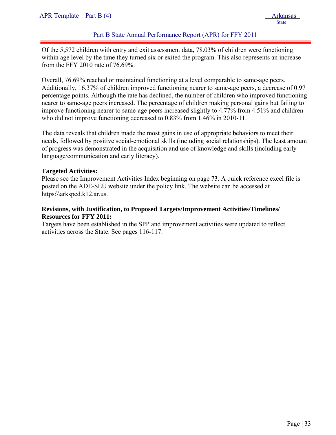# Part B State Annual Performance Report (APR) for FFY 2011

Of the 5,572 children with entry and exit assessment data, 78.03% of children were functioning within age level by the time they turned six or exited the program. This also represents an increase from the FFY 2010 rate of 76.69%.

Overall, 76.69% reached or maintained functioning at a level comparable to same-age peers. Additionally, 16.37% of children improved functioning nearer to same-age peers, a decrease of 0.97 percentage points. Although the rate has declined, the number of children who improved functioning nearer to same-age peers increased. The percentage of children making personal gains but failing to improve functioning nearer to same-age peers increased slightly to 4.77% from 4.51% and children who did not improve functioning decreased to  $0.83\%$  from 1.46% in 2010-11.

The data reveals that children made the most gains in use of appropriate behaviors to meet their needs, followed by positive social-emotional skills (including social relationships). The least amount of progress was demonstrated in the acquisition and use of knowledge and skills (including early language/communication and early literacy).

# **Targeted Activities:**

Please see the Improvement Activities Index beginning on page 73. A quick reference excel file is posted on the ADE-SEU website under the policy link. The website can be accessed at https:\\arksped.k12.ar.us.

# **Revisions, with Justification, to Proposed Targets/Improvement Activities/Timelines/ Resources for FFY 2011:**

Targets have been established in the SPP and improvement activities were updated to reflect activities across the State. See pages 116-117.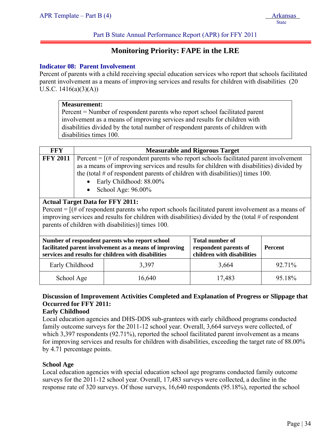Part B State Annual Performance Report (APR) for FFY 2011

# **Monitoring Priority: FAPE in the LRE**

# **Indicator 08: Parent Involvement**

Percent of parents with a child receiving special education services who report that schools facilitated parent involvement as a means of improving services and results for children with disabilities (20 U.S.C.  $1416(a)(3)(A)$ 

|                                                                                                                                                                                                                                                                                                                                                                                                                                                                                                                                                                                                                                                                                                         | <b>Measurement:</b><br>Percent = Number of respondent parents who report school facilitated parent<br>involvement as a means of improving services and results for children with<br>disabilities divided by the total number of respondent parents of children with<br>disabilities times 100. |        |        |        |
|---------------------------------------------------------------------------------------------------------------------------------------------------------------------------------------------------------------------------------------------------------------------------------------------------------------------------------------------------------------------------------------------------------------------------------------------------------------------------------------------------------------------------------------------------------------------------------------------------------------------------------------------------------------------------------------------------------|------------------------------------------------------------------------------------------------------------------------------------------------------------------------------------------------------------------------------------------------------------------------------------------------|--------|--------|--------|
| <b>FFY</b>                                                                                                                                                                                                                                                                                                                                                                                                                                                                                                                                                                                                                                                                                              |                                                                                                                                                                                                                                                                                                |        |        |        |
| <b>Measurable and Rigorous Target</b><br><b>FFY 2011</b><br>Percent = $[(# of respondent parents who report schools facilitated parent involvement$<br>as a means of improving services and results for children with disabilities) divided by<br>the (total $\#$ of respondent parents of children with disabilities)] times 100.<br>Early Childhood: 88.00%<br>School Age: 96.00%<br><b>Actual Target Data for FFY 2011:</b><br>Percent = $[(# of respondent parents who report schools facilitated parent involvement as a means of$<br>improving services and results for children with disabilities) divided by the (total $#$ of respondent<br>parents of children with disabilities)] times 100. |                                                                                                                                                                                                                                                                                                |        |        |        |
| <b>Total number of</b><br>Number of respondent parents who report school<br>facilitated parent involvement as a means of improving<br><b>Percent</b><br>respondent parents of<br>children with disabilities<br>services and results for children with disabilities                                                                                                                                                                                                                                                                                                                                                                                                                                      |                                                                                                                                                                                                                                                                                                |        |        |        |
| Early Childhood<br>3,397                                                                                                                                                                                                                                                                                                                                                                                                                                                                                                                                                                                                                                                                                |                                                                                                                                                                                                                                                                                                |        | 3,664  | 92.71% |
| School Age                                                                                                                                                                                                                                                                                                                                                                                                                                                                                                                                                                                                                                                                                              |                                                                                                                                                                                                                                                                                                | 16,640 | 17,483 | 95.18% |

# **Discussion of Improvement Activities Completed and Explanation of Progress or Slippage that Occurred for FFY 2011:**

# **Early Childhood**

Local education agencies and DHS-DDS sub-grantees with early childhood programs conducted family outcome surveys for the 2011-12 school year. Overall, 3,664 surveys were collected, of which 3,397 respondents (92.71%), reported the school facilitated parent involvement as a means for improving services and results for children with disabilities, exceeding the target rate of 88.00% by 4.71 percentage points.

# **School Age**

Local education agencies with special education school age programs conducted family outcome surveys for the 2011-12 school year. Overall, 17,483 surveys were collected, a decline in the response rate of 320 surveys. Of those surveys, 16,640 respondents (95.18%), reported the school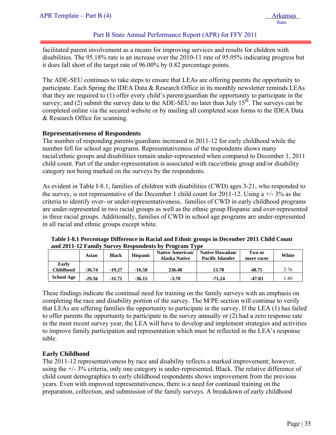# Part B State Annual Performance Report (APR) for FFY 2011

facilitated parent involvement as a means for improving services and results for children with disabilities. The 95.18% rate is an increase over the 2010-11 rate of 95.05% indicating progress but it does fall short of the target rate of 96.00% by 0.82 percentage points.

The ADE-SEU continues to take steps to ensure that LEAs are offering parents the opportunity to participate. Each Spring the IDEA Data & Research Office in its monthly newsletter reminds LEAs that they are required to (1) offer every child's parent/guardian the opportunity to participate in the survey; and (2) submit the survey data to the ADE-SEU no later than July  $15<sup>th</sup>$ . The surveys can be completed online via the secured website or by mailing all completed scan forms to the IDEA Data & Research Office for scanning.

### **Representativeness of Respondents**

The number of responding parents/guardians increased in 2011-12 for early childhood while the number fell for school age programs. Representativeness of the respondents shows many racial/ethnic groups and disabilities remain under-represented when compared to December 1, 2011 child count. Part of the under-representation is associated with race/ethnic group and/or disability category not being marked on the surveys by the respondents.

As evident in Table I-8.1, families of children with disabilities (CWD) ages 3-21, who responded to the survey, is not representative of the December 1 child count for 2011-12. Using  $a +1$ - 3% as the criteria to identify over- or under-representativeness, families of CWD in early childhood programs are under-represented in two racial groups as well as the ethnic group Hispanic and over-represented in three racial groups. Additionally, families of CWD in school age programs are under-represented in all racial and ethnic groups except white.

|                    | Asian    | <b>Black</b> | <b>Hispanic</b> | <b>Native American/</b><br><b>Alaska Native</b> | Native Hawaiian/<br><b>Pacific Islander</b> | Two or<br>more races | White |
|--------------------|----------|--------------|-----------------|-------------------------------------------------|---------------------------------------------|----------------------|-------|
| Early<br>Childhood | $-36.74$ | $-19.27$     | $-16.58$        | 236.48                                          | 13.78                                       | 48.75                | 2.76  |
| <b>School Age</b>  | $-29.56$ | $-31.71$     | $-36.15$        | $-3.70$                                         | $-71.24$                                    | $-47.03$             | l.40  |

**Table I-8.1 Percentage Difference in Racial and Ethnic groups in December 2011 Child Count and 2011-12 Family Survey Respondents by Program Type** 

These findings indicate the continual need for training on the family surveys with an emphasis on completing the race and disability portion of the survey. The M/PE section will continue to verify that LEAs are offering families the opportunity to participate in the survey. If the LEA (1) has failed to offer parents the opportunity to participate in the survey annually or (2) had a zero response rate in the most recent survey year, the LEA will have to develop and implement strategies and activities to improve family participation and representation which must be reflected in the LEA's response table.

# **Early Childhood**

The 2011-12 representativeness by race and disability reflects a marked improvement; however, using the +/- 3% criteria, only one category is under-represented, Black. The relative difference of child count demographics to early childhood respondents shows improvement from the previous years. Even with improved representativeness, there is a need for continual training on the preparation, collection, and submission of the family surveys. A breakdown of early childhood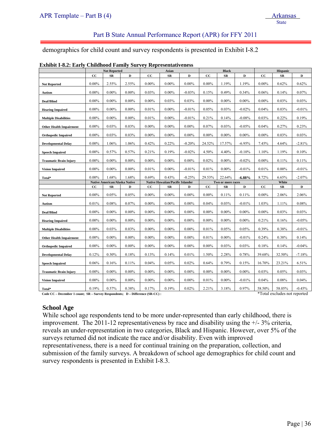# Part B State Annual Performance Report (APR) for FFY 2011

demographics for child count and survey respondents is presented in Exhibit I-8.2

|                                |             | <b>Not Reported</b>                  |             |             | Asian                                   |          |          | <b>Black</b>      |           |             | <b>Hispanic</b> |          |
|--------------------------------|-------------|--------------------------------------|-------------|-------------|-----------------------------------------|----------|----------|-------------------|-----------|-------------|-----------------|----------|
|                                | cc          | $_{SR}$                              | $\mathbf D$ | cc          | SR                                      | D        | cc       | <b>SR</b>         | D         | cc          | SR              | D        |
| <b>Not Reported</b>            | $0.00\%$    | 2.55%                                | 2.55%       | $0.00\%$    | $0.00\%$                                | $0.00\%$ | $0.00\%$ | 1.19%             | 1.19%     | $0.00\%$    | 0.62%           | 0.62%    |
| Autism                         | $0.00\%$    | $0.00\%$                             | $0.00\%$    | 0.03%       | $0.00\%$                                | $-0.03%$ | 0.15%    | 0.49%             | 0.34%     | 0.06%       | 0.14%           | 0.07%    |
| Deaf/Blind                     | $0.00\%$    | $0.00\%$                             | $0.00\%$    | $0.00\%$    | 0.03%                                   | 0.03%    | $0.00\%$ | $0.00\%$          | $0.00\%$  | $0.00\%$    | 0.03%           | 0.03%    |
| <b>Hearing Impaired</b>        | $0.00\%$    | $0.00\%$                             | $0.00\%$    | 0.01%       | $0.00\%$                                | $-0.01%$ | 0.05%    | 0.03%             | $-0.02%$  | 0.04%       | 0.03%           | $-0.01%$ |
| <b>Multiple Disabilities</b>   | $0.00\%$    | $0.00\%$                             | $0.00\%$    | 0.01%       | $0.00\%$                                | $-0.01%$ | 0.21%    | 0.14%             | $-0.08%$  | 0.03%       | $0.22\%$        | 0.19%    |
| <b>Other Health Impairment</b> | $0.00\%$    | 0.03%                                | 0.03%       | $0.00\%$    | $0.00\%$                                | $0.00\%$ | 0.07%    | 0.03%             | $-0.05%$  | 0.04%       | 0.27%           | 0.23%    |
| <b>Orthopedic Impaired</b>     | $0.00\%$    | 0.03%                                | 0.03%       | $0.00\%$    | $0.00\%$                                | $0.00\%$ | $0.00\%$ | $0.00\%$          | $0.00\%$  | $0.00\%$    | 0.03%           | 0.03%    |
| <b>Developmental Delay</b>     | $0.00\%$    | 1.06%                                | 1.06%       | 0.42%       | 0.22%                                   | $-0.20%$ | 24.52%   | 17.57%            | $-6.95%$  | 7.45%       | 4.64%           | $-2.81%$ |
| <b>Speech Impaired</b>         | $0.00\%$    | 0.57%                                | 0.57%       | 0.21%       | 0.19%                                   | $-0.02%$ | 4.50%    | 4.40%             | $-0.10%$  | 1.10%       | 1.19%           | 0.10%    |
| <b>Traumatic Brain Injury</b>  | $0.00\%$    | $0.00\%$                             | $0.00\%$    | $0.00\%$    | $0.00\%$                                | $0.00\%$ | 0.02%    | $0.00\%$          | $-0.02%$  | $0.00\%$    | 0.11%           | 0.11%    |
| <b>Vision Impaired</b>         | $0.00\%$    | $0.00\%$                             | $0.00\%$    | 0.01%       | $0.00\%$                                | $-0.01%$ | 0.01%    | $0.00\%$          | $-0.01%$  | 0.01%       | $0.00\%$        | $-0.01%$ |
| Total*                         | $0.00\%$    | 1.68%                                | 1.68%       | 0.69%       | 0.43%                                   | $-0.25%$ | 29.53%   | 22.64%            | $-6.88\%$ | 8.72%       | 6.65%           | $-2.07%$ |
|                                |             | <b>Native American/Alaska Native</b> |             |             | <b>Native Hawaiian/Pacific Islander</b> |          |          | Two or more races |           |             | White           |          |
|                                | $_{\rm cc}$ | SR                                   | D           | $_{\rm cc}$ | SR                                      | D        | cc       | SR                | D         | $_{\rm CC}$ | SR              | D        |
| <b>Not Reported</b>            | $0.00\%$    | 0.05%                                | 0.05%       | $0.00\%$    | $0.00\%$                                | $0.00\%$ | $0.00\%$ | 0.11%             | 0.11%     | $0.00\%$    | 2.06%           | 2.06%    |
| Autism                         | 0.01%       | 0.08%                                | 0.07%       | $0.00\%$    | $0.00\%$                                | $0.00\%$ | 0.04%    | 0.03%             | $-0.01%$  | 1.03%       | 1.11%           | 0.08%    |
| Deaf/Blind                     | $0.00\%$    | $0.00\%$                             | $0.00\%$    | $0.00\%$    | $0.00\%$                                | $0.00\%$ | $0.00\%$ | $0.00\%$          | $0.00\%$  | $0.00\%$    | 0.03%           | 0.03%    |
| <b>Hearing Impaired</b>        | $0.00\%$    | $0.00\%$                             | $0.00\%$    | $0.00\%$    | $0.00\%$                                | $0.00\%$ | $0.00\%$ | $0.00\%$          | $0.00\%$  | 0.21%       | 0.16%           | $-0.05%$ |
| <b>Multiple Disabilities</b>   | $0.00\%$    | 0.03%                                | 0.03%       | $0.00\%$    | $0.00\%$                                | $0.00\%$ | 0.01%    | 0.05%             | 0.05%     | 0.39%       | 0.38%           | $-0.01%$ |
| <b>Other Health Impairment</b> | $0.00\%$    | $0.00\%$                             | $0.00\%$    | $0.00\%$    | $0.00\%$                                | $0.00\%$ | 0.01%    | $0.00\%$          | $-0.01%$  | 0.24%       | 0.38%           | 0.14%    |
| <b>Orthopedic Impaired</b>     | $0.00\%$    | $0.00\%$                             | $0.00\%$    | $0.00\%$    | $0.00\%$                                | $0.00\%$ | $0.00\%$ | 0.03%             | 0.03%     | 0.18%       | 0.14%           | $-0.04%$ |
| <b>Developmental Delay</b>     | 0.12%       | 0.30%                                | 0.18%       | 0.13%       | 0.14%                                   | 0.01%    | 1.50%    | 2.28%             | 0.78%     | 39.68%      | 32.50%          | $-7.18%$ |
| <b>Speech Impaired</b>         | 0.06%       | 0.16%                                | 0.11%       | 0.04%       | 0.05%                                   | 0.02%    | 0.64%    | 0.79%             | 0.15%     | 16.70%      | 23.21%          | 6.51%    |
| <b>Traumatic Brain Injury</b>  | $0.00\%$    | $0.00\%$                             | $0.00\%$    | $0.00\%$    | $0.00\%$                                | $0.00\%$ | $0.00\%$ | $0.00\%$          | $0.00\%$  | 0.03%       | 0.05%           | 0.03%    |
| <b>Vision Impaired</b>         | $0.00\%$    | $0.00\%$                             | $0.00\%$    | $0.00\%$    | $0.00\%$                                | $0.00\%$ | 0.01%    | $0.00\%$          | $-0.01%$  | 0.04%       | 0.08%           | 0.04%    |
|                                |             |                                      |             |             |                                         |          |          |                   |           |             |                 |          |

| <b>Exhibit I-8.2: Early Childhood Family Survey Representativeness</b> |  |
|------------------------------------------------------------------------|--|
|------------------------------------------------------------------------|--|

Code CC – December 1 count; SR – Survey Respondents; D – Difference (SR-CC) : \*\* Total excludes not reported

### **School Age**

While school age respondents tend to be more under-represented than early childhood, there is improvement. The 2011-12 representativeness by race and disability using the +/- 3% criteria, reveals an under-representation in two categories, Black and Hispanic. However, over 5% of the surveys returned did not indicate the race and/or disability. Even with improved representativeness, there is a need for continual training on the preparation, collection, and submission of the family surveys. A breakdown of school age demographics for child count and survey respondents is presented in Exhibit I-8.3.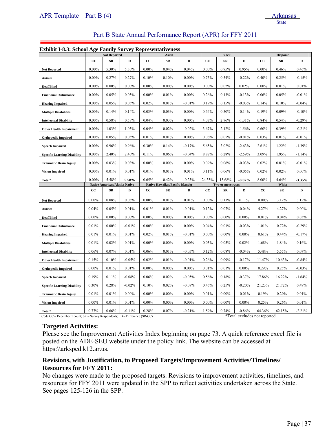# Part B State Annual Performance Report (APR) for FFY 2011

#### **Exhibit I-8.3: School Age Family Survey Representativeness**

| емный 1-6.5. эснові дре ганніў эмі усу кергезенши снезз |          | <b>Not Reported</b>                  |             |          | Asian                                   |             |          | <b>Black</b>      |             |          | <b>Hispanic</b> |             |
|---------------------------------------------------------|----------|--------------------------------------|-------------|----------|-----------------------------------------|-------------|----------|-------------------|-------------|----------|-----------------|-------------|
|                                                         | cc       | ${\bf SR}$                           | $\mathbf D$ | cc       | ${\bf SR}$                              | $\mathbf D$ | cc       | ${\bf SR}$        | $\mathbf D$ | cc       | ${\bf SR}$      | $\mathbf D$ |
| <b>Not Reported</b>                                     | $0.00\%$ | 5.30%                                | 5.30%       | $0.00\%$ | 0.04%                                   | 0.04%       | $0.00\%$ | 0.95%             | 0.95%       | $0.00\%$ | 0.46%           | 0.46%       |
| Autism                                                  | $0.00\%$ | 0.27%                                | 0.27%       | 0.10%    | 0.10%                                   | $0.00\%$    | 0.75%    | 0.54%             | $-0.22%$    | 0.40%    | 0.25%           | $-0.15%$    |
| Deaf/Blind                                              | $0.00\%$ | $0.00\%$                             | $0.00\%$    | $0.00\%$ | $0.00\%$                                | $0.00\%$    | $0.00\%$ | 0.02%             | 0.02%       | $0.00\%$ | 0.01%           | 0.01%       |
| <b>Emotional Disturbance</b>                            | $0.00\%$ | 0.05%                                | 0.05%       | $0.00\%$ | 0.01%                                   | $0.00\%$    | 0.26%    | 0.13%             | $-0.13%$    | 0.06%    | 0.05%           | $-0.01%$    |
| <b>Hearing Impaired</b>                                 | $0.00\%$ | 0.05%                                | 0.05%       | 0.02%    | 0.01%                                   | $-0.01%$    | 0.19%    | 0.15%             | $-0.03%$    | 0.14%    | 0.10%           | $-0.04%$    |
| <b>Multiple Disabilities</b>                            | $0.00\%$ | 0.14%                                | 0.14%       | 0.03%    | 0.03%                                   | $0.00\%$    | 0.64%    | 0.50%             | $-0.14%$    | 0.19%    | 0.09%           | $-0.10%$    |
| <b>Intellectual Disability</b>                          | $0.00\%$ | 0.58%                                | 0.58%       | 0.04%    | 0.03%                                   | $0.00\%$    | 4.07%    | 2.76%             | $-1.31%$    | 0.84%    | 0.54%           | $-0.29%$    |
| <b>Other Health Impairment</b>                          | $0.00\%$ | 1.03%                                | 1.03%       | 0.04%    | 0.02%                                   | $-0.02%$    | 3.67%    | 2.12%             | $-1.56%$    | 0.60%    | 0.39%           | $-0.21%$    |
| <b>Orthopedic Impaired</b>                              | $0.00\%$ | 0.05%                                | 0.05%       | 0.01%    | 0.01%                                   | $0.00\%$    | 0.06%    | 0.05%             | $-0.01%$    | 0.03%    | 0.01%           | $-0.01%$    |
| <b>Speech Impaired</b>                                  | $0.00\%$ | 0.96%                                | 0.96%       | 0.30%    | 0.14%                                   | $-0.17%$    | 5.65%    | 3.02%             | $-2.63%$    | 2.61%    | 1.22%           | $-1.39%$    |
| <b>Specific Learning Disability</b>                     | $0.00\%$ | 2.40%                                | 2.40%       | 0.11%    | 0.06%                                   | $-0.04%$    | 8.87%    | 6.28%             | $-2.59%$    | 3.09%    | 1.95%           | $-1.14%$    |
| <b>Traumatic Brain Injury</b>                           | $0.00\%$ | 0.03%                                | 0.03%       | $0.00\%$ | $0.00\%$                                | $0.00\%$    | 0.09%    | 0.06%             | $-0.03%$    | 0.02%    | 0.01%           | $-0.01%$    |
| <b>Vision Impaired</b>                                  | $0.00\%$ | 0.01%                                | 0.01%       | 0.01%    | 0.01%                                   | 0.01%       | 0.11%    | 0.06%             | $-0.05%$    | 0.02%    | 0.02%           | $0.00\%$    |
| Total*                                                  | $0.00\%$ | 5.58%                                | 5.58%       | 0.65%    | 0.42%                                   | $-0.23%$    | 24.35%   | 15.68%            | $-8.67%$    | 8.00%    | 4.64%           | $-3.35%$    |
|                                                         |          |                                      |             |          |                                         |             |          |                   |             |          |                 |             |
|                                                         |          | <b>Native American/Alaska Native</b> |             |          | <b>Native Hawaiian/Pacific Islander</b> |             |          | Two or more races |             |          | White           |             |
|                                                         | cc       | ${\bf SR}$                           | $\mathbf D$ | cc       | ${\bf SR}$                              | D           | cc       | SR                | D           | cc       | ${\bf SR}$      | $\mathbf D$ |
| <b>Not Reported</b>                                     | $0.00\%$ | 0.08%                                | 0.08%       | $0.00\%$ | 0.01%                                   | 0.01%       | $0.00\%$ | 0.11%             | 0.11%       | $0.00\%$ | 3.12%           | 3.12%       |
| Autism                                                  | 0.04%    | 0.05%                                | 0.01%       | 0.01%    | 0.01%                                   | $-0.01%$    | 0.12%    | 0.07%             | $-0.04%$    | 4.27%    | 4.27%           | $0.00\%$    |
| Deaf/Blind                                              | $0.00\%$ | $0.00\%$                             | $0.00\%$    | $0.00\%$ | $0.00\%$                                | $0.00\%$    | $0.00\%$ | $0.00\%$          | $0.00\%$    | 0.01%    | 0.04%           | 0.03%       |
| <b>Emotional Disturbance</b>                            | 0.01%    | $0.00\%$                             | $-0.01%$    | $0.00\%$ | $0.00\%$                                | $0.00\%$    | 0.04%    | 0.01%             | $-0.03%$    | 1.01%    | 0.72%           | $-0.29%$    |
| <b>Hearing Impaired</b>                                 | 0.01%    | 0.01%                                | 0.01%       | $0.02\%$ | 0.01%                                   | $-0.01%$    | $0.00\%$ | $0.00\%$          | $0.00\%$    | 0.61%    | 0.44%           | $-0.17%$    |
| <b>Multiple Disabilities</b>                            | 0.01%    | 0.02%                                | 0.01%       | $0.00\%$ | $0.00\%$                                | $0.00\%$    | 0.03%    | 0.05%             | 0.02%       | 1.68%    | 1.84%           | 0.16%       |
| <b>Intellectual Disability</b>                          | 0.06%    | 0.07%                                | 0.01%       | 0.06%    | 0.01%                                   | $-0.05%$    | 0.12%    | 0.08%             | $-0.04%$    | 5.48%    | 5.55%           | 0.07%       |
| <b>Other Health Impairment</b>                          | 0.15%    | 0.10%                                | $-0.05%$    | 0.02%    | 0.01%                                   | $-0.01%$    | 0.26%    | 0.09%             | $-0.17%$    | 11.47%   | 10.63%          | $-0.84%$    |
| <b>Orthopedic Impaired</b>                              | $0.00\%$ | 0.01%                                | 0.01%       | $0.00\%$ | $0.00\%$                                | $0.00\%$    | 0.01%    | 0.01%             | $0.00\%$    | 0.29%    | 0.25%           | $-0.03%$    |
| <b>Speech Impaired</b>                                  | 0.19%    | 0.11%                                | $-0.08%$    | 0.06%    | 0.02%                                   | $-0.05%$    | 0.56%    | 0.18%             | $-0.37%$    | 17.86%   | 16.22%          | $-1.64%$    |
| <b>Specific Learning Disability</b>                     | 0.30%    | 0.28%                                | $-0.02%$    | 0.10%    | 0.02%                                   | $-0.08%$    | 0.45%    | 0.25%             | $-0.20%$    | 21.23%   | 21.72%          | 0.49%       |
| <b>Traumatic Brain Injury</b>                           | 0.01%    | 0.01%                                | $0.00\%$    | $0.00\%$ | $0.00\%$                                | $0.00\%$    | 0.01%    | $0.00\%$          | $-0.01%$    | 0.19%    | 0.20%           | 0.01%       |
| <b>Vision Impaired</b>                                  | $0.00\%$ | 0.01%                                | 0.01%       | $0.00\%$ | $0.00\%$                                | $0.00\%$    | $0.00\%$ | $0.00\%$          | $0.00\%$    | 0.25%    | 0.26%           | 0.01%       |

Code CC – December 1 count; SR – Survey Respondents; D – Difference (SR-CC) : \*Total excludes not reported

### **Targeted Activities:**

Please see the Improvement Activities Index beginning on page 73. A quick reference excel file is posted on the ADE-SEU website under the policy link. The website can be accessed at https:\\arksped.k12.ar.us. 

# **Revisions, with Justification, to Proposed Targets/Improvement Activities/Timelines/ Resources for FFY 2011:**

No changes were made to the proposed targets. Revisions to improvement activities, timelines, and resources for FFY 2011 were updated in the SPP to reflect activities undertaken across the State. See pages 125-126 in the SPP.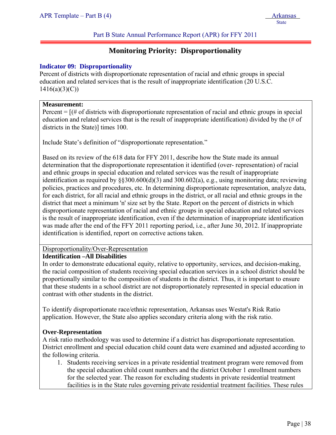# **Monitoring Priority: Disproportionality**

# **Indicator 09: Disproportionality**

Percent of districts with disproportionate representation of racial and ethnic groups in special education and related services that is the result of inappropriate identification (20 U.S.C.  $1416(a)(3)(C)$ 

### **Measurement:**

j

Percent  $=$   $[(# of \, \text{districts with} \, \text{disproportionate representation of \, \text{racial} \, \text{and} \, \text{ethnic groups} \, \text{in special} \, \text{or} \, \text{rightharpoonup \text{rightharpoonup} \, \text{or} \, \text{rightharpoonup \text{rightharpoonup} \, \text{or} \, \text{rightharpoonup \text{rightharpoonup} \, \text{or} \, \text{rightharpoonup \text{rightharpoonup} \, \text{or} \, \text{rightharpoonup \text{rightharpoonup} \, \text{or} \, \text{rightharpoonup \text{righth$ education and related services that is the result of inappropriate identification) divided by the (# of districts in the State)] times 100.

Include State's definition of "disproportionate representation."

Based on its review of the 618 data for FFY 2011, describe how the State made its annual determination that the disproportionate representation it identified (over- representation) of racial and ethnic groups in special education and related services was the result of inappropriate identification as required by  $\S 300.600(d)(3)$  and  $300.602(a)$ , e.g., using monitoring data; reviewing policies, practices and procedures, etc. In determining disproportionate representation, analyze data, for each district, for all racial and ethnic groups in the district, or all racial and ethnic groups in the district that meet a minimum 'n' size set by the State. Report on the percent of districts in which disproportionate representation of racial and ethnic groups in special education and related services is the result of inappropriate identification, even if the determination of inappropriate identification was made after the end of the FFY 2011 reporting period, i.e., after June 30, 2012. If inappropriate identification is identified, report on corrective actions taken.

# Disproportionality/Over-Representation

### **Identification –All Disabilities**

In order to demonstrate educational equity, relative to opportunity, services, and decision-making, the racial composition of students receiving special education services in a school district should be proportionally similar to the composition of students in the district. Thus, it is important to ensure that these students in a school district are not disproportionately represented in special education in contrast with other students in the district.

To identify disproportionate race/ethnic representation, Arkansas uses Westat's Risk Ratio application. However, the State also applies secondary criteria along with the risk ratio.

### **Over-Representation**

A risk ratio methodology was used to determine if a district has disproportionate representation. District enrollment and special education child count data were examined and adjusted according to the following criteria.

1. Students receiving services in a private residential treatment program were removed from the special education child count numbers and the district October 1 enrollment numbers for the selected year. The reason for excluding students in private residential treatment facilities is in the State rules governing private residential treatment facilities. These rules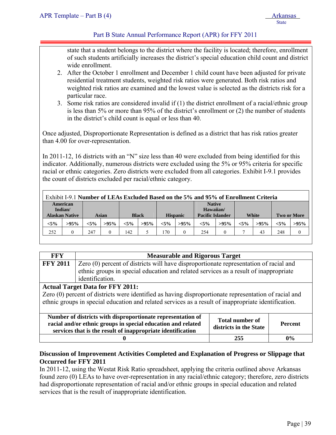# Part B State Annual Performance Report (APR) for FFY 2011

state that a student belongs to the district where the facility is located; therefore, enrollment of such students artificially increases the district's special education child count and district wide enrollment.

- 2. After the October 1 enrollment and December 1 child count have been adjusted for private residential treatment students, weighted risk ratios were generated. Both risk ratios and weighted risk ratios are examined and the lowest value is selected as the districts risk for a particular race.
- 3. Some risk ratios are considered invalid if (1) the district enrollment of a racial/ethnic group is less than 5% or more than 95% of the district's enrollment or (2) the number of students in the district's child count is equal or less than 40.

Once adjusted, Disproportionate Representation is defined as a district that has risk ratios greater than 4.00 for over-representation.

In 2011-12, 16 districts with an "N" size less than 40 were excluded from being identified for this indicator. Additionally, numerous districts were excluded using the 5% or 95% criteria for specific racial or ethnic categories. Zero districts were excluded from all categories. Exhibit I-9.1 provides the count of districts excluded per racial/ethnic category.

| Exhibit I-9.1 Number of LEAs Excluded Based on the 5% and 95% of Enrollment Criteria |                       |         |         |         |              |         |                 |                            |         |         |              |         |                    |
|--------------------------------------------------------------------------------------|-----------------------|---------|---------|---------|--------------|---------|-----------------|----------------------------|---------|---------|--------------|---------|--------------------|
|                                                                                      | American<br>Indian/   |         |         |         |              |         |                 | <b>Native</b><br>Hawaiian/ |         |         |              |         |                    |
|                                                                                      | <b>Alaskan Native</b> |         | Asian   |         | <b>Black</b> |         | <b>Hispanic</b> | <b>Pacific Islander</b>    |         |         | <b>White</b> |         | <b>Two or More</b> |
| $< 5\%$                                                                              | $>95\%$               | $< 5\%$ | $>95\%$ | $< 5\%$ | $>95\%$      | $< 5\%$ | $>95\%$         | $< 5\%$                    | $>95\%$ | $< 5\%$ | $>95\%$      | $< 5\%$ | $>95\%$            |
| 252                                                                                  |                       | 247     |         | 142     |              | 170     | 0               | 254                        |         |         | 43           | 248     | $\overline{0}$     |
|                                                                                      |                       |         |         |         |              |         |                 |                            |         |         |              |         |                    |

| <b>FFY</b>      | <b>Measurable and Rigorous Target</b>                                                                                                                                                                                                                            |     |       |  |  |  |  |  |  |
|-----------------|------------------------------------------------------------------------------------------------------------------------------------------------------------------------------------------------------------------------------------------------------------------|-----|-------|--|--|--|--|--|--|
| <b>FFY 2011</b> | Zero (0) percent of districts will have disproportionate representation of racial and<br>ethnic groups in special education and related services as a result of inappropriate                                                                                    |     |       |  |  |  |  |  |  |
|                 | identification.                                                                                                                                                                                                                                                  |     |       |  |  |  |  |  |  |
|                 | <b>Actual Target Data for FFY 2011:</b><br>Zero (0) percent of districts were identified as having disproportionate representation of racial and<br>ethnic groups in special education and related services as a result of inappropriate identification.         |     |       |  |  |  |  |  |  |
|                 | Number of districts with disproportionate representation of<br><b>Total number of</b><br>racial and/or ethnic groups in special education and related<br><b>Percent</b><br>districts in the State<br>services that is the result of inappropriate identification |     |       |  |  |  |  |  |  |
|                 |                                                                                                                                                                                                                                                                  | 255 | $0\%$ |  |  |  |  |  |  |

# **Discussion of Improvement Activities Completed and Explanation of Progress or Slippage that Occurred for FFY 2011**

In 2011-12, using the Westat Risk Ratio spreadsheet, applying the criteria outlined above Arkansas found zero (0) LEAs to have over-representation in any racial/ethnic category; therefore, zero districts had disproportionate representation of racial and/or ethnic groups in special education and related services that is the result of inappropriate identification.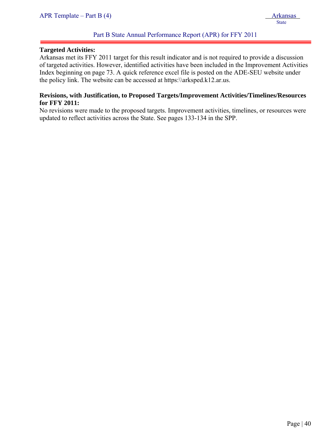#### **Targeted Activities:**

j

Arkansas met its FFY 2011 target for this result indicator and is not required to provide a discussion of targeted activities. However, identified activities have been included in the Improvement Activities Index beginning on page 73. A quick reference excel file is posted on the ADE-SEU website under the policy link. The website can be accessed at https:\\arksped.k12.ar.us.

### **Revisions, with Justification, to Proposed Targets/Improvement Activities/Timelines/Resources for FFY 2011:**

No revisions were made to the proposed targets. Improvement activities, timelines, or resources were updated to reflect activities across the State. See pages 133-134 in the SPP.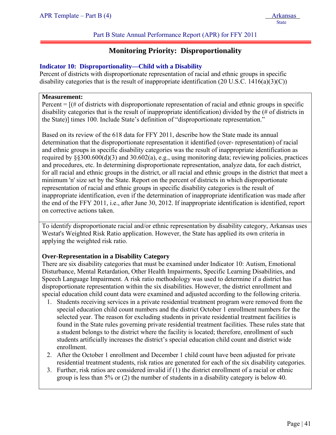# **Monitoring Priority: Disproportionality**

### **Indicator 10: Disproportionality—Child with a Disability**

Percent of districts with disproportionate representation of racial and ethnic groups in specific disability categories that is the result of inappropriate identification  $(20 \text{ U.S.C. } 1416(a)(3)(C))$ 

#### **Measurement:**

j

Percent  $=$   $[(# of \, \text{districts with} \, \text{disproportionate representation of } \, \text{racial and} \, \text{ethnic groups} \, \text{in specific}]$ disability categories that is the result of inappropriate identification) divided by the (# of districts in the State)] times 100. Include State's definition of "disproportionate representation."

Based on its review of the 618 data for FFY 2011, describe how the State made its annual determination that the disproportionate representation it identified (over- representation) of racial and ethnic groups in specific disability categories was the result of inappropriate identification as required by §§300.600(d)(3) and 30.602(a), e.g., using monitoring data; reviewing policies, practices and procedures, etc. In determining disproportionate representation, analyze data, for each district, for all racial and ethnic groups in the district, or all racial and ethnic groups in the district that meet a minimum 'n' size set by the State. Report on the percent of districts in which disproportionate representation of racial and ethnic groups in specific disability categories is the result of inappropriate identification, even if the determination of inappropriate identification was made after the end of the FFY 2011, i.e., after June 30, 2012. If inappropriate identification is identified, report on corrective actions taken.

To identify disproportionate racial and/or ethnic representation by disability category, Arkansas uses Westat's Weighted Risk Ratio application. However, the State has applied its own criteria in applying the weighted risk ratio.

### **Over-Representation in a Disability Category**

There are six disability categories that must be examined under Indicator 10: Autism, Emotional Disturbance, Mental Retardation, Other Health Impairments, Specific Learning Disabilities, and Speech Language Impairment. A risk ratio methodology was used to determine if a district has disproportionate representation within the six disabilities. However, the district enrollment and special education child count data were examined and adjusted according to the following criteria.

- 1. Students receiving services in a private residential treatment program were removed from the special education child count numbers and the district October 1 enrollment numbers for the selected year. The reason for excluding students in private residential treatment facilities is found in the State rules governing private residential treatment facilities. These rules state that a student belongs to the district where the facility is located; therefore, enrollment of such students artificially increases the district's special education child count and district wide enrollment.
- 2. After the October 1 enrollment and December 1 child count have been adjusted for private residential treatment students, risk ratios are generated for each of the six disability categories.
- 3. Further, risk ratios are considered invalid if (1) the district enrollment of a racial or ethnic group is less than 5% or (2) the number of students in a disability category is below 40.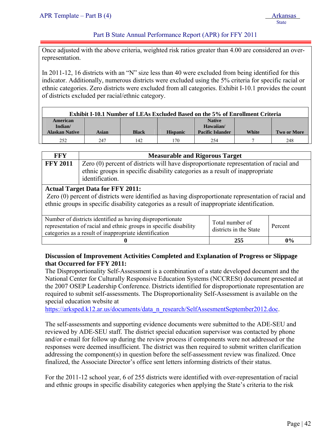Part B State Annual Performance Report (APR) for FFY 2011

Once adjusted with the above criteria, weighted risk ratios greater than 4.00 are considered an overrepresentation.

In 2011-12, 16 districts with an "N" size less than 40 were excluded from being identified for this indicator. Additionally, numerous districts were excluded using the 5% criteria for specific racial or ethnic categories. Zero districts were excluded from all categories. Exhibit I-10.1 provides the count of districts excluded per racial/ethnic category.

| <b>Exhibit I-10.1 Number of LEAs Excluded Based on the 5% of Enrollment Criteria</b> |       |              |                 |                            |       |                    |  |
|--------------------------------------------------------------------------------------|-------|--------------|-----------------|----------------------------|-------|--------------------|--|
| American<br>Indian/                                                                  |       |              |                 | <b>Native</b><br>Hawaiian/ |       |                    |  |
| <b>Alaskan Native</b>                                                                | Asian | <b>Black</b> | <b>Hispanic</b> | <b>Pacific Islander</b>    | White | <b>Two or More</b> |  |
| 252                                                                                  | 247   | 142          | 170             | 254                        |       | 248                |  |

| FFY             | <b>Measurable and Rigorous Target</b>                                                                                                                                                    |
|-----------------|------------------------------------------------------------------------------------------------------------------------------------------------------------------------------------------|
| <b>FFY 2011</b> | Zero (0) percent of districts will have disproportionate representation of racial and<br>ethnic groups in specific disability categories as a result of inappropriate<br>identification. |
|                 |                                                                                                                                                                                          |

### **Actual Target Data for FFY 2011:**

Zero (0) percent of districts were identified as having disproportionate representation of racial and ethnic groups in specific disability categories as a result of inappropriate identification.

| Number of districts identified as having disproportionate<br>representation of racial and ethnic groups in specific disability<br>categories as a result of inappropriate identification | Total number of<br>districts in the State | Percent |
|------------------------------------------------------------------------------------------------------------------------------------------------------------------------------------------|-------------------------------------------|---------|
|                                                                                                                                                                                          | 255                                       | $0\%$   |

# **Discussion of Improvement Activities Completed and Explanation of Progress or Slippage that Occurred for FFY 2011:**

The Disproportionality Self-Assessment is a combination of a state developed document and the National Center for Culturally Responsive Education Systems (NCCRESt) document presented at the 2007 OSEP Leadership Conference. Districts identified for disproportionate representation are required to submit self-assessments. The Disproportionality Self-Assessment is available on the special education website at

https://arksped.k12.ar.us/documents/data\_n\_research/SelfAssesmentSeptember2012.doc.

The self-assessments and supporting evidence documents were submitted to the ADE-SEU and reviewed by ADE-SEU staff. The district special education supervisor was contacted by phone and/or e-mail for follow up during the review process if components were not addressed or the responses were deemed insufficient. The district was then required to submit written clarification addressing the component(s) in question before the self-assessment review was finalized. Once finalized, the Associate Director's office sent letters informing districts of their status.

For the 2011-12 school year, 6 of 255 districts were identified with over-representation of racial and ethnic groups in specific disability categories when applying the State's criteria to the risk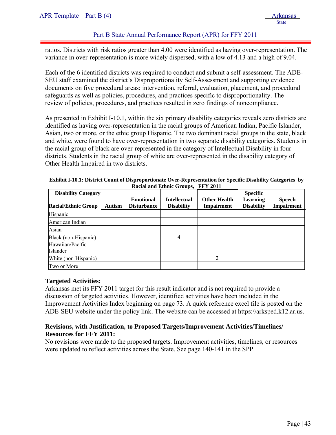### Part B State Annual Performance Report (APR) for FFY 2011

ratios. Districts with risk ratios greater than 4.00 were identified as having over-representation. The variance in over-representation is more widely dispersed, with a low of 4.13 and a high of 9.04.

Each of the 6 identified districts was required to conduct and submit a self-assessment. The ADE-SEU staff examined the district's Disproportionality Self-Assessment and supporting evidence documents on five procedural areas: intervention, referral, evaluation, placement, and procedural safeguards as well as policies, procedures, and practices specific to disproportionality. The review of policies, procedures, and practices resulted in zero findings of noncompliance.

As presented in Exhibit I-10.1, within the six primary disability categories reveals zero districts are identified as having over-representation in the racial groups of American Indian, Pacific Islander, Asian, two or more, or the ethic group Hispanic. The two dominant racial groups in the state, black and white, were found to have over-representation in two separate disability categories. Students in the racial group of black are over-represented in the category of Intellectual Disability in four districts. Students in the racial group of white are over-represented in the disability category of Other Health Impaired in two districts.

| <b>Disability Category</b><br><b>Racial/Ethnic Group</b> | Autism | <b>Emotional</b><br><b>Disturbance</b> | <b>Intellectual</b><br><b>Disability</b> | <b>Other Health</b><br><b>Impairment</b> | <b>Specific</b><br><b>Learning</b><br><b>Disability</b> | <b>Speech</b><br><b>Impairment</b> |
|----------------------------------------------------------|--------|----------------------------------------|------------------------------------------|------------------------------------------|---------------------------------------------------------|------------------------------------|
| Hispanic                                                 |        |                                        |                                          |                                          |                                                         |                                    |
| American Indian                                          |        |                                        |                                          |                                          |                                                         |                                    |
| Asian                                                    |        |                                        |                                          |                                          |                                                         |                                    |
| Black (non-Hispanic)                                     |        |                                        | 4                                        |                                          |                                                         |                                    |
| Hawaiian/Pacific<br>Islander                             |        |                                        |                                          |                                          |                                                         |                                    |
| White (non-Hispanic)                                     |        |                                        |                                          | $\mathfrak{D}$                           |                                                         |                                    |
| Two or More                                              |        |                                        |                                          |                                          |                                                         |                                    |

**Exhibit I-10.1: District Count of Disproportionate Over-Representation for Specific Disability Categories by Racial and Ethnic Groups, FFY 2011** 

### **Targeted Activities:**

Arkansas met its FFY 2011 target for this result indicator and is not required to provide a discussion of targeted activities. However, identified activities have been included in the Improvement Activities Index beginning on page 73. A quick reference excel file is posted on the ADE-SEU website under the policy link. The website can be accessed at https:\\arksped.k12.ar.us.

### **Revisions, with Justification, to Proposed Targets/Improvement Activities/Timelines/ Resources for FFY 2011:**

No revisions were made to the proposed targets. Improvement activities, timelines, or resources were updated to reflect activities across the State. See page 140-141 in the SPP.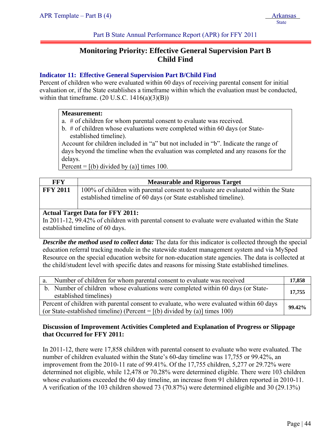Part B State Annual Performance Report (APR) for FFY 2011

# **Monitoring Priority: Effective General Supervision Part B Child Find**

# **Indicator 11: Effective General Supervision Part B/Child Find**

Percent of children who were evaluated within 60 days of receiving parental consent for initial evaluation or, if the State establishes a timeframe within which the evaluation must be conducted, within that timeframe.  $(20 \text{ U.S.C. } 1416(a)(3)(B))$ 

# **Measurement:**

- a. # of children for whom parental consent to evaluate was received.
- b. # of children whose evaluations were completed within 60 days (or Stateestablished timeline).

Account for children included in "a" but not included in "b". Indicate the range of days beyond the timeline when the evaluation was completed and any reasons for the delays.

Percent =  $[(b)$  divided by (a)] times 100.

| FFY             | <b>Measurable and Rigorous Target</b>                                                                                                                 |
|-----------------|-------------------------------------------------------------------------------------------------------------------------------------------------------|
| <b>FFY 2011</b> | 100% of children with parental consent to evaluate are evaluated within the State<br>established timeline of 60 days (or State established timeline). |

# **Actual Target Data for FFY 2011:**

In 2011-12, 99.42% of children with parental consent to evaluate were evaluated within the State established timeline of 60 days.

*Describe the method used to collect data:* The data for this indicator is collected through the special education referral tracking module in the statewide student management system and via MySped Resource on the special education website for non-education state agencies. The data is collected at the child/student level with specific dates and reasons for missing State established timelines.

| Number of children for whom parental consent to evaluate was received<br>$a_{\cdot}$                                                                                     | 17,858 |
|--------------------------------------------------------------------------------------------------------------------------------------------------------------------------|--------|
| b. Number of children whose evaluations were completed within 60 days (or State-<br>established timelines)                                                               | 17,755 |
| Percent of children with parental consent to evaluate, who were evaluated within 60 days<br>(or State-established timeline) (Percent = $[(b)$ divided by (a)] times 100) | 99.42% |

# **Discussion of Improvement Activities Completed and Explanation of Progress or Slippage that Occurred for FFY 2011:**

In 2011-12, there were 17,858 children with parental consent to evaluate who were evaluated. The number of children evaluated within the State's 60-day timeline was 17,755 or 99.42%, an improvement from the 2010-11 rate of 99.41%. Of the 17,755 children, 5,277 or 29.72% were determined not eligible, while 12,478 or 70.28% were determined eligible. There were 103 children whose evaluations exceeded the 60 day timeline, an increase from 91 children reported in 2010-11. A verification of the 103 children showed 73 (70.87%) were determined eligible and 30 (29.13%)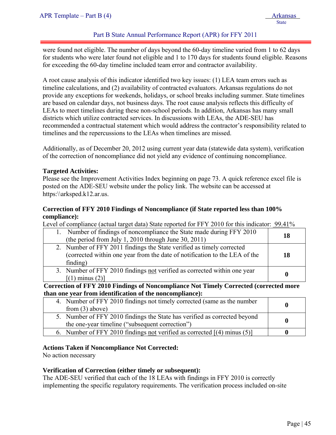# Part B State Annual Performance Report (APR) for FFY 2011

were found not eligible. The number of days beyond the 60-day timeline varied from 1 to 62 days for students who were later found not eligible and 1 to 170 days for students found eligible. Reasons for exceeding the 60-day timeline included team error and contractor availability.

A root cause analysis of this indicator identified two key issues: (1) LEA team errors such as timeline calculations, and (2) availability of contracted evaluators. Arkansas regulations do not provide any exceptions for weekends, holidays, or school breaks including summer. State timelines are based on calendar days, not business days. The root cause analysis reflects this difficulty of LEAs to meet timelines during these non-school periods. In addition, Arkansas has many small districts which utilize contracted services. In discussions with LEAs, the ADE-SEU has recommended a contractual statement which would address the contractor's responsibility related to timelines and the repercussions to the LEAs when timelines are missed.

Additionally, as of December 20, 2012 using current year data (statewide data system), verification of the correction of noncompliance did not yield any evidence of continuing noncompliance.

#### **Targeted Activities:**

Please see the Improvement Activities Index beginning on page 73. A quick reference excel file is posted on the ADE-SEU website under the policy link. The website can be accessed at https:\\arksped.k12.ar.us.

### **Correction of FFY 2010 Findings of Noncompliance (if State reported less than 100% compliance):**

Level of compliance (actual target data) State reported for FFY 2010 for this indicator: 99.41%

| Number of findings of noncompliance the State made during FFY 2010<br>(the period from July 1, 2010 through June 30, 2011)                                      | 18 |
|-----------------------------------------------------------------------------------------------------------------------------------------------------------------|----|
| 2. Number of FFY 2011 findings the State verified as timely corrected<br>(corrected within one year from the date of notification to the LEA of the<br>finding) | 18 |
| 3. Number of FFY 2010 findings not verified as corrected within one year<br>$(1)$ minus $(2)$ ]                                                                 |    |

**Correction of FFY 2010 Findings of Noncompliance Not Timely Corrected (corrected more than one year from identification of the noncompliance):** 

| 4. Number of FFY 2010 findings not timely corrected (same as the number<br>from $(3)$ above)                                 |  |
|------------------------------------------------------------------------------------------------------------------------------|--|
| 5. Number of FFY 2010 findings the State has verified as corrected beyond<br>the one-year timeline ("subsequent correction") |  |
| 6. Number of FFY 2010 findings not verified as corrected $[(4)$ minus (5)]                                                   |  |

### **Actions Taken if Noncompliance Not Corrected:**

No action necessary

### **Verification of Correction (either timely or subsequent):**

The ADE-SEU verified that each of the 18 LEAs with findings in FFY 2010 is correctly implementing the specific regulatory requirements. The verification process included on-site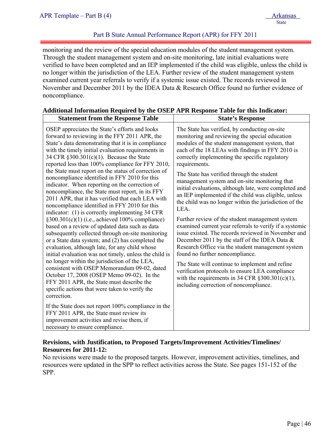# Part B State Annual Performance Report (APR) for FFY 2011

monitoring and the review of the special education modules of the student management system. Through the student management system and on-site monitoring, late initial evaluations were verified to have been completed and an IEP implemented if the child was eligible, unless the child is no longer within the jurisdiction of the LEA. Further review of the student management system examined current year referrals to verify if a systemic issue existed. The records reviewed in November and December 2011 by the IDEA Data & Research Office found no further evidence of noncompliance.

# **Additional Information Required by the OSEP APR Response Table for this Indicator:**

| <b>Statement from the Response Table</b>                                                                                                                                                                                                                                                                                                                                                                                                                                                                                                                                                                                                                                                                                                                                                                                                                                                                                                                                                                                                                                                                                                                                                                                                                                       | <b>State's Response</b>                                                                                                                                                                                                                                                                                                                                                                                                                                                                                                                                                                                                                                                                                                                                                                                                                                                                                                                                                                                                                                                              |
|--------------------------------------------------------------------------------------------------------------------------------------------------------------------------------------------------------------------------------------------------------------------------------------------------------------------------------------------------------------------------------------------------------------------------------------------------------------------------------------------------------------------------------------------------------------------------------------------------------------------------------------------------------------------------------------------------------------------------------------------------------------------------------------------------------------------------------------------------------------------------------------------------------------------------------------------------------------------------------------------------------------------------------------------------------------------------------------------------------------------------------------------------------------------------------------------------------------------------------------------------------------------------------|--------------------------------------------------------------------------------------------------------------------------------------------------------------------------------------------------------------------------------------------------------------------------------------------------------------------------------------------------------------------------------------------------------------------------------------------------------------------------------------------------------------------------------------------------------------------------------------------------------------------------------------------------------------------------------------------------------------------------------------------------------------------------------------------------------------------------------------------------------------------------------------------------------------------------------------------------------------------------------------------------------------------------------------------------------------------------------------|
| OSEP appreciates the State's efforts and looks<br>forward to reviewing in the FFY 2011 APR, the<br>State's data demonstrating that it is in compliance<br>with the timely initial evaluation requirements in<br>34 CFR §300.301(c)(1). Because the State<br>reported less than 100% compliance for FFY 2010,<br>the State must report on the status of correction of<br>noncompliance identified in FFY 2010 for this<br>indicator. When reporting on the correction of<br>noncompliance, the State must report, in its FFY<br>2011 APR, that it has verified that each LEA with<br>noncompliance identified in FFY 2010 for this<br>indicator: (1) is correctly implementing 34 CFR<br>$§300.301(c)(1)$ (i.e., achieved 100% compliance)<br>based on a review of updated data such as data<br>subsequently collected through on-site monitoring<br>or a State data system; and (2) has completed the<br>evaluation, although late, for any child whose<br>initial evaluation was not timely, unless the child is<br>no longer within the jurisdiction of the LEA,<br>consistent with OSEP Memorandum 09-02, dated<br>October 17, 2008 (OSEP Memo 09-02). In the<br>FFY 2011 APR, the State must describe the<br>specific actions that were taken to verify the<br>correction. | The State has verified, by conducting on-site<br>monitoring and reviewing the special education<br>modules of the student management system, that<br>each of the 18 LEAs with findings in FFY 2010 is<br>correctly implementing the specific regulatory<br>requirements.<br>The State has verified through the student<br>management system and on-site monitoring that<br>initial evaluations, although late, were completed and<br>an IEP implemented if the child was eligible, unless<br>the child was no longer within the jurisdiction of the<br>LEA.<br>Further review of the student management system<br>examined current year referrals to verify if a systemic<br>issue existed. The records reviewed in November and<br>December 2011 by the staff of the IDEA Data $\&$<br>Research Office via the student management system<br>found no further noncompliance.<br>The State will continue to implement and refine<br>verification protocols to ensure LEA compliance<br>with the requirements in 34 CFR $\S 300.301(c)(1)$ ,<br>including correction of noncompliance. |
| If the State does not report 100% compliance in the<br>FFY 2011 APR, the State must review its<br>improvement activities and revise them, if<br>necessary to ensure compliance.                                                                                                                                                                                                                                                                                                                                                                                                                                                                                                                                                                                                                                                                                                                                                                                                                                                                                                                                                                                                                                                                                                |                                                                                                                                                                                                                                                                                                                                                                                                                                                                                                                                                                                                                                                                                                                                                                                                                                                                                                                                                                                                                                                                                      |

# **Revisions, with Justification, to Proposed Targets/Improvement Activities/Timelines/ Resources for 2011-12:**

No revisions were made to the proposed targets. However, improvement activities, timelines, and resources were updated in the SPP to reflect activities across the State. See pages 151-152 of the SPP.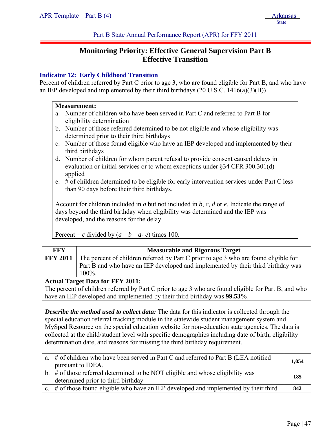Part B State Annual Performance Report (APR) for FFY 2011

# **Monitoring Priority: Effective General Supervision Part B Effective Transition**

# **Indicator 12: Early Childhood Transition**

Percent of children referred by Part C prior to age 3, who are found eligible for Part B, and who have an IEP developed and implemented by their third birthdays (20 U.S.C. 1416(a)(3)(B))

### **Measurement:**

- a. Number of children who have been served in Part C and referred to Part B for eligibility determination
- b. Number of those referred determined to be not eligible and whose eligibility was determined prior to their third birthdays
- c. Number of those found eligible who have an IEP developed and implemented by their third birthdays
- d. Number of children for whom parent refusal to provide consent caused delays in evaluation or initial services or to whom exceptions under §34 CFR 300.301(d) applied
- e. # of children determined to be eligible for early intervention services under Part C less than 90 days before their third birthdays.

Account for children included in *a* but not included in *b*, *c, d* or *e*. Indicate the range of days beyond the third birthday when eligibility was determined and the IEP was developed, and the reasons for the delay.

Percent = *c* divided by  $(a - b - d - e)$  times 100.

| FFY                                     | <b>Measurable and Rigorous Target</b>                                                                |  |  |
|-----------------------------------------|------------------------------------------------------------------------------------------------------|--|--|
|                                         | <b>FFY 2011</b> The percent of children referred by Part C prior to age 3 who are found eligible for |  |  |
|                                         | Part B and who have an IEP developed and implemented by their third birthday was                     |  |  |
|                                         | $100\%$ .                                                                                            |  |  |
| <b>Actual Target Data for FFY 2011:</b> |                                                                                                      |  |  |

The percent of children referred by Part C prior to age 3 who are found eligible for Part B, and who have an IEP developed and implemented by their third birthday was **99.53%**.

*Describe the method used to collect data:* The data for this indicator is collected through the special education referral tracking module in the statewide student management system and MySped Resource on the special education website for non-education state agencies. The data is collected at the child/student level with specific demographics including date of birth, eligibility determination date, and reasons for missing the third birthday requirement.

| a. # of children who have been served in Part C and referred to Part B (LEA notified     | 1,054 |
|------------------------------------------------------------------------------------------|-------|
| pursuant to IDEA.                                                                        |       |
| b. $\#$ of those referred determined to be NOT eligible and whose eligibility was        | 185   |
| determined prior to third birthday                                                       |       |
| c. $\#$ of those found eligible who have an IEP developed and implemented by their third | 842   |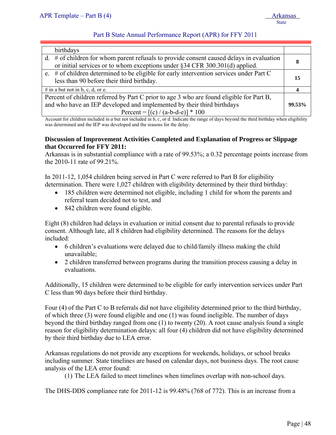# Part B State Annual Performance Report (APR) for FFY 2011

| birthdays                                                                                                                                                                     |    |
|-------------------------------------------------------------------------------------------------------------------------------------------------------------------------------|----|
| $d.$ # of children for whom parent refusals to provide consent caused delays in evaluation<br>or initial services or to whom exceptions under $\S 34$ CFR 300.301(d) applied. | 8  |
| e. # of children determined to be eligible for early intervention services under Part C<br>less than 90 before their third birthday.                                          | 15 |
| # in a but not in b, c, d, or e.                                                                                                                                              |    |
| Percent of children referred by Part C prior to age 3 who are found eligible for Part B,                                                                                      |    |
| and who have an IEP developed and implemented by their third birthdays                                                                                                        |    |
| Percent = $[(c) / (a-b-d-e)] * 100$                                                                                                                                           |    |

Account for children included in *a* but not included in *b*, *c,* or *d*. Indicate the range of days beyond the third birthday when eligibility was determined and the IEP was developed and the reasons for the delay.

### **Discussion of Improvement Activities Completed and Explanation of Progress or Slippage that Occurred for FFY 2011:**

Arkansas is in substantial compliance with a rate of 99.53%; a 0.32 percentage points increase from the 2010-11 rate of 99.21%.

In 2011-12, 1,054 children being served in Part C were referred to Part B for eligibility determination. There were 1,027 children with eligibility determined by their third birthday:

- 185 children were determined not eligible, including 1 child for whom the parents and referral team decided not to test, and
- 842 children were found eligible.

Eight (8) children had delays in evaluation or initial consent due to parental refusals to provide consent. Although late, all 8 children had eligibility determined. The reasons for the delays included:

- 6 children's evaluations were delayed due to child/family illness making the child unavailable;
- 2 children transferred between programs during the transition process causing a delay in evaluations.

Additionally, 15 children were determined to be eligible for early intervention services under Part C less than 90 days before their third birthday.

Four (4) of the Part C to B referrals did not have eligibility determined prior to the third birthday, of which three (3) were found eligible and one (1) was found ineligible. The number of days beyond the third birthday ranged from one (1) to twenty (20). A root cause analysis found a single reason for eligibility determination delays: all four (4) children did not have eligibility determined by their third birthday due to LEA error.

Arkansas regulations do not provide any exceptions for weekends, holidays, or school breaks including summer. State timelines are based on calendar days, not business days. The root cause analysis of the LEA error found:

(1) The LEA failed to meet timelines when timelines overlap with non-school days.

The DHS-DDS compliance rate for 2011-12 is 99.48% (768 of 772). This is an increase from a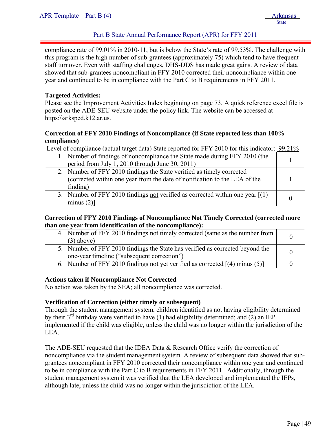# Part B State Annual Performance Report (APR) for FFY 2011

compliance rate of 99.01% in 2010-11, but is below the State's rate of 99.53%. The challenge with this program is the high number of sub-grantees (approximately 75) which tend to have frequent staff turnover. Even with staffing challenges, DHS-DDS has made great gains. A review of data showed that sub-grantees noncompliant in FFY 2010 corrected their noncompliance within one year and continued to be in compliance with the Part C to B requirements in FFY 2011.

#### **Targeted Activities:**

Please see the Improvement Activities Index beginning on page 73. A quick reference excel file is posted on the ADE-SEU website under the policy link. The website can be accessed at https:\\arksped.k12.ar.us.

### **Correction of FFY 2010 Findings of Noncompliance (if State reported less than 100% compliance)**

Level of compliance (actual target data) State reported for FFY 2010 for this indicator: 99.21%

| 1. Number of findings of noncompliance the State made during FFY 2010 (the<br>period from July 1, 2010 through June 30, 2011)                                   |  |
|-----------------------------------------------------------------------------------------------------------------------------------------------------------------|--|
| 2. Number of FFY 2010 findings the State verified as timely corrected<br>(corrected within one year from the date of notification to the LEA of the<br>finding) |  |
| 3. Number of FFY 2010 findings not verified as corrected within one year $[(1)$<br>minus $(2)$ ]                                                                |  |

#### **Correction of FFY 2010 Findings of Noncompliance Not Timely Corrected (corrected more than one year from identification of the noncompliance):**

| 4. Number of FFY 2010 findings not timely corrected (same as the number from<br>$(3)$ above)                                 |  |
|------------------------------------------------------------------------------------------------------------------------------|--|
| 5. Number of FFY 2010 findings the State has verified as corrected beyond the<br>one-year timeline ("subsequent correction") |  |
| 6. Number of FFY 2010 findings not yet verified as corrected $[(4)$ minus (5)]                                               |  |

### **Actions taken if Noncompliance Not Corrected**

No action was taken by the SEA; all noncompliance was corrected.

### **Verification of Correction (either timely or subsequent)**

Through the student management system, children identified as not having eligibility determined by their  $3^{rd}$  birthday were verified to have (1) had eligibility determined; and (2) an IEP implemented if the child was eligible, unless the child was no longer within the jurisdiction of the LEA.

The ADE-SEU requested that the IDEA Data & Research Office verify the correction of noncompliance via the student management system. A review of subsequent data showed that subgrantees noncompliant in FFY 2010 corrected their noncompliance within one year and continued to be in compliance with the Part C to B requirements in FFY 2011. Additionally, through the student management system it was verified that the LEA developed and implemented the IEPs, although late, unless the child was no longer within the jurisdiction of the LEA.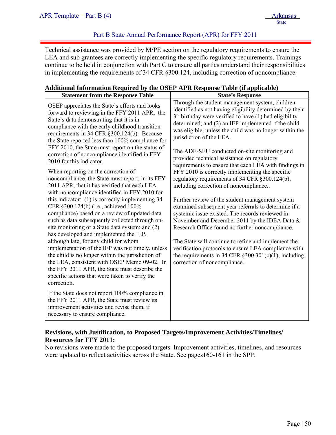# Part B State Annual Performance Report (APR) for FFY 2011

Technical assistance was provided by M/PE section on the regulatory requirements to ensure the LEA and sub grantees are correctly implementing the specific regulatory requirements. Trainings continue to be held in conjunction with Part C to ensure all parties understand their responsibilities in implementing the requirements of 34 CFR §300.124, including correction of noncompliance.

### **Additional Information Required by the OSEP APR Response Table (if applicable)**

| <b>Statement from the Response Table</b>                                                                                                                                                                                                                                                                                                             | <b>State's Response</b>                                                                                                                                                                                                                                                                                               |
|------------------------------------------------------------------------------------------------------------------------------------------------------------------------------------------------------------------------------------------------------------------------------------------------------------------------------------------------------|-----------------------------------------------------------------------------------------------------------------------------------------------------------------------------------------------------------------------------------------------------------------------------------------------------------------------|
| OSEP appreciates the State's efforts and looks<br>forward to reviewing in the FFY 2011 APR, the<br>State's data demonstrating that it is in<br>compliance with the early childhood transition<br>requirements in 34 CFR §300.124(b). Because<br>the State reported less than 100% compliance for<br>FFY 2010, the State must report on the status of | Through the student management system, children<br>identified as not having eligibility determined by their<br>$3rd$ birthday were verified to have (1) had eligibility<br>determined; and (2) an IEP implemented if the child<br>was eligible, unless the child was no longer within the<br>jurisdiction of the LEA. |
| correction of noncompliance identified in FFY<br>2010 for this indicator.                                                                                                                                                                                                                                                                            | The ADE-SEU conducted on-site monitoring and<br>provided technical assistance on regulatory<br>requirements to ensure that each LEA with findings in                                                                                                                                                                  |
| When reporting on the correction of<br>noncompliance, the State must report, in its FFY<br>2011 APR, that it has verified that each LEA<br>with noncompliance identified in FFY 2010 for                                                                                                                                                             | FFY 2010 is correctly implementing the specific<br>regulatory requirements of 34 CFR §300.124(b),<br>including correction of noncompliance                                                                                                                                                                            |
| this indicator: (1) is correctly implementing 34<br>CFR §300.124(b) (i.e., achieved 100%<br>compliance) based on a review of updated data<br>such as data subsequently collected through on-<br>site monitoring or a State data system; and (2)<br>has developed and implemented the IEP,                                                            | Further review of the student management system<br>examined subsequent year referrals to determine if a<br>systemic issue existed. The records reviewed in<br>November and December 2011 by the IDEA Data &<br>Research Office found no further noncompliance.                                                        |
| although late, for any child for whom<br>implementation of the IEP was not timely, unless<br>the child is no longer within the jurisdiction of<br>the LEA, consistent with OSEP Memo 09-02. In<br>the FFY 2011 APR, the State must describe the<br>specific actions that were taken to verify the<br>correction.                                     | The State will continue to refine and implement the<br>verification protocols to ensure LEA compliance with<br>the requirements in 34 CFR $\S 300.301(c)(1)$ , including<br>correction of noncompliance.                                                                                                              |
| If the State does not report 100% compliance in<br>the FFY 2011 APR, the State must review its<br>improvement activities and revise them, if<br>necessary to ensure compliance.                                                                                                                                                                      |                                                                                                                                                                                                                                                                                                                       |

# **Revisions, with Justification, to Proposed Targets/Improvement Activities/Timelines/ Resources for FFY 2011:**

No revisions were made to the proposed targets. Improvement activities, timelines, and resources were updated to reflect activities across the State. See pages160-161 in the SPP.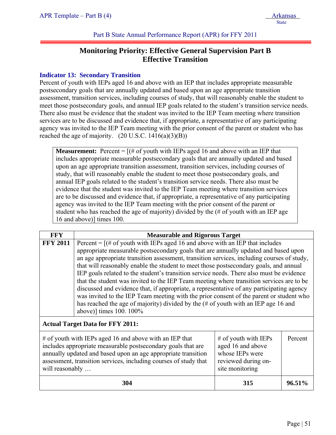Part B State Annual Performance Report (APR) for FFY 2011

# **Monitoring Priority: Effective General Supervision Part B Effective Transition**

# **Indicator 13: Secondary Transition**

Percent of youth with IEPs aged 16 and above with an IEP that includes appropriate measurable postsecondary goals that are annually updated and based upon an age appropriate transition assessment, transition services, including courses of study, that will reasonably enable the student to meet those postsecondary goals, and annual IEP goals related to the student's transition service needs. There also must be evidence that the student was invited to the IEP Team meeting where transition services are to be discussed and evidence that, if appropriate, a representative of any participating agency was invited to the IEP Team meeting with the prior consent of the parent or student who has reached the age of majority.  $(20 \text{ U.S.C. } 1416(a)(3)(B))$ 

**Measurement:** Percent  $=$   $[(# of youth with IEPs aged 16 and above with an IEP that$ includes appropriate measurable postsecondary goals that are annually updated and based upon an age appropriate transition assessment, transition services, including courses of study, that will reasonably enable the student to meet those postsecondary goals, and annual IEP goals related to the student's transition service needs. There also must be evidence that the student was invited to the IEP Team meeting where transition services are to be discussed and evidence that, if appropriate, a representative of any participating agency was invited to the IEP Team meeting with the prior consent of the parent or student who has reached the age of majority) divided by the (# of youth with an IEP age 16 and above)] times 100.

| <b>FFY</b>                                                                                                                                                                                                                                                                                                                                                                                                                                                                                                                                                                                                                                                                                                                                                                                                                                                                       | <b>Measurable and Rigorous Target</b>                                                                                                                                                                                                                                                                                                                                                                     |     |        |
|----------------------------------------------------------------------------------------------------------------------------------------------------------------------------------------------------------------------------------------------------------------------------------------------------------------------------------------------------------------------------------------------------------------------------------------------------------------------------------------------------------------------------------------------------------------------------------------------------------------------------------------------------------------------------------------------------------------------------------------------------------------------------------------------------------------------------------------------------------------------------------|-----------------------------------------------------------------------------------------------------------------------------------------------------------------------------------------------------------------------------------------------------------------------------------------------------------------------------------------------------------------------------------------------------------|-----|--------|
| Percent = $[(# of youth with IEPs aged 16 and above with an IEP that includes$<br><b>FFY 2011</b><br>appropriate measurable postsecondary goals that are annually updated and based upon<br>an age appropriate transition assessment, transition services, including courses of study,<br>that will reasonably enable the student to meet those postsecondary goals, and annual<br>IEP goals related to the student's transition service needs. There also must be evidence<br>that the student was invited to the IEP Team meeting where transition services are to be<br>discussed and evidence that, if appropriate, a representative of any participating agency<br>was invited to the IEP Team meeting with the prior consent of the parent or student who<br>has reached the age of majority) divided by the (# of youth with an IEP age 16 and<br>above)] times 100. 100% |                                                                                                                                                                                                                                                                                                                                                                                                           |     |        |
|                                                                                                                                                                                                                                                                                                                                                                                                                                                                                                                                                                                                                                                                                                                                                                                                                                                                                  | <b>Actual Target Data for FFY 2011:</b>                                                                                                                                                                                                                                                                                                                                                                   |     |        |
|                                                                                                                                                                                                                                                                                                                                                                                                                                                                                                                                                                                                                                                                                                                                                                                                                                                                                  | $\#$ of youth with IEPs aged 16 and above with an IEP that<br>$#$ of youth with IEPs<br>Percent<br>aged 16 and above<br>includes appropriate measurable postsecondary goals that are<br>annually updated and based upon an age appropriate transition<br>whose IEPs were<br>assessment, transition services, including courses of study that<br>reviewed during on-<br>will reasonably<br>site monitoring |     |        |
|                                                                                                                                                                                                                                                                                                                                                                                                                                                                                                                                                                                                                                                                                                                                                                                                                                                                                  | 304                                                                                                                                                                                                                                                                                                                                                                                                       | 315 | 96.51% |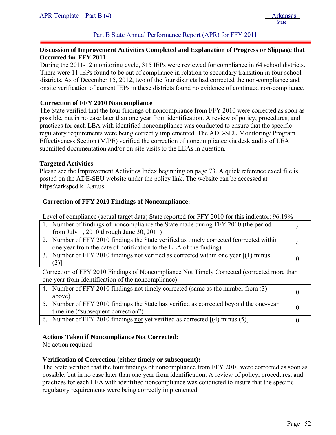# Part B State Annual Performance Report (APR) for FFY 2011

### **Discussion of Improvement Activities Completed and Explanation of Progress or Slippage that Occurred for FFY 2011:**

During the 2011-12 monitoring cycle, 315 IEPs were reviewed for compliance in 64 school districts. There were 11 IEPs found to be out of compliance in relation to secondary transition in four school districts. As of December 15, 2012, two of the four districts had corrected the non-compliance and onsite verification of current IEPs in these districts found no evidence of continued non-compliance.

### **Correction of FFY 2010 Noncompliance**

The State verified that the four findings of noncompliance from FFY 2010 were corrected as soon as possible, but in no case later than one year from identification. A review of policy, procedures, and practices for each LEA with identified noncompliance was conducted to ensure that the specific regulatory requirements were being correctly implemented. The ADE-SEU Monitoring/ Program Effectiveness Section (M/PE) verified the correction of noncompliance via desk audits of LEA submitted documentation and/or on-site visits to the LEAs in question.

#### **Targeted Activities**:

Please see the Improvement Activities Index beginning on page 73. A quick reference excel file is posted on the ADE-SEU website under the policy link. The website can be accessed at https:\\arksped.k12.ar.us.

#### **Correction of FFY 2010 Findings of Noncompliance:**

Level of compliance (actual target data) State reported for FFY 2010 for this indicator:  $96.19\%$ 

| 1. Number of findings of noncompliance the State made during FFY 2010 (the period<br>from July 1, 2010 through June 30, 2011)                                |  |
|--------------------------------------------------------------------------------------------------------------------------------------------------------------|--|
| 2. Number of FFY 2010 findings the State verified as timely corrected (corrected within<br>one year from the date of notification to the LEA of the finding) |  |
| 3. Number of FFY 2010 findings not verified as corrected within one year $[(1)$ minus<br>$(2)$ ]                                                             |  |

Correction of FFY 2010 Findings of Noncompliance Not Timely Corrected (corrected more than one year from identification of the noncompliance):

| 4. Number of FFY 2010 findings not timely corrected (same as the number from (3)       |  |
|----------------------------------------------------------------------------------------|--|
| above)                                                                                 |  |
| 5. Number of FFY 2010 findings the State has verified as corrected beyond the one-year |  |
| timeline ("subsequent correction")                                                     |  |
| 6. Number of FFY 2010 findings not yet verified as corrected $[(4)$ minus $(5)]$       |  |

### **Actions Taken if Noncompliance Not Corrected:**

No action required

### **Verification of Correction (either timely or subsequent):**

The State verified that the four findings of noncompliance from FFY 2010 were corrected as soon as possible, but in no case later than one year from identification. A review of policy, procedures, and practices for each LEA with identified noncompliance was conducted to insure that the specific regulatory requirements were being correctly implemented.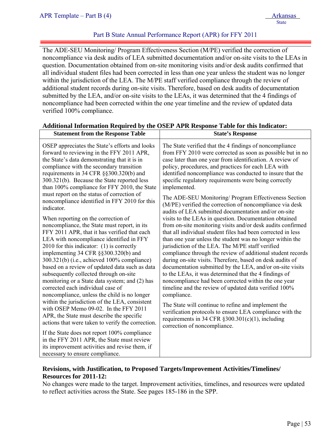### Part B State Annual Performance Report (APR) for FFY 2011

The ADE-SEU Monitoring/ Program Effectiveness Section (M/PE) verified the correction of noncompliance via desk audits of LEA submitted documentation and/or on-site visits to the LEAs in question. Documentation obtained from on-site monitoring visits and/or desk audits confirmed that all individual student files had been corrected in less than one year unless the student was no longer within the jurisdiction of the LEA. The M/PE staff verified compliance through the review of additional student records during on-site visits. Therefore, based on desk audits of documentation submitted by the LEA, and/or on-site visits to the LEAs, it was determined that the 4 findings of noncompliance had been corrected within the one year timeline and the review of updated data verified 100% compliance.

| <b>Statement from the Response Table</b>                                                                                                                                                                                                                                                                                          | <b>State's Response</b>                                                                                                                                                                                                                                                                                                                                                         |
|-----------------------------------------------------------------------------------------------------------------------------------------------------------------------------------------------------------------------------------------------------------------------------------------------------------------------------------|---------------------------------------------------------------------------------------------------------------------------------------------------------------------------------------------------------------------------------------------------------------------------------------------------------------------------------------------------------------------------------|
| OSEP appreciates the State's efforts and looks<br>forward to reviewing in the FFY 2011 APR,<br>the State's data demonstrating that it is in<br>compliance with the secondary transition<br>requirements in 34 CFR §§300.320(b) and<br>300.321(b). Because the State reported less<br>than 100% compliance for FFY 2010, the State | The State verified that the 4 findings of noncompliance<br>from FFY 2010 were corrected as soon as possible but in no<br>case later than one year from identification. A review of<br>policy, procedures, and practices for each LEA with<br>identified noncompliance was conducted to insure that the<br>specific regulatory requirements were being correctly<br>implemented. |
| must report on the status of correction of<br>noncompliance identified in FFY 2010 for this<br>indicator.                                                                                                                                                                                                                         | The ADE-SEU Monitoring/ Program Effectiveness Section<br>(M/PE) verified the correction of noncompliance via desk<br>audits of LEA submitted documentation and/or on-site                                                                                                                                                                                                       |
| When reporting on the correction of                                                                                                                                                                                                                                                                                               | visits to the LEAs in question. Documentation obtained                                                                                                                                                                                                                                                                                                                          |
| noncompliance, the State must report, in its                                                                                                                                                                                                                                                                                      | from on-site monitoring visits and/or desk audits confirmed                                                                                                                                                                                                                                                                                                                     |
| FFY 2011 APR, that it has verified that each<br>LEA with noncompliance identified in FFY                                                                                                                                                                                                                                          | that all individual student files had been corrected in less<br>than one year unless the student was no longer within the                                                                                                                                                                                                                                                       |
| 2010 for this indicator: (1) is correctly                                                                                                                                                                                                                                                                                         | jurisdiction of the LEA. The M/PE staff verified                                                                                                                                                                                                                                                                                                                                |
| implementing 34 CFR §§300.320(b) and                                                                                                                                                                                                                                                                                              | compliance through the review of additional student records                                                                                                                                                                                                                                                                                                                     |
| 300.321(b) (i.e., achieved 100% compliance)                                                                                                                                                                                                                                                                                       | during on-site visits. Therefore, based on desk audits of                                                                                                                                                                                                                                                                                                                       |
| based on a review of updated data such as data                                                                                                                                                                                                                                                                                    | documentation submitted by the LEA, and/or on-site visits                                                                                                                                                                                                                                                                                                                       |
| subsequently collected through on-site                                                                                                                                                                                                                                                                                            | to the LEAs, it was determined that the 4 findings of                                                                                                                                                                                                                                                                                                                           |
| monitoring or a State data system; and (2) has<br>corrected each individual case of                                                                                                                                                                                                                                               | noncompliance had been corrected within the one year<br>timeline and the review of updated data verified 100%                                                                                                                                                                                                                                                                   |
| noncompliance, unless the child is no longer                                                                                                                                                                                                                                                                                      | compliance.                                                                                                                                                                                                                                                                                                                                                                     |
| within the jurisdiction of the LEA, consistent                                                                                                                                                                                                                                                                                    |                                                                                                                                                                                                                                                                                                                                                                                 |
| with OSEP Memo 09-02. In the FFY 2011                                                                                                                                                                                                                                                                                             | The State will continue to refine and implement the<br>verification protocols to ensure LEA compliance with the                                                                                                                                                                                                                                                                 |
| APR, the State must describe the specific                                                                                                                                                                                                                                                                                         | requirements in 34 CFR $\S 300.301(c)(1)$ , including                                                                                                                                                                                                                                                                                                                           |
| actions that were taken to verify the correction.                                                                                                                                                                                                                                                                                 | correction of noncompliance.                                                                                                                                                                                                                                                                                                                                                    |
| If the State does not report 100% compliance                                                                                                                                                                                                                                                                                      |                                                                                                                                                                                                                                                                                                                                                                                 |
| in the FFY 2011 APR, the State must review                                                                                                                                                                                                                                                                                        |                                                                                                                                                                                                                                                                                                                                                                                 |
| its improvement activities and revise them, if                                                                                                                                                                                                                                                                                    |                                                                                                                                                                                                                                                                                                                                                                                 |
| necessary to ensure compliance.                                                                                                                                                                                                                                                                                                   |                                                                                                                                                                                                                                                                                                                                                                                 |

### **Additional Information Required by the OSEP APR Response Table for this Indicator:**

# **Revisions, with Justification, to Proposed Targets/Improvement Activities/Timelines/ Resources for 2011-12:**

No changes were made to the target. Improvement activities, timelines, and resources were updated to reflect activities across the State. See pages 185-186 in the SPP.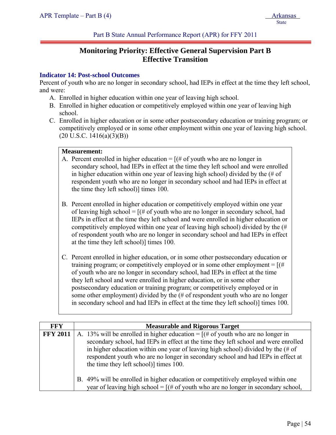Part B State Annual Performance Report (APR) for FFY 2011

# **Monitoring Priority: Effective General Supervision Part B Effective Transition**

# **Indicator 14: Post-school Outcomes**

Percent of youth who are no longer in secondary school, had IEPs in effect at the time they left school, and were:

- A. Enrolled in higher education within one year of leaving high school.
- B. Enrolled in higher education or competitively employed within one year of leaving high school.
- C. Enrolled in higher education or in some other postsecondary education or training program; or competitively employed or in some other employment within one year of leaving high school.  $(20 \text{ U.S.C. } 1416(a)(3)(B))$

# **Measurement:**

- A. Percent enrolled in higher education  $=$  [(# of youth who are no longer in secondary school, had IEPs in effect at the time they left school and were enrolled in higher education within one year of leaving high school) divided by the (# of respondent youth who are no longer in secondary school and had IEPs in effect at the time they left school)] times 100.
- B. Percent enrolled in higher education or competitively employed within one year of leaving high school =  $[(# of$  youth who are no longer in secondary school, had IEPs in effect at the time they left school and were enrolled in higher education or competitively employed within one year of leaving high school) divided by the (# of respondent youth who are no longer in secondary school and had IEPs in effect at the time they left school)] times 100.
- C. Percent enrolled in higher education, or in some other postsecondary education or training program; or competitively employed or in some other employment =  $[(#$ of youth who are no longer in secondary school, had IEPs in effect at the time they left school and were enrolled in higher education, or in some other postsecondary education or training program; or competitively employed or in some other employment) divided by the (# of respondent youth who are no longer in secondary school and had IEPs in effect at the time they left school)] times 100.

| <b>FFY</b>      | <b>Measurable and Rigorous Target</b>                                                                                                                                                                                                                                                                                                                                                                  |
|-----------------|--------------------------------------------------------------------------------------------------------------------------------------------------------------------------------------------------------------------------------------------------------------------------------------------------------------------------------------------------------------------------------------------------------|
| <b>FFY 2011</b> | A. 13% will be enrolled in higher education = $[(# of$ youth who are no longer in<br>secondary school, had IEPs in effect at the time they left school and were enrolled<br>in higher education within one year of leaving high school) divided by the $(\# \text{ of }$<br>respondent youth who are no longer in secondary school and had IEPs in effect at<br>the time they left school)] times 100. |
|                 | B. 49% will be enrolled in higher education or competitively employed within one<br>year of leaving high school = $[(# of youth who are no longer in secondary school,$                                                                                                                                                                                                                                |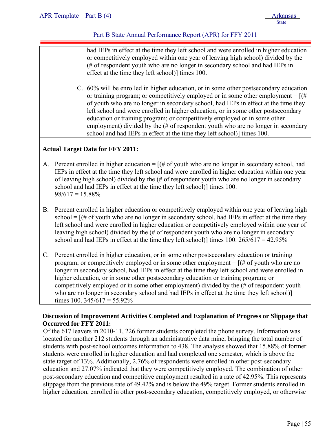# Part B State Annual Performance Report (APR) for FFY 2011

| had IEPs in effect at the time they left school and were enrolled in higher education<br>or competitively employed within one year of leaving high school) divided by the   |
|-----------------------------------------------------------------------------------------------------------------------------------------------------------------------------|
| (# of respondent youth who are no longer in secondary school and had IEPs in<br>effect at the time they left school)] times 100.                                            |
|                                                                                                                                                                             |
| C. 60% will be enrolled in higher education, or in some other postsecondary education<br>or training program; or competitively employed or in some other employment = $[(#$ |
| of youth who are no longer in secondary school, had IEPs in effect at the time they<br>left school and were enrolled in higher education, or in some other postsecondary    |

education or training program; or competitively employed or in some other employment) divided by the (# of respondent youth who are no longer in secondary school and had IEPs in effect at the time they left school)] times 100.

# **Actual Target Data for FFY 2011:**

- A. Percent enrolled in higher education  $=$   $[(# of$  youth who are no longer in secondary school, had IEPs in effect at the time they left school and were enrolled in higher education within one year of leaving high school) divided by the (# of respondent youth who are no longer in secondary school and had IEPs in effect at the time they left school)] times 100.  $98/617 = 15.88\%$
- B. Percent enrolled in higher education or competitively employed within one year of leaving high school =  $[(# of youth who are no longer in secondary school, had IEPs in effect at the time they$ left school and were enrolled in higher education or competitively employed within one year of leaving high school) divided by the (# of respondent youth who are no longer in secondary school and had IEPs in effect at the time they left school)] times  $100. 265/617 = 42.95\%$
- C. Percent enrolled in higher education, or in some other postsecondary education or training program; or competitively employed or in some other employment  $=$  [ $#$  of youth who are no longer in secondary school, had IEPs in effect at the time they left school and were enrolled in higher education, or in some other postsecondary education or training program; or competitively employed or in some other employment) divided by the (# of respondent youth who are no longer in secondary school and had IEPs in effect at the time they left school)] times 100.  $345/617 = 55.92\%$

# **Discussion of Improvement Activities Completed and Explanation of Progress or Slippage that Occurred for FFY 2011:**

Of the 617 leavers in 2010-11, 226 former students completed the phone survey. Information was located for another 212 students through an administrative data mine, bringing the total number of students with post-school outcomes information to 438. The analysis showed that 15.88% of former students were enrolled in higher education and had completed one semester, which is above the state target of 13%. Additionally, 2.76% of respondents were enrolled in other post-secondary education and 27.07% indicated that they were competitively employed. The combination of other post-secondary education and competitive employment resulted in a rate of 42.95%. This represents slippage from the previous rate of 49.42% and is below the 49% target. Former students enrolled in higher education, enrolled in other post-secondary education, competitively employed, or otherwise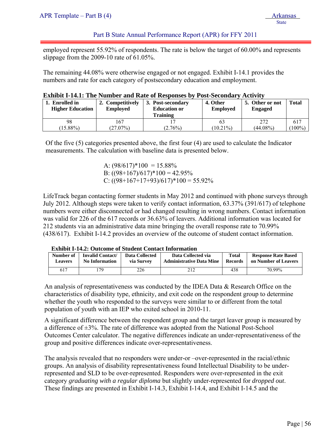# Part B State Annual Performance Report (APR) for FFY 2011

employed represent 55.92% of respondents. The rate is below the target of 60.00% and represents slippage from the 2009-10 rate of 61.05%.

The remaining 44.08% were otherwise engaged or not engaged. Exhibit I-14.1 provides the numbers and rate for each category of postsecondary education and employment.

| <b>Exhibit I-14.1: The Number and Rate of Responses by Post-Secondary Activity</b> |  |  |
|------------------------------------------------------------------------------------|--|--|
|------------------------------------------------------------------------------------|--|--|

| <b>Enrolled</b> in<br><b>Higher Education</b> | 2. Competitively<br><b>Employed</b> | 3. Post-secondary<br><b>Education or</b><br>Training | 4. Other<br><b>Employed</b> | 5. Other or not<br><b>Engaged</b> | <b>Total</b> |
|-----------------------------------------------|-------------------------------------|------------------------------------------------------|-----------------------------|-----------------------------------|--------------|
| 98                                            | 167                                 |                                                      | 63                          | 272                               | 617          |
| $(15.88\%)$                                   | $(27.07\%)$                         | $(2.76\%)$                                           | $10.21\%$                   | $(44.08\%)$                       | $100\%$      |

Of the five (5) categories presented above, the first four (4) are used to calculate the Indicator measurements. The calculation with baseline data is presented below.

> A:  $(98/617)*100 = 15.88%$ B:  $((98+167)/617)*100 = 42.95%$ C:  $((98+167+17+93)/617)*100 = 55.92\%$

LifeTrack began contacting former students in May 2012 and continued with phone surveys through July 2012. Although steps were taken to verify contact information, 63.37% (391/617) of telephone numbers were either disconnected or had changed resulting in wrong numbers. Contact information was valid for 226 of the 617 records or 36.63% of leavers. Additional information was located for 212 students via an administrative data mine bringing the overall response rate to 70.99% (438/617). Exhibit I-14.2 provides an overview of the outcome of student contact information.

**Exhibit I-14.2: Outcome of Student Contact Information** 

| Number of | Invalid Contact/ | Data Collected | Data Collected via              | <b>Total</b> | <b>Response Rate Based</b> |
|-----------|------------------|----------------|---------------------------------|--------------|----------------------------|
| Leavers   | No Information   | via Survey     | <b>Administrative Data Mine</b> | Records      | on Number of Leavers       |
| 617       | 79               | 226            | 212                             | 438          |                            |

An analysis of representativeness was conducted by the IDEA Data & Research Office on the characteristics of disability type, ethnicity, and exit code on the respondent group to determine whether the youth who responded to the surveys were similar to or different from the total population of youth with an IEP who exited school in 2010-11.

A significant difference between the respondent group and the target leaver group is measured by a difference of ±3%. The rate of difference was adopted from the National Post-School Outcomes Center calculator. The negative differences indicate an under-representativeness of the group and positive differences indicate over-representativeness.

The analysis revealed that no responders were under-or –over-represented in the racial/ethnic groups. An analysis of disability representativeness found Intellectual Disability to be underrepresented and SLD to be over-represented. Responders were over-represented in the exit category *graduating with a regular diploma* but slightly under-represented for *dropped out*. These findings are presented in Exhibit I-14.3, Exhibit I-14.4, and Exhibit I-14.5 and the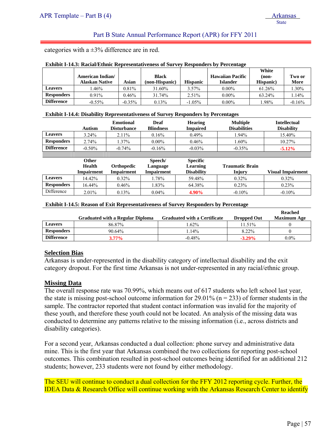### Part B State Annual Performance Report (APR) for FFY 2011

categories with a  $\pm 3\%$  difference are in red.

|                   |                         |          |                |                 |                         | White     |          |
|-------------------|-------------------------|----------|----------------|-----------------|-------------------------|-----------|----------|
|                   | <b>American Indian/</b> |          | <b>Black</b>   |                 | <b>Hawaiian Pacific</b> | (non-     | Two or   |
|                   | Alaskan Native          | Asian    | (non-Hispanic) | <b>Hispanic</b> | <b>Islander</b>         | Hispanic) | More     |
| <b>Leavers</b>    | .46%                    | $0.81\%$ | 31.60%         | $3.57\%$        | $0.00\%$                | 61.26%    | $.30\%$  |
| <b>Responders</b> | $0.91\%$                | $0.46\%$ | 31.74%         | $2.51\%$        | $0.00\%$                | 63.24%    | .14%     |
| <b>Difference</b> | $-0.55\%$               | $-0.35%$ | 0.13%          | $-1.05\%$       | $0.00\%$                | .98%      | $-0.16%$ |

#### **Exhibit I-14.4: Disability Representativeness of Survey Responders by Percentages**

|                   | Autism    | Emotional<br><b>Disturbance</b> | Deaf<br><b>Blindness</b> | <b>Hearing</b><br><b>Impaired</b> | <b>Multiple</b><br><b>Disabilities</b> | <b>Intellectual</b><br><b>Disability</b> |
|-------------------|-----------|---------------------------------|--------------------------|-----------------------------------|----------------------------------------|------------------------------------------|
| <b>Leavers</b>    | $3.24\%$  | $2.11\%$                        | 0.16%                    | $0.49\%$                          | 1.94%                                  | 15.40%                                   |
| <b>Responders</b> | 2.74%     | 1.37%                           | $0.00\%$                 | 0.46%                             | $1.60\%$                               | 10.27%                                   |
| <b>Difference</b> | $-0.50\%$ | $-0.74\%$                       | $-0.16%$                 | $-0.03\%$                         | $-0.35%$                               | $-5.12\%$                                |
|                   |           |                                 |                          |                                   |                                        |                                          |
|                   | Other     |                                 | Speech/                  | <b>Specific</b>                   |                                        |                                          |

|                   | <b>Health</b> | <b>Orthopedic</b> | Language          | Learning          | <b>Traumatic Brain</b> |                          |
|-------------------|---------------|-------------------|-------------------|-------------------|------------------------|--------------------------|
|                   | Impairment    | Impairment        | <b>Impairment</b> | <b>Disability</b> | Injury                 | <b>Visual Impairment</b> |
| <b>Leavers</b>    | 14.42%        | $0.32\%$          | .78%              | 59.48%            | $0.32\%$               | 0.32%                    |
| <b>Responders</b> | 16.44%        | 0.46%             | $.83\%$           | 64.38%            | 0.23%                  | $0.23\%$                 |
| Difference        | $2.01\%$      | 0.13%             | $0.04\%$          | 4.90%             | $-0.10\%$              | $-0.10%$                 |

#### **Exhibit I-14.5: Reason of Exit Representativeness of Survey Responders by Percentage**

|                   | <b>Graduated with a Regular Diploma</b> | <b>Graduated with a Certificate</b> | <b>Dropped Out</b> | <b>Reached</b><br>Maximum Age |
|-------------------|-----------------------------------------|-------------------------------------|--------------------|-------------------------------|
| <b>Leavers</b>    | 86.87%                                  | $.62\%$                             | 11.51%             |                               |
| <b>Responders</b> | $90.64\%$                               | .14%                                | $8.22\%$           |                               |
| <b>Difference</b> | $3.77\%$                                | $-0.48%$                            | $-3.29\%$          | $0.0\%$                       |

#### **Selection Bias**

Arkansas is under-represented in the disability category of intellectual disability and the exit category dropout. For the first time Arkansas is not under-represented in any racial/ethnic group.

#### **Missing Data**

The overall response rate was 70.99%, which means out of 617 students who left school last year, the state is missing post-school outcome information for 29.01% ( $n = 233$ ) of former students in the sample. The contractor reported that student contact information was invalid for the majority of these youth, and therefore these youth could not be located. An analysis of the missing data was conducted to determine any patterns relative to the missing information (i.e., across districts and disability categories).

For a second year, Arkansas conducted a dual collection: phone survey and administrative data mine. This is the first year that Arkansas combined the two collections for reporting post-school outcomes. This combination resulted in post-school outcomes being identified for an additional 212 students; however, 233 students were not found by either methodology.

The SEU will continue to conduct a dual collection for the FFY 2012 reporting cycle. Further, the IDEA Data & Research Office will continue working with the Arkansas Research Center to identify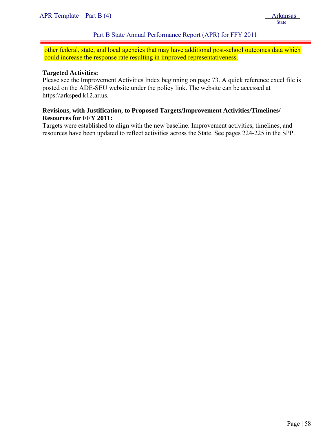other federal, state, and local agencies that may have additional post-school outcomes data which could increase the response rate resulting in improved representativeness.

#### **Targeted Activities:**

j

Please see the Improvement Activities Index beginning on page 73. A quick reference excel file is posted on the ADE-SEU website under the policy link. The website can be accessed at https:\\arksped.k12.ar.us.

### **Revisions, with Justification, to Proposed Targets/Improvement Activities/Timelines/ Resources for FFY 2011:**

Targets were established to align with the new baseline. Improvement activities, timelines, and resources have been updated to reflect activities across the State. See pages 224-225 in the SPP.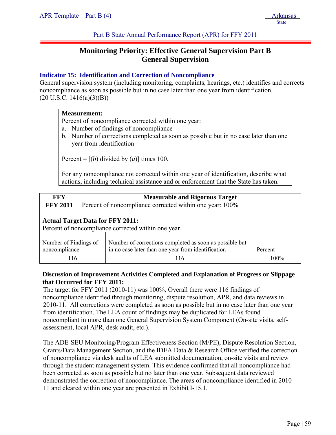Part B State Annual Performance Report (APR) for FFY 2011

# **Monitoring Priority: Effective General Supervision Part B General Supervision**

# **Indicator 15: Identification and Correction of Noncompliance**

General supervision system (including monitoring, complaints, hearings, etc.) identifies and corrects noncompliance as soon as possible but in no case later than one year from identification.  $(20 U.S.C. 1416(a)(3)(B))$ 

### **Measurement:**

Percent of noncompliance corrected within one year:

- a. Number of findings of noncompliance
- b. Number of corrections completed as soon as possible but in no case later than one year from identification

Percent =  $[(b)$  divided by  $(a)$ ] times 100.

For any noncompliance not corrected within one year of identification, describe what actions, including technical assistance and or enforcement that the State has taken.

| <b>FFY</b>      | <b>Measurable and Rigorous Target</b>                                                                                                                              |                                                          |         |  |  |  |
|-----------------|--------------------------------------------------------------------------------------------------------------------------------------------------------------------|----------------------------------------------------------|---------|--|--|--|
| <b>FFY 2011</b> |                                                                                                                                                                    | Percent of noncompliance corrected within one year: 100% |         |  |  |  |
|                 | <b>Actual Target Data for FFY 2011:</b><br>Percent of noncompliance corrected within one year                                                                      |                                                          |         |  |  |  |
|                 | Number of corrections completed as soon as possible but<br>Number of Findings of<br>in no case later than one year from identification<br>noncompliance<br>Percent |                                                          |         |  |  |  |
| 116             |                                                                                                                                                                    | 116                                                      | $100\%$ |  |  |  |

# **Discussion of Improvement Activities Completed and Explanation of Progress or Slippage that Occurred for FFY 2011:**

The target for FFY 2011 (2010-11) was 100%. Overall there were 116 findings of noncompliance identified through monitoring, dispute resolution, APR, and data reviews in 2010-11. All corrections were completed as soon as possible but in no case later than one year from identification. The LEA count of findings may be duplicated for LEAs found noncompliant in more than one General Supervision System Component (On-site visits, selfassessment, local APR, desk audit, etc.).

The ADE-SEU Monitoring/Program Effectiveness Section (M/PE), Dispute Resolution Section, Grants/Data Management Section, and the IDEA Data & Research Office verified the correction of noncompliance via desk audits of LEA submitted documentation, on-site visits and review through the student management system. This evidence confirmed that all noncompliance had been corrected as soon as possible but no later than one year. Subsequent data reviewed demonstrated the correction of noncompliance. The areas of noncompliance identified in 2010- 11 and cleared within one year are presented in Exhibit I-15.1.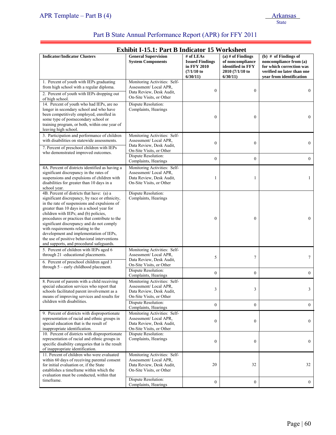ī

# Part B State Annual Performance Report (APR) for FFY 2011

| <b>Exhibit I-15.1: Part B Indicator 15 Worksheet</b>                                                                                                                                                                                                                                                                                                                                                                                                                                                         |                                                                                                               |                                                                                  |                                                                                            |                                                                                                                                        |  |  |
|--------------------------------------------------------------------------------------------------------------------------------------------------------------------------------------------------------------------------------------------------------------------------------------------------------------------------------------------------------------------------------------------------------------------------------------------------------------------------------------------------------------|---------------------------------------------------------------------------------------------------------------|----------------------------------------------------------------------------------|--------------------------------------------------------------------------------------------|----------------------------------------------------------------------------------------------------------------------------------------|--|--|
| <b>Indicator/Indicator Clusters</b>                                                                                                                                                                                                                                                                                                                                                                                                                                                                          | <b>General Supervision</b><br><b>System Components</b>                                                        | $#$ of LEAs<br><b>Issued Findings</b><br>in FFY 2010<br>$(7/1/10)$ to<br>6/30/11 | $(a)$ # of Findings<br>of noncompliance<br>identified in FFY<br>2010 (7/1/10 to<br>6/30/11 | (b) $#$ of Findings of<br>noncompliance from (a)<br>for which correction was<br>verified no later than one<br>vear from identification |  |  |
| 1. Percent of youth with IEPs graduating<br>from high school with a regular diploma.<br>2. Percent of youth with IEPs dropping out<br>of high school.                                                                                                                                                                                                                                                                                                                                                        | Monitoring Activities: Self-<br>Assessment/Local APR,<br>Data Review, Desk Audit,<br>On-Site Visits, or Other | $\boldsymbol{0}$                                                                 | $\boldsymbol{0}$                                                                           | $\mathbf{0}$                                                                                                                           |  |  |
| 14. Percent of youth who had IEPs, are no<br>longer in secondary school and who have<br>been competitively employed, enrolled in<br>some type of postsecondary school or<br>training program, or both, within one year of<br>leaving high school.                                                                                                                                                                                                                                                            | Dispute Resolution:<br>Complaints, Hearings                                                                   | $\boldsymbol{0}$                                                                 | $\boldsymbol{0}$                                                                           | $\mathbf{0}$                                                                                                                           |  |  |
| 3. Participation and performance of children<br>with disabilities on statewide assessments.<br>7. Percent of preschool children with IEPs                                                                                                                                                                                                                                                                                                                                                                    | Monitoring Activities: Self-<br>Assessment/Local APR,<br>Data Review, Desk Audit,                             | $\mathbf{0}$                                                                     | $\mathbf{0}$                                                                               | $\mathbf{0}$                                                                                                                           |  |  |
| who demonstrated improved outcomes.                                                                                                                                                                                                                                                                                                                                                                                                                                                                          | On-Site Visits, or Other<br>Dispute Resolution:<br>Complaints, Hearings                                       | $\boldsymbol{0}$                                                                 | $\boldsymbol{0}$                                                                           | $\boldsymbol{0}$                                                                                                                       |  |  |
| 4A. Percent of districts identified as having a<br>significant discrepancy in the rates of<br>suspensions and expulsions of children with<br>disabilities for greater than 10 days in a<br>school year.                                                                                                                                                                                                                                                                                                      | Monitoring Activities: Self-<br>Assessment/Local APR,<br>Data Review, Desk Audit,<br>On-Site Visits, or Other | 1                                                                                | 1                                                                                          | 1                                                                                                                                      |  |  |
| 4B. Percent of districts that have: (a) a<br>significant discrepancy, by race or ethnicity,<br>in the rate of suspensions and expulsions of<br>greater than 10 days in a school year for<br>children with IEPs; and (b) policies,<br>procedures or practices that contribute to the<br>significant discrepancy and do not comply<br>with requirements relating to the<br>development and implementation of IEPs,<br>the use of positive behavioral interventions<br>and supports, and procedural safeguards. | Dispute Resolution:<br>Complaints, Hearings                                                                   | $\mathbf{0}$                                                                     | $\boldsymbol{0}$                                                                           | $\mathbf{0}$                                                                                                                           |  |  |
| 5. Percent of children with IEPs aged 6<br>through 21 -educational placements.<br>6. Percent of preschool children aged 3                                                                                                                                                                                                                                                                                                                                                                                    | Monitoring Activities: Self-<br>Assessment/Local APR,<br>Data Review, Desk Audit,<br>On-Site Visits, or Other | 5                                                                                | 7                                                                                          | $\tau$                                                                                                                                 |  |  |
| through $5$ – early childhood placement.                                                                                                                                                                                                                                                                                                                                                                                                                                                                     | Dispute Resolution:<br>Complaints, Hearings                                                                   | $\overline{0}$                                                                   | $\mathbf{0}$                                                                               | $\boldsymbol{0}$                                                                                                                       |  |  |
| 8. Percent of parents with a child receiving<br>special education services who report that<br>schools facilitated parent involvement as a<br>means of improving services and results for                                                                                                                                                                                                                                                                                                                     | Monitoring Activities: Self-<br>Assessment/Local APR,<br>Data Review, Desk Audit,<br>On-Site Visits, or Other | 3                                                                                | 3                                                                                          | 3                                                                                                                                      |  |  |
| children with disabilities.                                                                                                                                                                                                                                                                                                                                                                                                                                                                                  | Dispute Resolution:<br>Complaints, Hearings                                                                   | $\boldsymbol{0}$                                                                 | $\boldsymbol{0}$                                                                           | $\mathbf{0}$                                                                                                                           |  |  |
| 9. Percent of districts with disproportionate<br>representation of racial and ethnic groups in<br>special education that is the result of<br>inappropriate identification.                                                                                                                                                                                                                                                                                                                                   | Monitoring Activities: Self-<br>Assessment/Local APR,<br>Data Review, Desk Audit,<br>On-Site Visits, or Other | $\boldsymbol{0}$                                                                 | $\boldsymbol{0}$                                                                           | $\mathbf{0}$                                                                                                                           |  |  |
| 10. Percent of districts with disproportionate<br>representation of racial and ethnic groups in<br>specific disability categories that is the result<br>of inappropriate identification.                                                                                                                                                                                                                                                                                                                     | Dispute Resolution:<br>Complaints, Hearings                                                                   | $\boldsymbol{0}$                                                                 | $\boldsymbol{0}$                                                                           | $\boldsymbol{0}$                                                                                                                       |  |  |
| 11. Percent of children who were evaluated<br>within 60 days of receiving parental consent<br>for initial evaluation or, if the State<br>establishes a timeframe within which the<br>evaluation must be conducted, within that                                                                                                                                                                                                                                                                               | Monitoring Activities: Self-<br>Assessment/Local APR,<br>Data Review, Desk Audit,<br>On-Site Visits, or Other | 20                                                                               | 32                                                                                         | 32                                                                                                                                     |  |  |
| timeframe.                                                                                                                                                                                                                                                                                                                                                                                                                                                                                                   | Dispute Resolution:<br>Complaints, Hearings                                                                   | $\boldsymbol{0}$                                                                 | $\boldsymbol{0}$                                                                           | $\mathbf{0}$                                                                                                                           |  |  |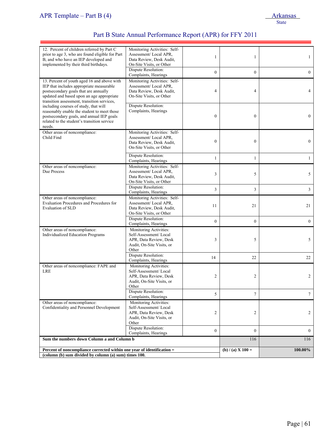| 12. Percent of children referred by Part C<br>prior to age 3, who are found eligible for Part<br>B, and who have an IEP developed and<br>implemented by their third birthdays.                                               | Monitoring Activities: Self-<br>Assessment/Local APR,<br>Data Review, Desk Audit,<br>On-Site Visits, or Other   | 1                | 1                   | $\mathbf{1}$    |
|------------------------------------------------------------------------------------------------------------------------------------------------------------------------------------------------------------------------------|-----------------------------------------------------------------------------------------------------------------|------------------|---------------------|-----------------|
|                                                                                                                                                                                                                              | Dispute Resolution:<br>Complaints, Hearings                                                                     | $\boldsymbol{0}$ | $\overline{0}$      | $\overline{0}$  |
| 13. Percent of youth aged 16 and above with<br>IEP that includes appropriate measurable<br>postsecondary goals that are annually<br>updated and based upon an age appropriate<br>transition assessment, transition services, | Monitoring Activities: Self-<br>Assessment/Local APR.<br>Data Review, Desk Audit,<br>On-Site Visits, or Other   | $\overline{4}$   | $\overline{4}$      | 4               |
| including courses of study, that will<br>reasonably enable the student to meet those<br>postsecondary goals, and annual IEP goals<br>related to the student's transition service<br>needs.                                   | Dispute Resolution:<br>Complaints, Hearings                                                                     | $\boldsymbol{0}$ | $\boldsymbol{0}$    | $\overline{0}$  |
| Other areas of noncompliance:<br>Child Find                                                                                                                                                                                  | Monitoring Activities: Self-<br>Assessment/Local APR,<br>Data Review, Desk Audit,<br>On-Site Visits, or Other   | $\mathbf{0}$     | $\mathbf{0}$        | $\overline{0}$  |
|                                                                                                                                                                                                                              | Dispute Resolution:<br>Complaints, Hearings                                                                     | 1                | $\mathbf{1}$        | $\mathbf{1}$    |
| Other areas of noncompliance:<br>Due Process                                                                                                                                                                                 | Monitoring Activities: Self-<br>Assessment/Local APR.<br>Data Review, Desk Audit,<br>On-Site Visits, or Other   | 3                | 5                   | 5               |
|                                                                                                                                                                                                                              | Dispute Resolution:<br>Complaints, Hearings                                                                     | 3                | 3                   | $\mathbf{3}$    |
| Other areas of noncompliance:<br>Evaluation Procedures and Procedures for<br>Evaluation of SLD                                                                                                                               | Monitoring Activities: Self-<br>Assessment/Local APR,<br>Data Review, Desk Audit,<br>On-Site Visits, or Other   | 11               | 21                  | 21              |
|                                                                                                                                                                                                                              | Dispute Resolution:<br>Complaints, Hearings                                                                     | $\overline{0}$   | $\theta$            | $\overline{0}$  |
| Other areas of noncompliance:<br>Individualized Education Programs                                                                                                                                                           | Monitoring Activities:<br>Self-Assessment/Local<br>APR, Data Review, Desk<br>Audit, On-Site Visits, or<br>Other | 3                | 5                   | 5               |
|                                                                                                                                                                                                                              | Dispute Resolution:<br>Complaints, Hearings                                                                     | 14               | 22                  | 22              |
| Other areas of noncompliance: FAPE and<br><b>LRE</b>                                                                                                                                                                         | Monitoring Activities:<br>Self-Assessment/Local<br>APR, Data Review, Desk<br>Audit, On-Site Visits, or<br>Other | 2                | 2                   | 2               |
|                                                                                                                                                                                                                              | Dispute Resolution:<br>Complaints, Hearings                                                                     | 5                | 7                   | $7\phantom{.0}$ |
| Other areas of noncompliance:<br>Confidentiality and Personnel Development                                                                                                                                                   | Monitoring Activities:<br>Self-Assessment/Local<br>APR, Data Review, Desk<br>Audit, On-Site Visits, or<br>Other | 2                | 2                   | $\overline{2}$  |
|                                                                                                                                                                                                                              | Dispute Resolution:<br>Complaints, Hearings                                                                     | $\boldsymbol{0}$ | $\mathbf{0}$        | $\overline{0}$  |
| Sum the numbers down Column a and Column b                                                                                                                                                                                   |                                                                                                                 |                  | 116                 | 116             |
| Percent of noncompliance corrected within one year of identification =<br>(column (b) sum divided by column (a) sum) times 100.                                                                                              |                                                                                                                 |                  | (b) $/$ (a) X 100 = | 100.00%         |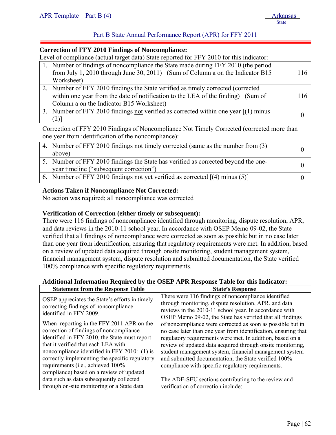# Part B State Annual Performance Report (APR) for FFY 2011

#### **Correction of FFY 2010 Findings of Noncompliance:**

Level of compliance (actual target data) State reported for FFY 2010 for this indicator:

| 1. Number of findings of noncompliance the State made during FFY 2010 (the period     |     |
|---------------------------------------------------------------------------------------|-----|
| from July 1, 2010 through June 30, 2011) (Sum of Column a on the Indicator B15        | 116 |
| Worksheet)                                                                            |     |
| 2. Number of FFY 2010 findings the State verified as timely corrected (corrected)     |     |
| within one year from the date of notification to the LEA of the finding) (Sum of      | 116 |
| Column a on the Indicator B15 Worksheet)                                              |     |
| 3. Number of FFY 2010 findings not verified as corrected within one year $[(1)$ minus |     |
| $^{(2)}$ ]                                                                            |     |

Correction of FFY 2010 Findings of Noncompliance Not Timely Corrected (corrected more than one year from identification of the noncompliance):

| 4. Number of FFY 2010 findings not timely corrected (same as the number from (3)   |  |
|------------------------------------------------------------------------------------|--|
| above)                                                                             |  |
| 5. Number of FFY 2010 findings the State has verified as corrected beyond the one- |  |
| year timeline ("subsequent correction")                                            |  |
| 6. Number of FFY 2010 findings not yet verified as corrected $[(4)$ minus (5)      |  |

### **Actions Taken if Noncompliance Not Corrected:**

No action was required; all noncompliance was corrected

### **Verification of Correction (either timely or subsequent):**

There were 116 findings of noncompliance identified through monitoring, dispute resolution, APR, and data reviews in the 2010-11 school year. In accordance with OSEP Memo 09-02, the State verified that all findings of noncompliance were corrected as soon as possible but in no case later than one year from identification, ensuring that regulatory requirements were met. In addition, based on a review of updated data acquired through onsite monitoring, student management system, financial management system, dispute resolution and submitted documentation, the State verified 100% compliance with specific regulatory requirements.

### **Additional Information Required by the OSEP APR Response Table for this Indicator:**

| <b>Statement from the Response Table</b>       | <b>State's Response</b>                                        |  |  |
|------------------------------------------------|----------------------------------------------------------------|--|--|
| OSEP appreciates the State's efforts in timely | There were 116 findings of noncompliance identified            |  |  |
| correcting findings of noncompliance           | through monitoring, dispute resolution, APR, and data          |  |  |
| identified in FFY 2009.                        | reviews in the 2010-11 school year. In accordance with         |  |  |
|                                                | OSEP Memo 09-02, the State has verified that all findings      |  |  |
| When reporting in the FFY 2011 APR on the      | of noncompliance were corrected as soon as possible but in     |  |  |
| correction of findings of noncompliance        | no case later than one year from identification, ensuring that |  |  |
| identified in FFY 2010, the State must report  | regulatory requirements were met. In addition, based on a      |  |  |
| that it verified that each LEA with            | review of updated data acquired through onsite monitoring,     |  |  |
| noncompliance identified in FFY 2010: (1) is   | student management system, financial management system         |  |  |
| correctly implementing the specific regulatory | and submitted documentation, the State verified 100%           |  |  |
| requirements (i.e., achieved 100%              | compliance with specific regulatory requirements.              |  |  |
| compliance) based on a review of updated       |                                                                |  |  |
| data such as data subsequently collected       | The ADE-SEU sections contributing to the review and            |  |  |
| through on-site monitoring or a State data     | verification of correction include:                            |  |  |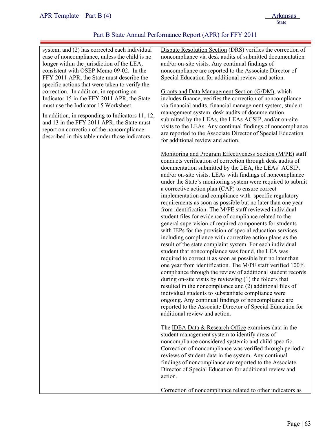| system; and (2) has corrected each individual<br>case of noncompliance, unless the child is no<br>longer within the jurisdiction of the LEA,<br>consistent with OSEP Memo 09-02. In the<br>FFY 2011 APR, the State must describe the                                                | Dispute Resolution Section (DRS) verifies the correction of<br>noncompliance via desk audits of submitted documentation<br>and/or on-site visits. Any continual findings of<br>noncompliance are reported to the Associate Director of<br>Special Education for additional review and action.                                                                                                                                                                                                                                                                                                                                                                                                                                                                                                                                                                                                                                                                                                                                                                                                                                                                                                                                                                                                                                                                                                                                                              |
|-------------------------------------------------------------------------------------------------------------------------------------------------------------------------------------------------------------------------------------------------------------------------------------|------------------------------------------------------------------------------------------------------------------------------------------------------------------------------------------------------------------------------------------------------------------------------------------------------------------------------------------------------------------------------------------------------------------------------------------------------------------------------------------------------------------------------------------------------------------------------------------------------------------------------------------------------------------------------------------------------------------------------------------------------------------------------------------------------------------------------------------------------------------------------------------------------------------------------------------------------------------------------------------------------------------------------------------------------------------------------------------------------------------------------------------------------------------------------------------------------------------------------------------------------------------------------------------------------------------------------------------------------------------------------------------------------------------------------------------------------------|
| specific actions that were taken to verify the<br>correction. In addition, in reporting on<br>Indicator 15 in the FFY 2011 APR, the State<br>must use the Indicator 15 Worksheet.<br>In addition, in responding to Indicators 11, 12,<br>and 13 in the FFY 2011 APR, the State must | Grants and Data Management Section (G/DM), which<br>includes finance, verifies the correction of noncompliance<br>via financial audits, financial management system, student<br>management system, desk audits of documentation<br>submitted by the LEAs, the LEAs ACSIP, and/or on-site                                                                                                                                                                                                                                                                                                                                                                                                                                                                                                                                                                                                                                                                                                                                                                                                                                                                                                                                                                                                                                                                                                                                                                   |
| report on correction of the noncompliance<br>described in this table under those indicators.                                                                                                                                                                                        | visits to the LEAs. Any continual findings of noncompliance<br>are reported to the Associate Director of Special Education<br>for additional review and action.                                                                                                                                                                                                                                                                                                                                                                                                                                                                                                                                                                                                                                                                                                                                                                                                                                                                                                                                                                                                                                                                                                                                                                                                                                                                                            |
|                                                                                                                                                                                                                                                                                     | Monitoring and Program Effectiveness Section (M/PE) staff<br>conducts verification of correction through desk audits of<br>documentation submitted by the LEA, the LEAs' ACSIP,<br>and/or on-site visits. LEAs with findings of noncompliance<br>under the State's monitoring system were required to submit<br>a corrective action plan (CAP) to ensure correct<br>implementation and compliance with specific regulatory<br>requirements as soon as possible but no later than one year<br>from identification. The M/PE staff reviewed individual<br>student files for evidence of compliance related to the<br>general supervision of required components for students<br>with IEPs for the provision of special education services,<br>including compliance with corrective action plans as the<br>result of the state complaint system. For each individual<br>student that noncompliance was found, the LEA was<br>required to correct it as soon as possible but no later than<br>one year from identification. The M/PE staff verified 100%<br>compliance through the review of additional student records<br>during on-site visits by reviewing (1) the folders that<br>resulted in the noncompliance and (2) additional files of<br>individual students to substantiate compliance were<br>ongoing. Any continual findings of noncompliance are<br>reported to the Associate Director of Special Education for<br>additional review and action. |
|                                                                                                                                                                                                                                                                                     | The IDEA Data & Research Office examines data in the<br>student management system to identify areas of<br>noncompliance considered systemic and child specific.<br>Correction of noncompliance was verified through periodic<br>reviews of student data in the system. Any continual<br>findings of noncompliance are reported to the Associate<br>Director of Special Education for additional review and<br>action.                                                                                                                                                                                                                                                                                                                                                                                                                                                                                                                                                                                                                                                                                                                                                                                                                                                                                                                                                                                                                                      |
|                                                                                                                                                                                                                                                                                     | Correction of noncompliance related to other indicators as                                                                                                                                                                                                                                                                                                                                                                                                                                                                                                                                                                                                                                                                                                                                                                                                                                                                                                                                                                                                                                                                                                                                                                                                                                                                                                                                                                                                 |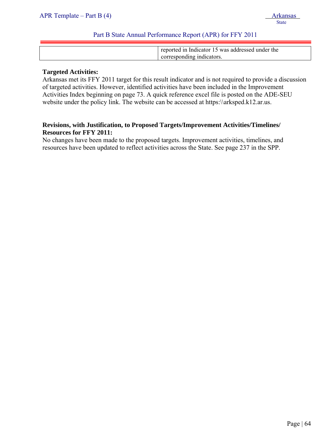| reported in Indicator 15 was addressed under the |
|--------------------------------------------------|
| corresponding indicators.                        |

#### **Targeted Activities:**

Arkansas met its FFY 2011 target for this result indicator and is not required to provide a discussion of targeted activities. However, identified activities have been included in the Improvement Activities Index beginning on page 73. A quick reference excel file is posted on the ADE-SEU website under the policy link. The website can be accessed at https:\\arksped.k12.ar.us.

# **Revisions, with Justification, to Proposed Targets/Improvement Activities/Timelines/ Resources for FFY 2011:**

No changes have been made to the proposed targets. Improvement activities, timelines, and resources have been updated to reflect activities across the State. See page 237 in the SPP.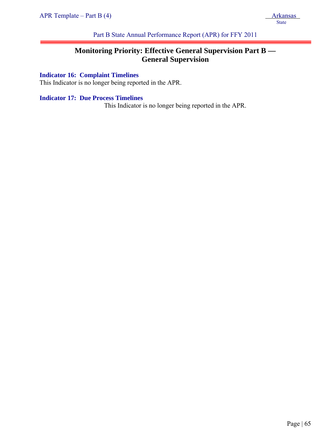Part B State Annual Performance Report (APR) for FFY 2011

# **Monitoring Priority: Effective General Supervision Part B — General Supervision**

# **Indicator 16: Complaint Timelines**

This Indicator is no longer being reported in the APR.

# **Indicator 17: Due Process Timelines**

This Indicator is no longer being reported in the APR.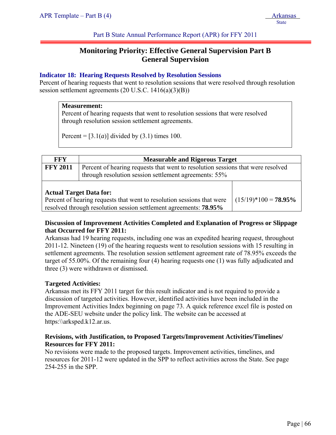Part B State Annual Performance Report (APR) for FFY 2011

# **Monitoring Priority: Effective General Supervision Part B General Supervision**

# **Indicator 18: Hearing Requests Resolved by Resolution Sessions**

Percent of hearing requests that went to resolution sessions that were resolved through resolution session settlement agreements (20 U.S.C. 1416(a)(3)(B))

#### **Measurement:**

Percent of hearing requests that went to resolution sessions that were resolved through resolution session settlement agreements.

Percent =  $[3.1(a)]$  divided by  $(3.1)$  times 100.

| <b>FFY</b>                     | <b>Measurable and Rigorous Target</b>                                                                                                       |                        |  |  |
|--------------------------------|---------------------------------------------------------------------------------------------------------------------------------------------|------------------------|--|--|
| <b>FFY 2011</b>                | Percent of hearing requests that went to resolution sessions that were resolved                                                             |                        |  |  |
|                                | through resolution session settlement agreements: 55%                                                                                       |                        |  |  |
| <b>Actual Target Data for:</b> | Percent of hearing requests that went to resolution sessions that were<br>resolved through resolution session settlement agreements: 78.95% | $(15/19)*100 = 78.95%$ |  |  |

# **Discussion of Improvement Activities Completed and Explanation of Progress or Slippage that Occurred for FFY 2011:**

Arkansas had 19 hearing requests, including one was an expedited hearing request, throughout 2011-12. Nineteen (19) of the hearing requests went to resolution sessions with 15 resulting in settlement agreements. The resolution session settlement agreement rate of 78.95% exceeds the target of 55.00%. Of the remaining four (4) hearing requests one (1) was fully adjudicated and three (3) were withdrawn or dismissed.

### **Targeted Activities:**

Arkansas met its FFY 2011 target for this result indicator and is not required to provide a discussion of targeted activities. However, identified activities have been included in the Improvement Activities Index beginning on page 73. A quick reference excel file is posted on the ADE-SEU website under the policy link. The website can be accessed at https:\\arksped.k12.ar.us.

### **Revisions, with Justification, to Proposed Targets/Improvement Activities/Timelines/ Resources for FFY 2011:**

No revisions were made to the proposed targets. Improvement activities, timelines, and resources for 2011-12 were updated in the SPP to reflect activities across the State. See page 254-255 in the SPP.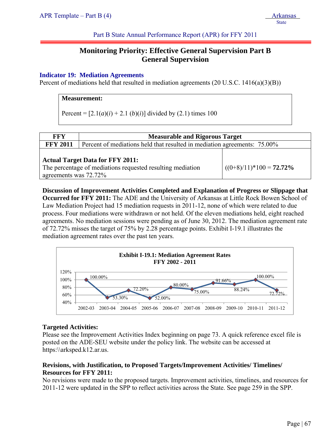State State State State State State State State State State State State State State State State State State State State State State State State State State State State State State State State State State State State State

Part B State Annual Performance Report (APR) for FFY 2011

# **Monitoring Priority: Effective General Supervision Part B General Supervision**

### **Indicator 19: Mediation Agreements**

Percent of mediations held that resulted in mediation agreements (20 U.S.C. 1416(a)(3)(B))

#### **Measurement:**

Percent =  $[2.1(a)(i) + 2.1(b)(i)]$  divided by (2.1) times 100

| <b>FFY</b>            | <b>Measurable and Rigorous Target</b>                                                                 |                            |  |  |
|-----------------------|-------------------------------------------------------------------------------------------------------|----------------------------|--|--|
| <b>FFY 2011</b>       | Percent of mediations held that resulted in mediation agreements: 75.00%                              |                            |  |  |
| agreements was 72.72% | <b>Actual Target Data for FFY 2011:</b><br>The percentage of mediations requested resulting mediation | $((0+8)/11)*100 = 72.72\%$ |  |  |

**Discussion of Improvement Activities Completed and Explanation of Progress or Slippage that Occurred for FFY 2011:** The ADE and the University of Arkansas at Little Rock Bowen School of Law Mediation Project had 15 mediation requests in 2011-12, none of which were related to due process. Four mediations were withdrawn or not held. Of the eleven mediations held, eight reached agreements. No mediation sessions were pending as of June 30, 2012. The mediation agreement rate of 72.72% misses the target of 75% by 2.28 percentage points. Exhibit I-19.1 illustrates the mediation agreement rates over the past ten years.



#### **Targeted Activities:**

Please see the Improvement Activities Index beginning on page 73. A quick reference excel file is posted on the ADE-SEU website under the policy link. The website can be accessed at https:\\arksped.k12.ar.us.

### **Revisions, with Justification, to Proposed Targets/Improvement Activities/ Timelines/ Resources for FFY 2011:**

No revisions were made to the proposed targets. Improvement activities, timelines, and resources for 2011-12 were updated in the SPP to reflect activities across the State. See page 259 in the SPP.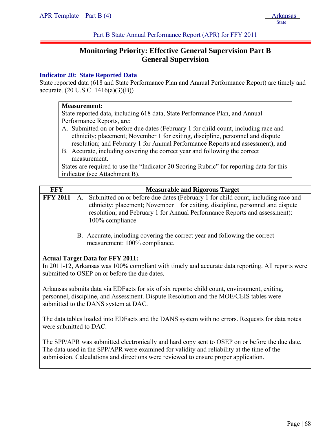Part B State Annual Performance Report (APR) for FFY 2011

# **Monitoring Priority: Effective General Supervision Part B General Supervision**

### **Indicator 20: State Reported Data**

State reported data (618 and State Performance Plan and Annual Performance Report) are timely and accurate. (20 U.S.C. 1416(a)(3)(B))

# **Measurement:**

State reported data, including 618 data, State Performance Plan, and Annual Performance Reports, are:

- A. Submitted on or before due dates (February 1 for child count, including race and ethnicity; placement; November 1 for exiting, discipline, personnel and dispute resolution; and February 1 for Annual Performance Reports and assessment); and
- B. Accurate, including covering the correct year and following the correct measurement.

States are required to use the "Indicator 20 Scoring Rubric" for reporting data for this indicator (see Attachment B).

| FFY             | <b>Measurable and Rigorous Target</b>                                                                                                                                                                                                                                               |
|-----------------|-------------------------------------------------------------------------------------------------------------------------------------------------------------------------------------------------------------------------------------------------------------------------------------|
| <b>FFY 2011</b> | Submitted on or before due dates (February 1 for child count, including race and<br>$A_{\cdot}$<br>ethnicity; placement; November 1 for exiting, discipline, personnel and dispute<br>resolution; and February 1 for Annual Performance Reports and assessment):<br>100% compliance |
|                 | B. Accurate, including covering the correct year and following the correct<br>measurement: 100% compliance.                                                                                                                                                                         |

### **Actual Target Data for FFY 2011:**

In 2011-12, Arkansas was 100% compliant with timely and accurate data reporting. All reports were submitted to OSEP on or before the due dates.

Arkansas submits data via EDFacts for six of six reports: child count, environment, exiting, personnel, discipline, and Assessment. Dispute Resolution and the MOE/CEIS tables were submitted to the DANS system at DAC.

The data tables loaded into EDFacts and the DANS system with no errors. Requests for data notes were submitted to DAC.

The SPP/APR was submitted electronically and hard copy sent to OSEP on or before the due date. The data used in the SPP/APR were examined for validity and reliability at the time of the submission. Calculations and directions were reviewed to ensure proper application.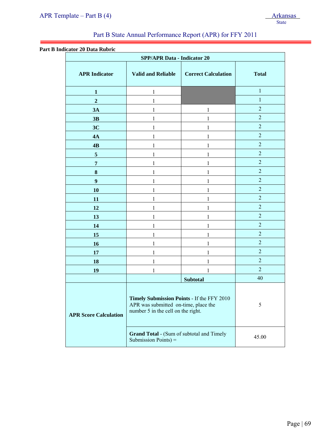#### **Part B Indicator 20 Data Rubric**

j

| <b>SPP/APR Data - Indicator 20</b> |                                                                                                                          |                 |                |  |  |
|------------------------------------|--------------------------------------------------------------------------------------------------------------------------|-----------------|----------------|--|--|
| <b>APR Indicator</b>               | <b>Valid and Reliable</b><br><b>Correct Calculation</b>                                                                  |                 | <b>Total</b>   |  |  |
| 1                                  | 1                                                                                                                        |                 | $\mathbf{1}$   |  |  |
| $\overline{2}$                     | 1                                                                                                                        |                 | $\mathbf{1}$   |  |  |
| 3A                                 | 1                                                                                                                        | 1               | $\overline{2}$ |  |  |
| 3B                                 | 1                                                                                                                        |                 | $\mathbf 2$    |  |  |
| 3C                                 | 1                                                                                                                        | 1               | $\overline{2}$ |  |  |
| 4A                                 | 1                                                                                                                        | 1               | $\overline{2}$ |  |  |
| 4B                                 | 1                                                                                                                        | 1               | $\overline{2}$ |  |  |
| 5                                  | 1                                                                                                                        | 1               | $\overline{2}$ |  |  |
| 7                                  | 1                                                                                                                        | 1               | $\overline{2}$ |  |  |
| ${\bf 8}$                          | 1                                                                                                                        |                 | $\mathbf 2$    |  |  |
| $\boldsymbol{9}$                   | 1                                                                                                                        | 1               | $\overline{2}$ |  |  |
| 10                                 | 1                                                                                                                        | 1               | $\overline{2}$ |  |  |
| 11                                 | 1                                                                                                                        | 1               | $\overline{2}$ |  |  |
| 12                                 | 1                                                                                                                        | 1               | $\overline{2}$ |  |  |
| 13                                 | 1                                                                                                                        | 1               | $\overline{2}$ |  |  |
| 14                                 | 1                                                                                                                        |                 | $\overline{2}$ |  |  |
| 15                                 | 1                                                                                                                        | 1               | $\overline{2}$ |  |  |
| 16                                 | 1                                                                                                                        | 1               | $\overline{2}$ |  |  |
| 17                                 | 1                                                                                                                        | 1               | $\overline{2}$ |  |  |
| 18                                 | 1                                                                                                                        | 1               | $\overline{2}$ |  |  |
| 19                                 | 1                                                                                                                        |                 | $\overline{2}$ |  |  |
|                                    |                                                                                                                          | <b>Subtotal</b> | 40             |  |  |
| <b>APR Score Calculation</b>       | Timely Submission Points - If the FFY 2010<br>APR was submitted on-time, place the<br>number 5 in the cell on the right. |                 | 5              |  |  |
|                                    | <b>Grand Total - (Sum of subtotal and Timely</b><br>Submission Points) =                                                 | 45.00           |                |  |  |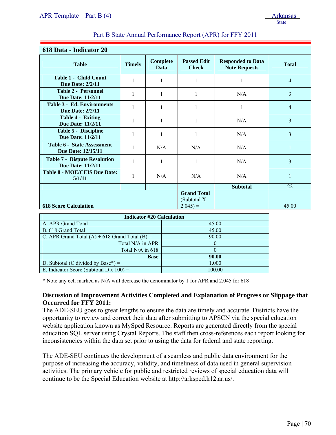| 618 Data - Indicator 20                                                          |               |                  |                                    |                                                  |                |  |
|----------------------------------------------------------------------------------|---------------|------------------|------------------------------------|--------------------------------------------------|----------------|--|
| <b>Table</b>                                                                     | <b>Timely</b> | Complete<br>Data | <b>Passed Edit</b><br><b>Check</b> | <b>Responded to Data</b><br><b>Note Requests</b> | <b>Total</b>   |  |
| <b>Table 1 - Child Count</b><br><b>Due Date: 2/2/11</b>                          | 1             | 1                | 1                                  | 1                                                | $\overline{4}$ |  |
| <b>Table 2 - Personnel</b><br>Due Date: 11/2/11                                  | 1             | 1                | 1                                  | N/A                                              | 3              |  |
| <b>Table 3 - Ed. Environments</b><br><b>Due Date: 2/2/11</b>                     | $\mathbf{1}$  | 1                | 1                                  | 1                                                | $\overline{4}$ |  |
| Table 4 - Exiting<br><b>Due Date: 11/2/11</b>                                    | $\mathbf{1}$  | 1                | 1                                  | N/A                                              | 3              |  |
| <b>Table 5 - Discipline</b><br>Due Date: 11/2/11                                 |               | 1                | 1                                  | N/A                                              | $\overline{3}$ |  |
| <b>Table 6 - State Assessment</b><br>Due Date: 12/15/11                          |               | N/A              | N/A                                | N/A                                              | $\mathbf{1}$   |  |
| <b>Table 7 - Dispute Resolution</b><br>Due Date: 11/2/11                         | $\mathbf{1}$  | 1                | 1                                  | N/A                                              | 3              |  |
| <b>Table 8 - MOE/CEIS Due Date:</b><br>5/1/11                                    | $\mathbf{1}$  | N/A              | N/A                                | N/A                                              | $\mathbf{1}$   |  |
|                                                                                  |               |                  |                                    | <b>Subtotal</b>                                  | 22             |  |
| <b>Grand Total</b><br>(Subtotal X<br>$2.045$ ) =<br><b>618 Score Calculation</b> |               |                  |                                    | 45.00                                            |                |  |

| <b>Indicator #20 Calculation</b>                   |        |
|----------------------------------------------------|--------|
| A. APR Grand Total                                 | 45.00  |
| B. 618 Grand Total                                 | 45.00  |
| C. APR Grand Total $(A)$ + 618 Grand Total $(B)$ = | 90.00  |
| Total N/A in APR                                   |        |
| Total $N/A$ in 618                                 |        |
| <b>Base</b>                                        | 90.00  |
| D. Subtotal (C divided by Base*) $=$               | 1.000  |
| E. Indicator Score (Subtotal D x $100$ ) =         | 100.00 |

\* Note any cell marked as N/A will decrease the denominator by 1 for APR and 2.045 for 618

### **Discussion of Improvement Activities Completed and Explanation of Progress or Slippage that Occurred for FFY 2011:**

The ADE-SEU goes to great lengths to ensure the data are timely and accurate. Districts have the opportunity to review and correct their data after submitting to APSCN via the special education website application known as MySped Resource. Reports are generated directly from the special education SQL server using Crystal Reports. The staff then cross-references each report looking for inconsistencies within the data set prior to using the data for federal and state reporting.

The ADE-SEU continues the development of a seamless and public data environment for the purpose of increasing the accuracy, validity, and timeliness of data used in general supervision activities. The primary vehicle for public and restricted reviews of special education data will continue to be the Special Education website at http://arksped.k12.ar.us/.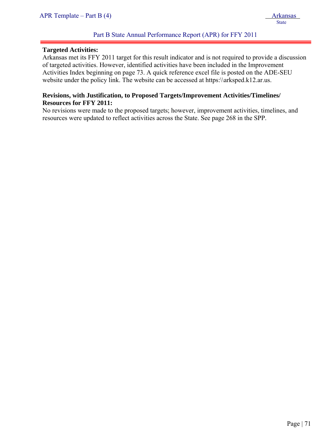#### **Targeted Activities:**

j

Arkansas met its FFY 2011 target for this result indicator and is not required to provide a discussion of targeted activities. However, identified activities have been included in the Improvement Activities Index beginning on page 73. A quick reference excel file is posted on the ADE-SEU website under the policy link. The website can be accessed at https:\\arksped.k12.ar.us.

#### **Revisions, with Justification, to Proposed Targets/Improvement Activities/Timelines/ Resources for FFY 2011:**

No revisions were made to the proposed targets; however, improvement activities, timelines, and resources were updated to reflect activities across the State. See page 268 in the SPP.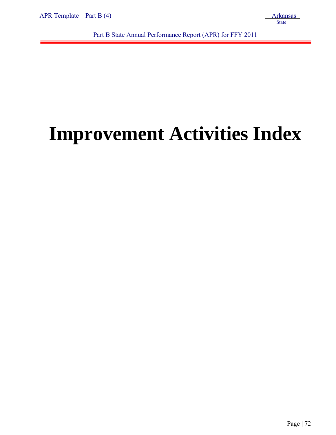j

Part B State Annual Performance Report (APR) for FFY 2011

# **Improvement Activities Index**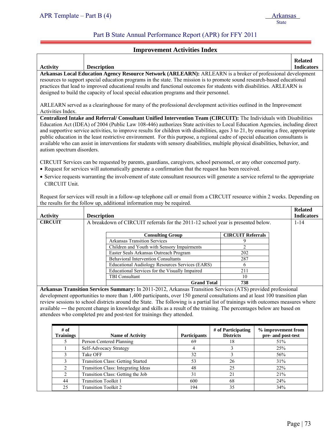j

#### Part B State Annual Performance Report (APR) for FFY 2011

#### **Improvement Activities Index**

| <b>Activity</b>                                                                                                                                                                                                                                                                                                                                                                                                                                                                                                                                                                   | <b>Description</b>                                                                                                                                                                                                                                                                                                                                                                                                                                                                                                                                                                                                                                                                                              |                          | <b>Related</b><br><b>Indicators</b> |  |
|-----------------------------------------------------------------------------------------------------------------------------------------------------------------------------------------------------------------------------------------------------------------------------------------------------------------------------------------------------------------------------------------------------------------------------------------------------------------------------------------------------------------------------------------------------------------------------------|-----------------------------------------------------------------------------------------------------------------------------------------------------------------------------------------------------------------------------------------------------------------------------------------------------------------------------------------------------------------------------------------------------------------------------------------------------------------------------------------------------------------------------------------------------------------------------------------------------------------------------------------------------------------------------------------------------------------|--------------------------|-------------------------------------|--|
| Arkansas Local Education Agency Resource Network (ARLEARN): ARLEARN is a broker of professional development<br>resources to support special education programs in the state. The mission is to promote sound research-based educational<br>practices that lead to improved educational results and functional outcomes for students with disabilities. ARLEARN is<br>designed to build the capacity of local special education programs and their personnel.<br>ARLEARN served as a clearinghouse for many of the professional development activities outlined in the Improvement |                                                                                                                                                                                                                                                                                                                                                                                                                                                                                                                                                                                                                                                                                                                 |                          |                                     |  |
|                                                                                                                                                                                                                                                                                                                                                                                                                                                                                                                                                                                   | Activities Index.<br>Centralized Intake and Referral/ Consultant Unified Intervention Team (CIRCUIT): The Individuals with Disabilities<br>Education Act (IDEA) of 2004 (Public Law 108-446) authorizes State activities to Local Education Agencies, including direct<br>and supportive service activities, to improve results for children with disabilities, ages 3 to 21, by ensuring a free, appropriate<br>public education in the least restrictive environment. For this purpose, a regional cadre of special education consultants is<br>available who can assist in interventions for students with sensory disabilities, multiple physical disabilities, behavior, and<br>autism spectrum disorders. |                          |                                     |  |
| CIRCUIT Services can be requested by parents, guardians, caregivers, school personnel, or any other concerned party.<br>• Request for services will automatically generate a confirmation that the request has been received.<br>• Service requests warranting the involvement of state consultant resources will generate a service referral to the appropriate<br>CIRCUIT Unit.<br>Request for services will result in a follow-up telephone call or email from a CIRCUIT resource within 2 weeks. Depending on                                                                 |                                                                                                                                                                                                                                                                                                                                                                                                                                                                                                                                                                                                                                                                                                                 |                          |                                     |  |
|                                                                                                                                                                                                                                                                                                                                                                                                                                                                                                                                                                                   | the results for the follow up, additional information may be required.                                                                                                                                                                                                                                                                                                                                                                                                                                                                                                                                                                                                                                          |                          |                                     |  |
| <b>Activity</b>                                                                                                                                                                                                                                                                                                                                                                                                                                                                                                                                                                   | <b>Description</b>                                                                                                                                                                                                                                                                                                                                                                                                                                                                                                                                                                                                                                                                                              |                          | <b>Related</b><br><b>Indicators</b> |  |
| <b>CIRCUIT</b>                                                                                                                                                                                                                                                                                                                                                                                                                                                                                                                                                                    | A breakdown of CIRCUIT referrals for the 2011-12 school year is presented below.                                                                                                                                                                                                                                                                                                                                                                                                                                                                                                                                                                                                                                |                          | $1 - 14$                            |  |
|                                                                                                                                                                                                                                                                                                                                                                                                                                                                                                                                                                                   | <b>Consulting Group</b>                                                                                                                                                                                                                                                                                                                                                                                                                                                                                                                                                                                                                                                                                         | <b>CIRCUIT Referrals</b> |                                     |  |
|                                                                                                                                                                                                                                                                                                                                                                                                                                                                                                                                                                                   | <b>Arkansas Transition Services</b>                                                                                                                                                                                                                                                                                                                                                                                                                                                                                                                                                                                                                                                                             | 9                        |                                     |  |
|                                                                                                                                                                                                                                                                                                                                                                                                                                                                                                                                                                                   | Children and Youth with Sensory Impairments                                                                                                                                                                                                                                                                                                                                                                                                                                                                                                                                                                                                                                                                     | $\overline{c}$           |                                     |  |
|                                                                                                                                                                                                                                                                                                                                                                                                                                                                                                                                                                                   | Easter Seals Arkansas Outreach Program                                                                                                                                                                                                                                                                                                                                                                                                                                                                                                                                                                                                                                                                          | 202                      |                                     |  |
|                                                                                                                                                                                                                                                                                                                                                                                                                                                                                                                                                                                   | <b>Behavioral Intervention Consultants</b>                                                                                                                                                                                                                                                                                                                                                                                                                                                                                                                                                                                                                                                                      | 287                      |                                     |  |
|                                                                                                                                                                                                                                                                                                                                                                                                                                                                                                                                                                                   | Educational Audiology Resources Services (EARS)                                                                                                                                                                                                                                                                                                                                                                                                                                                                                                                                                                                                                                                                 | 6                        |                                     |  |
|                                                                                                                                                                                                                                                                                                                                                                                                                                                                                                                                                                                   | Educational Services for the Visually Impaired<br><b>TBI</b> Consultant                                                                                                                                                                                                                                                                                                                                                                                                                                                                                                                                                                                                                                         | 211<br>10                |                                     |  |
|                                                                                                                                                                                                                                                                                                                                                                                                                                                                                                                                                                                   | <b>Grand Total</b>                                                                                                                                                                                                                                                                                                                                                                                                                                                                                                                                                                                                                                                                                              | 738                      |                                     |  |

**Arkansas Transition Services Summary:** In 2011-2012, Arkansas Transition Services (ATS) provided professional development opportunities to more than 1,400 participants, over 150 general consultations and at least 100 transition plan review sessions to school districts around the State. The following is a partial list of trainings with outcomes measures where available ― the percent change in knowledge and skills as a result of the training. The percentages below are based on attendees who completed pre and post-test for trainings they attended.

| # of<br><b>Trainings</b> | <b>Name of Activity</b>                  | <b>Participants</b> | # of Participating<br><b>Districts</b> | % improvement from<br>pre- and post-test |
|--------------------------|------------------------------------------|---------------------|----------------------------------------|------------------------------------------|
|                          | Person Centered Planning                 | 69                  | 18                                     | 51%                                      |
|                          | Self-Advocacy Strategy                   |                     |                                        | 25%                                      |
|                          | Take OFF                                 | 32                  |                                        | 56%                                      |
|                          | <b>Transition Class: Getting Started</b> | 53                  | 26                                     | 31%                                      |
|                          | Transition Class: Integrating Ideas      | 48                  | 25                                     | 22%                                      |
|                          | Transition Class: Getting the Job        | 31                  | 21                                     | 21%                                      |
| 44                       | <b>Transition Toolkit 1</b>              | 600                 | 68                                     | 24%                                      |
| 25                       | <b>Transition Toolkit 2</b>              | 194                 | 35                                     | 34%                                      |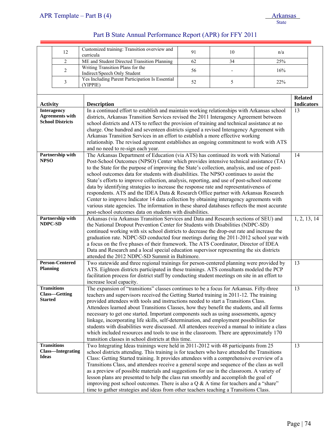|                 | 12                       | Customized training: Transition overview and<br>curricula                                                                                         | 91                                                                                         | 10 | n/a |                   |  |
|-----------------|--------------------------|---------------------------------------------------------------------------------------------------------------------------------------------------|--------------------------------------------------------------------------------------------|----|-----|-------------------|--|
|                 | $\overline{c}$           | ME and Student Directed Transition Planning                                                                                                       | 62                                                                                         | 34 | 25% |                   |  |
|                 | $\overline{c}$           | Writing Transition Plans for the<br>Indirect/Speech Only Student                                                                                  | 56                                                                                         |    | 16% |                   |  |
|                 | 3                        | Yes Including Parent Participation Is Essential<br>(YIPPIE)                                                                                       | 52                                                                                         | 5  | 22% |                   |  |
|                 |                          |                                                                                                                                                   |                                                                                            |    |     |                   |  |
|                 |                          |                                                                                                                                                   |                                                                                            |    |     | <b>Related</b>    |  |
| <b>Activity</b> |                          | <b>Description</b>                                                                                                                                |                                                                                            |    |     | <b>Indicators</b> |  |
|                 | <b>Interagency</b>       | In a continued effort to establish and maintain working relationships with Arkansas school                                                        |                                                                                            |    |     | 13                |  |
|                 | <b>Agreements with</b>   | districts, Arkansas Transition Services revised the 2011 Interagency Agreement between                                                            |                                                                                            |    |     |                   |  |
|                 | <b>School Districts</b>  | school districts and ATS to reflect the provision of training and technical assistance at no                                                      |                                                                                            |    |     |                   |  |
|                 |                          | charge. One hundred and seventeen districts signed a revised Interagency Agreement with                                                           |                                                                                            |    |     |                   |  |
|                 |                          | Arkansas Transition Services in an effort to establish a more effective working                                                                   |                                                                                            |    |     |                   |  |
|                 |                          | relationship. The revised agreement establishes an ongoing commitment to work with ATS                                                            |                                                                                            |    |     |                   |  |
|                 | Partnership with         | and no need to re-sign each year.<br>The Arkansas Department of Education (via ATS) has continued its work with National                          |                                                                                            |    |     | 14                |  |
| <b>NPSO</b>     |                          | Post-School Outcomes (NPSO) Center which provides intensive technical assistance (TA)                                                             |                                                                                            |    |     |                   |  |
|                 |                          | to the State for the purpose of improving the State's collection, analysis, and use of post-                                                      |                                                                                            |    |     |                   |  |
|                 |                          | school outcomes data for students with disabilities. The NPSO continues to assist the                                                             |                                                                                            |    |     |                   |  |
|                 |                          | State's efforts to improve collection, analysis, reporting, and use of post-school outcome                                                        |                                                                                            |    |     |                   |  |
|                 |                          | data by identifying strategies to increase the response rate and representativeness of                                                            |                                                                                            |    |     |                   |  |
|                 |                          | respondents. ATS and the IDEA Data & Research Office partner with Arkansas Research                                                               |                                                                                            |    |     |                   |  |
|                 |                          | Center to improve Indicator 14 data collection by obtaining interagency agreements with                                                           |                                                                                            |    |     |                   |  |
|                 |                          | various state agencies. The information in these shared databases reflects the most accurate                                                      |                                                                                            |    |     |                   |  |
|                 | Partnership with         | post-school outcomes data on students with disabilities.<br>Arkansas (via Arkansas Transition Services and Data and Research sections of SEU) and |                                                                                            |    |     | 1, 2, 13, 14      |  |
| NDPC-SD         |                          | the National Dropout Prevention Center for Students with Disabilities (NDPC-SD)                                                                   |                                                                                            |    |     |                   |  |
|                 |                          |                                                                                                                                                   | continued working with six school districts to decrease the drop-out rate and increase the |    |     |                   |  |
|                 |                          | graduation rate. NDPC-SD conducted four meetings during the 2011-2012 school year with                                                            |                                                                                            |    |     |                   |  |
|                 |                          | a focus on the five phases of their framework. The ATS Coordinator, Director of IDEA                                                              |                                                                                            |    |     |                   |  |
|                 |                          | Data and Research and a local special education supervisor representing the six districts                                                         |                                                                                            |    |     |                   |  |
|                 |                          | attended the 2012 NDPC-SD Summit in Baltimore.                                                                                                    |                                                                                            |    |     |                   |  |
|                 | <b>Person-Centered</b>   | Two statewide and three regional trainings for person-centered planning were provided by                                                          |                                                                                            |    |     | 13                |  |
| <b>Planning</b> |                          | ATS. Eighteen districts participated in these trainings. ATS consultants modeled the PCP                                                          |                                                                                            |    |     |                   |  |
|                 |                          | facilitation process for district staff by conducting student meetings on site in an effort to<br>increase local capacity.                        |                                                                                            |    |     |                   |  |
|                 | <b>Transitions</b>       | The expansion of "transitions" classes continues to be a focus for Arkansas. Fifty-three                                                          |                                                                                            |    |     | 13                |  |
|                 | <b>Class-Getting</b>     | teachers and supervisors received the Getting Started training in 2011-12. The training                                                           |                                                                                            |    |     |                   |  |
| <b>Started</b>  |                          | provided attendees with tools and instructions needed to start a Transitions Class.                                                               |                                                                                            |    |     |                   |  |
|                 |                          | Attendees learned about Transitions Classes, how they benefit the students, and all forms                                                         |                                                                                            |    |     |                   |  |
|                 |                          | necessary to get one started. Important components such as using assessments, agency                                                              |                                                                                            |    |     |                   |  |
|                 |                          | linkage, incorporating life skills, self-determination, and employment possibilities for                                                          |                                                                                            |    |     |                   |  |
|                 |                          | students with disabilities were discussed. All attendees received a manual to initiate a class                                                    |                                                                                            |    |     |                   |  |
|                 |                          | which included resources and tools to use in the classroom. There are approximately 170                                                           |                                                                                            |    |     |                   |  |
|                 | <b>Transitions</b>       | transition classes in school districts at this time.<br>Two Integrating Ideas trainings were held in 2011-2012 with 48 participants from 25       |                                                                                            |    |     | 13                |  |
|                 | <b>Class—Integrating</b> | school districts attending. This training is for teachers who have attended the Transitions                                                       |                                                                                            |    |     |                   |  |
| <b>Ideas</b>    |                          | Class: Getting Started training. It provides attendees with a comprehensive overview of a                                                         |                                                                                            |    |     |                   |  |
|                 |                          | Transitions Class, and attendees receive a general scope and sequence of the class as well                                                        |                                                                                            |    |     |                   |  |
|                 |                          | as a preview of possible materials and suggestions for use in the classroom. A variety of                                                         |                                                                                            |    |     |                   |  |
|                 |                          | lesson plans are presented to help the class run smoothly and accomplish the goal of                                                              |                                                                                            |    |     |                   |  |
|                 |                          | improving post school outcomes. There is also a $Q & A$ time for teachers and a "share"                                                           |                                                                                            |    |     |                   |  |
|                 |                          | time to gather strategies and ideas from other teachers teaching a Transitions Class.                                                             |                                                                                            |    |     |                   |  |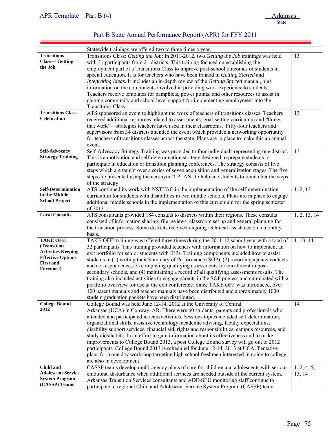| APR Template – Part B $(4)$ | <b>Arkansas</b> |
|-----------------------------|-----------------|
|                             | State           |

|                                          | Statewide trainings are offered two to three times a year.                                      |              |
|------------------------------------------|-------------------------------------------------------------------------------------------------|--------------|
| <b>Transitions</b>                       | Transitions Class: Getting the Job: In 2011-2012, two Getting the Job trainings was held        | 13           |
| <b>Class—Getting</b>                     | with 31 participants from 21 districts. This training focused on establishing the               |              |
| the Job                                  | employment part of a Transitions Class to improve post-school outcomes of students in           |              |
|                                          | special education. It is for teachers who have been trained in Getting Started and              |              |
|                                          | Integrating Ideas. It includes an in-depth review of the Getting Started manual, plus           |              |
|                                          | information on the components involved in providing work experience to students.                |              |
|                                          | Teachers receive templates for pamphlets, power points, and other resources to assist in        |              |
|                                          | gaining community and school level support for implementing employment into the                 |              |
|                                          | Transitions Class.                                                                              |              |
| <b>Transitions Class</b>                 | ATS sponsored an event to highlight the work of teachers of transitions classes. Teachers       | 13           |
| <b>Celebration</b>                       | received additional resources related to assessments, goal-setting curriculum and "things"      |              |
|                                          |                                                                                                 |              |
|                                          | that work"-strategies teachers have used in their classrooms. Fifty-four teachers and           |              |
|                                          | supervisors from 34 districts attended the event which provided a networking opportunity        |              |
|                                          | for teachers of transitions classes across the state. Plans are in place to make this an annual |              |
| <b>Self-Advocacy</b>                     | event.                                                                                          |              |
| <b>Strategy Training</b>                 | Self-Advocacy Strategy Training was provided to four individuals representing one district.     | 13           |
|                                          | This is a motivation and self-determination strategy designed to prepare students to            |              |
|                                          | participate in education or transition planning conferences. The strategy consists of five      |              |
|                                          | steps which are taught over a series of seven acquisition and generalization stages. The five   |              |
|                                          | steps are presented using the acronym "I PLAN" to help cue students to remember the steps       |              |
|                                          | of the strategy.                                                                                |              |
| Self-Determination<br>in the Middle      | ATS continued its work with NSTTAC in the implementation of the self-determination              | 1, 2, 13     |
| <b>School Project</b>                    | curriculum for students with disabilities in two middle schools. Plans are in place to engage   |              |
|                                          | additional middle schools in the implementation of this curriculum for the spring semester      |              |
|                                          | of 2013.                                                                                        |              |
| <b>Local Consults</b>                    | ATS consultants provided 184 consults to districts within their regions. These consults         | 1, 2, 13, 14 |
|                                          | consisted of information sharing, file reviews, classroom set up and general planning for       |              |
|                                          | the transition process. Some districts received ongoing technical assistance on a monthly       |              |
|                                          | basis.                                                                                          |              |
| <b>TAKE OFF!</b>                         | TAKE OFF! training was offered three times during the 2011-12 school year with a total of       | 1, 13, 14    |
| (Transition<br><b>Activities Keeping</b> | 32 participants. This training provided teachers with information on how to implement an        |              |
| <b>Effective Options</b>                 | exit portfolio for senior students with IEPs. Training components included how to assist        |              |
| <b>First and</b>                         | students in (1) writing their Summary of Performance (SOP), (2) recording agency contacts       |              |
| Foremost)                                | and correspondence, (3) completing qualifying assessments for enrollment in post-               |              |
|                                          | secondary schools, and (4) maintaining a record of all qualifying assessments results. The      |              |
|                                          | training also included activities to engage parents in the SOP process and culminated with a    |              |
|                                          | portfolio overview for use at the exit conference. Since TAKE OFF was introduced, over          |              |
|                                          | 100 parent manuals and teacher manuals have been distributed and approximately 1000             |              |
|                                          | student graduation packets have been distributed.                                               |              |
| <b>College Bound</b>                     | College Bound was held June 12-14, 2012 at the University of Central                            | 14           |
| 2012                                     | Arkansas (UCA) in Conway, AR. There were 60 students, parents and professionals who             |              |
|                                          | attended and participated in team activities. Sessions topics included self-determination,      |              |
|                                          | organizational skills, assistive technology, academic advising, faculty expectations,           |              |
|                                          | disability support services, financial aid, rights and responsibilities, campus resources, and  |              |
|                                          | study aids/habits. In an effort to gain information about its effectiveness and to make         |              |
|                                          | improvements to College Bound 2013, a post College Bound survey will go out to 2012             |              |
|                                          | participants. College Bound 2013 is scheduled for June 12-14, 2013 at UCA. Tentative            |              |
|                                          | plans for a one day workshop targeting high school freshmen interested in going to college      |              |
|                                          | are also in development.                                                                        |              |
| Child and                                | CASSP teams develop multi-agency plans of care for children and adolescents with serious        | 1, 2, 4, 5,  |
| <b>Adolescent Service</b>                | emotional disturbance when additional services are needed outside of the current system.        | 13, 14       |
| <b>System Program</b>                    | Arkansas Transition Services consultants and ADE-SEU monitoring staff continue to               |              |
| (CASSP) Teams                            | participate in regional Child and Adolescent Service System Program (CASSP) team                |              |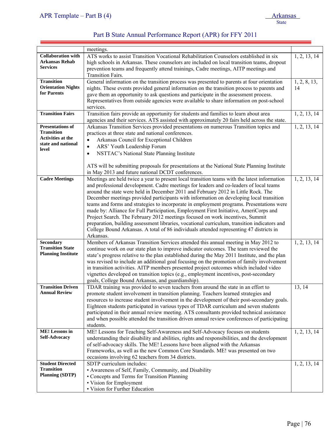|                                                                                                         | meetings.                                                                                                                                                                                                                                                                                                                                                                                                                                                                                                                                                                                                                                                                                                                                                                                                                                            |                      |
|---------------------------------------------------------------------------------------------------------|------------------------------------------------------------------------------------------------------------------------------------------------------------------------------------------------------------------------------------------------------------------------------------------------------------------------------------------------------------------------------------------------------------------------------------------------------------------------------------------------------------------------------------------------------------------------------------------------------------------------------------------------------------------------------------------------------------------------------------------------------------------------------------------------------------------------------------------------------|----------------------|
| <b>Collaboration with</b><br><b>Arkansas Rehab</b><br><b>Services</b>                                   | ATS works to assist Transition Vocational Rehabilitation Counselors established in six<br>high schools in Arkansas. These counselors are included on local transition teams, dropout<br>prevention teams and frequently attend trainings, Cadre meetings, AITP meetings and<br><b>Transition Fairs.</b>                                                                                                                                                                                                                                                                                                                                                                                                                                                                                                                                              | 1, 2, 13, 14         |
| <b>Transition</b><br><b>Orientation Nights</b><br>for Parents                                           | General information on the transition process was presented to parents at four orientation<br>nights. These events provided general information on the transition process to parents and<br>gave them an opportunity to ask questions and participate in the assessment process.<br>Representatives from outside agencies were available to share information on post-school<br>services.                                                                                                                                                                                                                                                                                                                                                                                                                                                            | 1, 2, 8, 13,<br>14   |
| <b>Transition Fairs</b>                                                                                 | Transition fairs provide an opportunity for students and families to learn about area<br>agencies and their services. ATS assisted with approximately 20 fairs held across the state.                                                                                                                                                                                                                                                                                                                                                                                                                                                                                                                                                                                                                                                                | 1, 2, 13, 14         |
| <b>Presentations of</b><br><b>Transition</b><br><b>Activities at the</b><br>state and national<br>level | Arkansas Transition Services provided presentations on numerous Transition topics and<br>practices at three state and national conferences.<br>Arkansas Council for Exceptional Children<br>$\bullet$<br>ARS' Youth Leadership Forum<br>$\bullet$<br>NSTTAC's National State Planning Institute<br>$\bullet$                                                                                                                                                                                                                                                                                                                                                                                                                                                                                                                                         | 1, 2, 13, 14         |
|                                                                                                         | ATS will be submitting proposals for presentations at the National State Planning Institute<br>in May 2013 and future national DCDT conferences.                                                                                                                                                                                                                                                                                                                                                                                                                                                                                                                                                                                                                                                                                                     |                      |
| <b>Cadre Meetings</b>                                                                                   | Meetings are held twice a year to present local transition teams with the latest information<br>and professional development. Cadre meetings for leaders and co-leaders of local teams<br>around the state were held in December 2011 and February 2012 in Little Rock. The<br>December meetings provided participants with information on developing local transition<br>teams and forms and strategies to incorporate in employment programs. Presentations were<br>made by: Alliance for Full Participation, Employment First Initiative, AmeriCorps and<br>Project Search. The February 2012 meetings focused on work incentives, Summit<br>preparation, building assessment libraries, vocational curriculum, transition indicators and<br>College Bound Arkansas. A total of 86 individuals attended representing 47 districts in<br>Arkansas. | 1, 2, 13, 14         |
| Secondary<br><b>Transition State</b><br><b>Planning Institute</b>                                       | Members of Arkansas Transition Services attended this annual meeting in May 2012 to<br>continue work on our state plan to improve indicator outcomes. The team reviewed the<br>state's progress relative to the plan established during the May 2011 Institute, and the plan<br>was revised to include an additional goal focusing on the promotion of family involvement<br>in transition activities. AITP members presented project outcomes which included video<br>vignettes developed on transition topics (e.g., employment incentives, post-secondary<br>goals, College Bound Arkansas, and guardianship).                                                                                                                                                                                                                                    | 1, 2, 13, 14         |
| <b>Transition Driven</b><br><b>Annual Review</b>                                                        | TDAR training was provided to seven teachers from around the state in an effort to<br>promote student involvement in transition planning. Teachers learned strategies and<br>resources to increase student involvement in the development of their post-secondary goals.<br>Eighteen students participated in various types of TDAR curriculum and seven students<br>participated in their annual review meeting. ATS consultants provided technical assistance<br>and when possible attended the transition driven annual review conferences of participating<br>students.                                                                                                                                                                                                                                                                          | $\overline{13}$ , 14 |
| <b>ME!</b> Lessons in<br><b>Self-Advocacy</b>                                                           | ME! Lessons for Teaching Self-Awareness and Self-Advocacy focuses on students<br>understanding their disability and abilities, rights and responsibilities, and the development<br>of self-advocacy skills. The ME! Lessons have been aligned with the Arkansas<br>Frameworks, as well as the new Common Core Standards. ME! was presented on two<br>occasions involving 62 teachers from 34 districts.                                                                                                                                                                                                                                                                                                                                                                                                                                              | 1, 2, 13, 14         |
| <b>Student Directed</b><br><b>Transition</b><br><b>Planning (SDTP)</b>                                  | SDTP curriculum includes:<br>• Awareness of Self, Family, Community, and Disability<br>• Concepts and Terms for Transition Planning<br>• Vision for Employment<br>• Vision for Further Education                                                                                                                                                                                                                                                                                                                                                                                                                                                                                                                                                                                                                                                     | 1, 2, 13, 14         |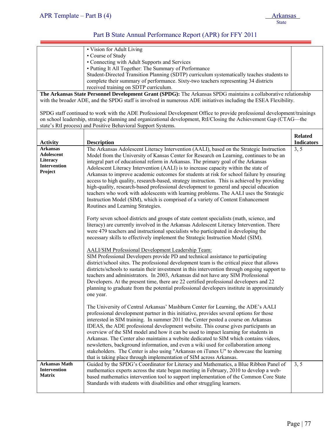j

#### Part B State Annual Performance Report (APR) for FFY 2011

| • Vision for Adult Living                                                                 |  |
|-------------------------------------------------------------------------------------------|--|
| • Course of Study                                                                         |  |
| • Connecting with Adult Supports and Services                                             |  |
| • Putting It All Together: The Summary of Performance                                     |  |
| Student-Directed Transition Planning (SDTP) curriculum systematically teaches students to |  |
| complete their summary of performance. Sixty-two teachers representing 34 districts       |  |

received training on SDTP curriculum.

**The Arkansas State Personnel Development Grant (SPDG):** The Arkansas SPDG maintains a collaborative relationship with the broader ADE, and the SPDG staff is involved in numerous ADE initiatives including the ESEA Flexibility.

SPDG staff continued to work with the ADE Professional Development Office to provide professional development/trainings on school leadership, strategic planning and organizational development, RtI/Closing the Achievement Gap (CTAG—the state's RtI process) and Positive Behavioral Support Systems.

| <b>Activity</b>                                                      | <b>Description</b>                                                                                                                                                                                                                                                                                                                                                                                                                                                                                                                                                                                                                                                                                                                                                                                                                                                      | <b>Related</b><br><b>Indicators</b> |
|----------------------------------------------------------------------|-------------------------------------------------------------------------------------------------------------------------------------------------------------------------------------------------------------------------------------------------------------------------------------------------------------------------------------------------------------------------------------------------------------------------------------------------------------------------------------------------------------------------------------------------------------------------------------------------------------------------------------------------------------------------------------------------------------------------------------------------------------------------------------------------------------------------------------------------------------------------|-------------------------------------|
| <b>Arkansas</b><br>Adolescent<br>Literacy<br>Intervention<br>Project | The Arkansas Adolescent Literacy Intervention (AALI), based on the Strategic Instruction<br>Model from the University of Kansas Center for Research on Learning, continues to be an<br>integral part of educational reform in Arkansas. The primary goal of the Arkansas<br>Adolescent Literacy Intervention (AALI) is to increase capacity within the state of<br>Arkansas to improve academic outcomes for students at risk for school failure by ensuring<br>access to high quality, research-based, strategy instruction. This is achieved by providing<br>high-quality, research-based professional development to general and special education<br>teachers who work with adolescents with learning problems. The AALI uses the Strategic<br>Instruction Model (SIM), which is comprised of a variety of Content Enhancement<br>Routines and Learning Strategies. | 3, 5                                |
|                                                                      | Forty seven school districts and groups of state content specialists (math, science, and<br>literacy) are currently involved in the Arkansas Adolescent Literacy Intervention. There<br>were 479 teachers and instructional specialists who participated in developing the<br>necessary skills to effectively implement the Strategic Instruction Model (SIM).                                                                                                                                                                                                                                                                                                                                                                                                                                                                                                          |                                     |
|                                                                      | <b>AALI/SIM Professional Development Leadership Team:</b><br>SIM Professional Developers provide PD and technical assistance to participating<br>district/school sites. The professional development team is the critical piece that allows<br>districts/schools to sustain their investment in this intervention through ongoing support to<br>teachers and administrators. In 2003, Arkansas did not have any SIM Professional<br>Developers. At the present time, there are 22 certified professional developers and 22<br>planning to graduate from the potential professional developers institute in approximately<br>one year.                                                                                                                                                                                                                                   |                                     |
|                                                                      | The University of Central Arkansas' Mashburn Center for Learning, the ADE's AALI<br>professional development partner in this initiative, provides several options for those<br>interested in SIM training. In summer 2011 the Center posted a course on Arkansas<br>IDEAS, the ADE professional development website. This course gives participants an<br>overview of the SIM model and how it can be used to impact learning for students in<br>Arkansas. The Center also maintains a website dedicated to SIM which contains videos,<br>newsletters, background information, and even a wiki used for collaboration among<br>stakeholders. The Center is also using "Arkansas on iTunes U" to showcase the learning<br>that is taking place through implementation of SIM across Arkansas.                                                                            |                                     |
| <b>Arkansas Math</b><br><b>Intervention</b><br><b>Matrix</b>         | Guided by the SPDG's Coordinator for Literacy and Mathematics, a Blue Ribbon Panel of<br>mathematics experts across the state began meeting in February, 2010 to develop a web-<br>based mathematics intervention tool to support implementation of the Common Core State<br>Standards with students with disabilities and other struggling learners.                                                                                                                                                                                                                                                                                                                                                                                                                                                                                                                   | 3, 5                                |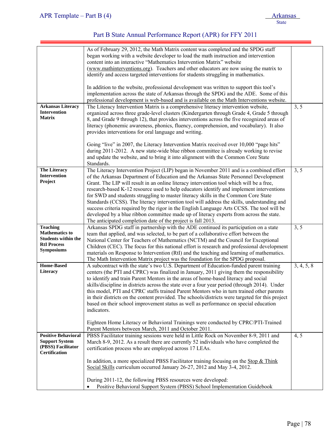|                                                                                                                   | As of February 29, 2012, the Math Matrix content was completed and the SPDG staff<br>began working with a website developer to load the math instruction and intervention<br>content into an interactive "Mathematics Intervention Matrix" website<br>(www.mathinterventions.org). Teachers and other educators are now using the matrix to<br>identify and access targeted interventions for students struggling in mathematics.                                                                                                                                                                                                                                                                                                                                                                                     |            |
|-------------------------------------------------------------------------------------------------------------------|-----------------------------------------------------------------------------------------------------------------------------------------------------------------------------------------------------------------------------------------------------------------------------------------------------------------------------------------------------------------------------------------------------------------------------------------------------------------------------------------------------------------------------------------------------------------------------------------------------------------------------------------------------------------------------------------------------------------------------------------------------------------------------------------------------------------------|------------|
|                                                                                                                   | In addition to the website, professional development was written to support this tool's<br>implementation across the state of Arkansas through the SPDG and the ADE. Some of this<br>professional development is web-based and is available on the Math Interventions website.                                                                                                                                                                                                                                                                                                                                                                                                                                                                                                                                        |            |
| <b>Arkansas Literacy</b><br>Intervention<br><b>Matrix</b>                                                         | The Literacy Intervention Matrix is a comprehensive literacy intervention website,<br>organized across three grade-level clusters (Kindergarten through Grade 4, Grade 5 through<br>8, and Grade 9 through 12), that provides interventions across the five recognized areas of<br>literacy (phonemic awareness, phonics, fluency, comprehension, and vocabulary). It also<br>provides interventions for oral language and writing.                                                                                                                                                                                                                                                                                                                                                                                   | 3, 5       |
|                                                                                                                   | Going "live" in 2007, the Literacy Intervention Matrix received over 10,000 "page hits"<br>during 2011-2012. A new state-wide blue ribbon committee is already working to revise<br>and update the website, and to bring it into alignment with the Common Core State<br>Standards.                                                                                                                                                                                                                                                                                                                                                                                                                                                                                                                                   |            |
| <b>The Literacy</b><br>Intervention<br>Project                                                                    | The Literacy Intervention Project (LIP) began in November 2011 and is a combined effort<br>of the Arkansas Department of Education and the Arkansas State Personnel Development<br>Grant. The LIP will result in an online literacy intervention tool which will be a free,<br>research-based K-12 resource used to help educators identify and implement interventions<br>for SWD and students struggling to master literacy skills in the Common Core State<br>Standards (CCSS). The literacy intervention tool will address the skills, understanding and<br>success criteria required by the rigor in the English Language Arts CCSS. The tool will be<br>developed by a blue ribbon committee made up of literacy experts from across the state.<br>The anticipated completion date of the project is fall 2013. | 3, 5       |
| <b>Teaching</b><br><b>Mathematics to</b><br><b>Students within the</b><br><b>RtI Process</b><br><b>Symposiums</b> | Arkansas SPDG staff in partnership with the ADE continued its participation on a state<br>team that applied, and was selected, to be part of a collaborative effort between the<br>National Center for Teachers of Mathematics (NCTM) and the Council for Exceptional<br>Children (CEC). The focus for this national effort is research and professional development<br>materials on Response to Intervention (RtI) and the teaching and learning of mathematics.<br>The Math Intervention Matrix project was the foundation for the SPDG proposal.                                                                                                                                                                                                                                                                   | 3, 5       |
| <b>Home-Based</b><br>Literacy                                                                                     | A subcontract with the state's two U.S. Department of Education-funded parent training<br>centers (the PTI and CPRC) was finalized in January, 2011 giving them the responsibility<br>to identify and train Parent Mentors in the areas of home-based literacy and social<br>skills/discipline in districts across the state over a four year period (through 2014). Under<br>this model, PTI and CPRC staffs trained Parent Mentors who in turn trained other parents<br>in their districts on the content provided. The schools/districts were targeted for this project<br>based on their school improvement status as well as performance on special education<br>indicators.<br>Eighteen Home Literacy or Behavioral Trainings were conducted by CPRC/PTI-Trained                                                | 3, 4, 5, 8 |
| <b>Positive Behavioral</b><br><b>Support System</b><br>(PBSS) Facilitator<br><b>Certification</b>                 | Parent Mentors between March, 2011 and October 2011.<br>PBSS Facilitator training sessions were held in Little Rock on November 8-9, 2011 and<br>March 8-9, 2012. As a result there are currently 52 individuals who have completed the<br>certification process who are employed across 17 LEAs.                                                                                                                                                                                                                                                                                                                                                                                                                                                                                                                     | 4, 5       |
|                                                                                                                   | In addition, a more specialized PBSS Facilitator training focusing on the $\text{Stop & Think}$<br>Social Skills curriculum occurred January 26-27, 2012 and May 3-4, 2012.<br>During 2011-12, the following PBSS resources were developed:<br>Positive Behavioral Support System (PBSS) School Implementation Guidebook<br>$\bullet$                                                                                                                                                                                                                                                                                                                                                                                                                                                                                 |            |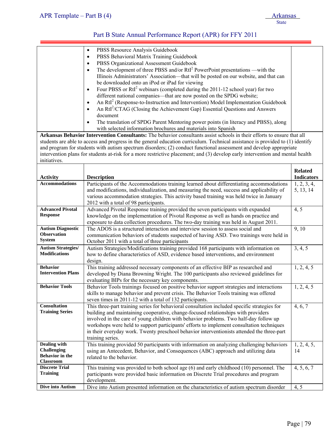| initiatives.                                                                            | PBSS Resource Analysis Guidebook<br>$\bullet$<br>PBSS Behavioral Matrix Training Guidebook<br>$\bullet$<br>PBSS Organizational Assessment Guidebook<br>$\bullet$<br>The development of three PBSS and/or $RtI2$ PowerPoint presentations —with the<br>٠<br>Illinois Administrators' Association-that will be posted on our website, and that can<br>be downloaded onto an iPod or iPad for viewing<br>Four PBSS or RtI <sup>2</sup> webinars (completed during the 2011-12 school year) for two<br>$\bullet$<br>different national companies—that are now posted on the SPDG website;<br>An RtI <sup>2</sup> (Response-to-Instruction and Intervention) Model Implementation Guidebook<br>$\bullet$<br>An RtI <sup>2</sup> /CTAG (Closing the Achievement Gap) Essential Questions and Answers<br>document<br>The translation of SPDG Parent Mentoring power points (in literacy and PBSS), along<br>with selected information brochures and materials into Spanish<br>Arkansas Behavior Intervention Consultants: The behavior consultants assist schools in their efforts to ensure that all<br>students are able to access and progress in the general education curriculum. Technical assistance is provided to (1) identify<br>and program for students with autism spectrum disorders; (2) conduct functional assessment and develop appropriate<br>intervention plans for students at-risk for a more restrictive placement; and (3) develop early intervention and mental health |                   |
|-----------------------------------------------------------------------------------------|------------------------------------------------------------------------------------------------------------------------------------------------------------------------------------------------------------------------------------------------------------------------------------------------------------------------------------------------------------------------------------------------------------------------------------------------------------------------------------------------------------------------------------------------------------------------------------------------------------------------------------------------------------------------------------------------------------------------------------------------------------------------------------------------------------------------------------------------------------------------------------------------------------------------------------------------------------------------------------------------------------------------------------------------------------------------------------------------------------------------------------------------------------------------------------------------------------------------------------------------------------------------------------------------------------------------------------------------------------------------------------------------------------------------------------------------------------------------------------------|-------------------|
|                                                                                         |                                                                                                                                                                                                                                                                                                                                                                                                                                                                                                                                                                                                                                                                                                                                                                                                                                                                                                                                                                                                                                                                                                                                                                                                                                                                                                                                                                                                                                                                                          | <b>Related</b>    |
| <b>Activity</b>                                                                         | <b>Description</b>                                                                                                                                                                                                                                                                                                                                                                                                                                                                                                                                                                                                                                                                                                                                                                                                                                                                                                                                                                                                                                                                                                                                                                                                                                                                                                                                                                                                                                                                       | <b>Indicators</b> |
| <b>Accommodations</b>                                                                   | Participants of the Accommodations training learned about differentiating accommodations                                                                                                                                                                                                                                                                                                                                                                                                                                                                                                                                                                                                                                                                                                                                                                                                                                                                                                                                                                                                                                                                                                                                                                                                                                                                                                                                                                                                 | 1, 2, 3, 4,       |
|                                                                                         | and modifications, individualization, and measuring the need, success and applicability of<br>various accommodation strategies. This activity based training was held twice in January<br>2012 with a total of 98 participants.                                                                                                                                                                                                                                                                                                                                                                                                                                                                                                                                                                                                                                                                                                                                                                                                                                                                                                                                                                                                                                                                                                                                                                                                                                                          | 5, 13, 14         |
| <b>Advanced Pivotal</b><br><b>Response</b>                                              | Advanced Pivotal Response training provided the seven participants with expanded<br>knowledge on the implementation of Pivotal Response as well as hands on practice and<br>exposure to data collection procedures. The two-day training was held in August 2011.                                                                                                                                                                                                                                                                                                                                                                                                                                                                                                                                                                                                                                                                                                                                                                                                                                                                                                                                                                                                                                                                                                                                                                                                                        | 4, 5              |
| <b>Autism Diagnostic</b><br><b>Observation</b><br><b>System</b>                         | The ADOS is a structured interaction and interview session to assess social and<br>communication behaviors of students suspected of having ASD. Two trainings were held in<br>October 2011 with a total of three participants                                                                                                                                                                                                                                                                                                                                                                                                                                                                                                                                                                                                                                                                                                                                                                                                                                                                                                                                                                                                                                                                                                                                                                                                                                                            | 9, 10             |
| <b>Autism Strategies/</b><br><b>Modifications</b>                                       | Autism Strategies/Modifications training provided 168 participants with information on<br>how to define characteristics of ASD, evidence based interventions, and environment<br>design.                                                                                                                                                                                                                                                                                                                                                                                                                                                                                                                                                                                                                                                                                                                                                                                                                                                                                                                                                                                                                                                                                                                                                                                                                                                                                                 | 3, 4, 5           |
| <b>Behavior</b><br><b>Intervention Plans</b>                                            | This training addressed necessary components of an effective BIP as researched and<br>developed by Diana Browning Wright. The 100 participants also reviewed guidelines for<br>evaluating BIPs for the necessary key components.                                                                                                                                                                                                                                                                                                                                                                                                                                                                                                                                                                                                                                                                                                                                                                                                                                                                                                                                                                                                                                                                                                                                                                                                                                                         | 1, 2, 4, 5        |
| <b>Behavior Tools</b>                                                                   | Behavior Tools trainings focused on positive behavior support strategies and interactions<br>skills to manage behavior and prevent crisis. The Behavior Tools training was offered<br>seven times in 2011-12 with a total of 132 participants.                                                                                                                                                                                                                                                                                                                                                                                                                                                                                                                                                                                                                                                                                                                                                                                                                                                                                                                                                                                                                                                                                                                                                                                                                                           | 1, 2, 4, 5        |
| <b>Consultation</b><br><b>Training Series</b>                                           | This three-part training series for behavioral consultation included specific strategies for<br>building and maintaining cooperative, change-focused relationships with providers<br>involved in the care of young children with behavior problems. Two half-day follow up<br>workshops were held to support participants' efforts to implement consultation techniques<br>in their everyday work. Twenty preschool behavior interventionists attended the three-part<br>training series.                                                                                                                                                                                                                                                                                                                                                                                                                                                                                                                                                                                                                                                                                                                                                                                                                                                                                                                                                                                                | 4, 6, 7           |
| <b>Dealing with</b><br><b>Challenging</b><br><b>Behavior</b> in the<br><b>Classroom</b> | This training provided 50 participants with information on analyzing challenging behaviors<br>using an Antecedent, Behavior, and Consequences (ABC) approach and utilizing data<br>related to the behavior.                                                                                                                                                                                                                                                                                                                                                                                                                                                                                                                                                                                                                                                                                                                                                                                                                                                                                                                                                                                                                                                                                                                                                                                                                                                                              | 1, 2, 4, 5,<br>14 |
| <b>Discrete Trial</b><br><b>Training</b>                                                | This training was provided to both school age (6) and early childhood (10) personnel. The<br>participants were provided basic information on Discrete Trial procedures and program<br>development.                                                                                                                                                                                                                                                                                                                                                                                                                                                                                                                                                                                                                                                                                                                                                                                                                                                                                                                                                                                                                                                                                                                                                                                                                                                                                       | 4, 5, 6, 7        |
| Dive into Autism                                                                        | Dive into Autism presented information on the characteristics of autism spectrum disorder                                                                                                                                                                                                                                                                                                                                                                                                                                                                                                                                                                                                                                                                                                                                                                                                                                                                                                                                                                                                                                                                                                                                                                                                                                                                                                                                                                                                | 4, 5              |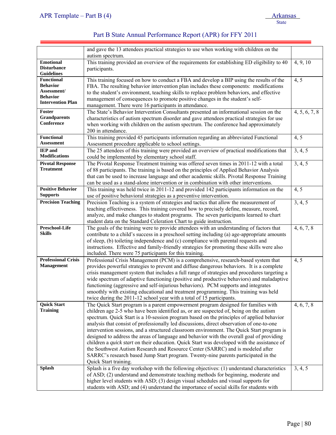|                                       | and gave the 13 attendees practical strategies to use when working with children on the                                                                                                |               |
|---------------------------------------|----------------------------------------------------------------------------------------------------------------------------------------------------------------------------------------|---------------|
|                                       | autism spectrum.                                                                                                                                                                       |               |
| <b>Emotional</b>                      | This training provided an overview of the requirements for establishing ED eligibility to 40                                                                                           | 4, 9, 10      |
| <b>Disturbance</b>                    | participants.                                                                                                                                                                          |               |
| <b>Guidelines</b>                     |                                                                                                                                                                                        |               |
| <b>Functional</b>                     | This training focused on how to conduct a FBA and develop a BIP using the results of the                                                                                               | 4, 5          |
| <b>Behavior</b><br>Assessment/        | FBA. The resulting behavior intervention plan includes these components: modifications                                                                                                 |               |
| <b>Behavior</b>                       | to the student's environment, teaching skills to replace problem behaviors, and effective                                                                                              |               |
| <b>Intervention Plan</b>              | management of consequences to promote positive changes in the student's self-                                                                                                          |               |
| Foster                                | management. There were 16 participants in attendance.                                                                                                                                  |               |
| <b>Grandparents</b>                   | The State's Behavior Intervention Consultants presented an informational session on the                                                                                                | 4, 5, 6, 7, 8 |
| Conference                            | characteristics of autism spectrum disorder and gave attendees practical strategies for use                                                                                            |               |
|                                       | when working with children on the autism spectrum. The conference had approximately<br>200 in attendance.                                                                              |               |
| <b>Functional</b>                     | This training provided 45 participants information regarding an abbreviated Functional                                                                                                 | 4, 5          |
| <b>Assessment</b>                     | Assessment procedure applicable to school settings.                                                                                                                                    |               |
| <b>IEP</b> and                        | The 25 attendees of this training were provided an overview of practical modifications that                                                                                            | 3, 4, 5       |
| <b>Modifications</b>                  | could be implemented by elementary school staff.                                                                                                                                       |               |
| <b>Pivotal Response</b>               | The Pivotal Response Treatment training was offered seven times in 2011-12 with a total                                                                                                | 3, 4, 5       |
| <b>Treatment</b>                      | of 88 participants. The training is based on the principles of Applied Behavior Analysis                                                                                               |               |
|                                       | that can be used to increase language and other academic skills. Pivotal Response Training                                                                                             |               |
|                                       | can be used as a stand-alone intervention or in combination with other interventions.                                                                                                  |               |
| <b>Positive Behavior</b>              | This training was held twice in 2011-12 and provided 142 participants information on the                                                                                               | 4, 5          |
| <b>Supports</b>                       | use of positive behavioral strategies as a preventive intervention.                                                                                                                    |               |
| <b>Precision Teaching</b>             | Precision Teaching is a system of strategies and tactics that allow the measurement of                                                                                                 | 3, 4, 5       |
|                                       | teaching effectiveness. This training covered how to precisely define, measure, record,                                                                                                |               |
|                                       | analyze, and make changes to student programs. The seven participants learned to chart                                                                                                 |               |
|                                       | student data on the Standard Celeration Chart to guide instruction.                                                                                                                    |               |
| Preschool-Life                        | The goals of the training were to provide attendees with an understanding of factors that                                                                                              | 4, 6, 7, 8    |
| <b>Skills</b>                         | contribute to a child's success in a preschool setting including (a) age-appropriate amounts                                                                                           |               |
|                                       | of sleep, (b) toileting independence and (c) compliance with parental requests and                                                                                                     |               |
|                                       | instructions. Effective and family-friendly strategies for promoting these skills were also                                                                                            |               |
|                                       | included. There were 75 participants for this training.                                                                                                                                |               |
| <b>Professional Crisis</b>            | Professional Crisis Management (PCM) is a comprehensive, research-based system that                                                                                                    | 4, 5          |
| <b>Management</b>                     | provides powerful strategies to prevent and diffuse dangerous behaviors. It is a complete                                                                                              |               |
|                                       | crisis management system that includes a full range of strategies and procedures targeting a                                                                                           |               |
|                                       | wide spectrum of adaptive functioning (positive and productive behaviors) and maladaptive                                                                                              |               |
|                                       | functioning (aggressive and self-injurious behaviors). PCM supports and integrates                                                                                                     |               |
|                                       | smoothly with existing educational and treatment programming. This training was held                                                                                                   |               |
|                                       | twice during the 2011-12 school year with a total of 15 participants.                                                                                                                  |               |
| <b>Quick Start</b><br><b>Training</b> | The Quick Start program is a parent empowerment program designed for families with                                                                                                     | 4, 6, 7, 8    |
|                                       | children age 2-5 who have been identified as, or are suspected of, being on the autism                                                                                                 |               |
|                                       | spectrum. Quick Start is a 10-session program based on the principles of applied behavior                                                                                              |               |
|                                       | analysis that consist of professionally led discussions, direct observation of one-to-one                                                                                              |               |
|                                       | intervention sessions, and a structured classroom environment. The Quick Start program is<br>designed to address the areas of language and behavior with the overall goal of providing |               |
|                                       | children a quick start on their education. Quick Start was developed with the assistance of                                                                                            |               |
|                                       | the Southwest Autism Research and Resource Center (SARRC) and is modeled after                                                                                                         |               |
|                                       | SARRC's research based Jump Start program. Twenty-nine parents participated in the                                                                                                     |               |
|                                       | Quick Start training.                                                                                                                                                                  |               |
| <b>Splash</b>                         | Splash is a five day workshop with the following objectives: (1) understand characteristics                                                                                            | 3, 4, 5       |
|                                       | of ASD; (2) understand and demonstrate teaching methods for beginning, moderate and                                                                                                    |               |
|                                       | higher level students with ASD; (3) design visual schedules and visual supports for                                                                                                    |               |
|                                       | students with ASD; and (4) understand the importance of social skills for students with                                                                                                |               |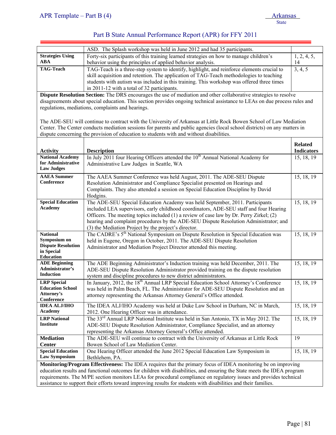═

|                                                                                                                         | ASD. The Splash workshop was held in June 2012 and had 35 participants.                                                    |                   |  |  |  |
|-------------------------------------------------------------------------------------------------------------------------|----------------------------------------------------------------------------------------------------------------------------|-------------------|--|--|--|
| <b>Strategies Using</b>                                                                                                 | Forty-six participants of this training learned strategies on how to manage children's                                     | 1, 2, 4, 5,       |  |  |  |
| <b>ABA</b>                                                                                                              | behavior using the principles of applied behavior analysis.                                                                | 14                |  |  |  |
| <b>TAG-Teach</b>                                                                                                        | TAG-Teach is a three-step system to identify, highlight, and reinforce elements crucial to                                 | 3, 4, 5           |  |  |  |
|                                                                                                                         | skill acquisition and retention. The application of TAG-Teach methodologies to teaching                                    |                   |  |  |  |
|                                                                                                                         | students with autism was included in this training. This workshop was offered three times                                  |                   |  |  |  |
|                                                                                                                         | in 2011-12 with a total of 32 participants.                                                                                |                   |  |  |  |
|                                                                                                                         | Dispute Resolution Section: The DRS encourages the use of mediation and other collaborative strategies to resolve          |                   |  |  |  |
|                                                                                                                         | disagreements about special education. This section provides ongoing technical assistance to LEAs on due process rules and |                   |  |  |  |
|                                                                                                                         | regulations, mediations, complaints and hearings.                                                                          |                   |  |  |  |
|                                                                                                                         |                                                                                                                            |                   |  |  |  |
|                                                                                                                         | The ADE-SEU will continue to contract with the University of Arkansas at Little Rock Bowen School of Law Mediation         |                   |  |  |  |
|                                                                                                                         | Center. The Center conducts mediation sessions for parents and public agencies (local school districts) on any matters in  |                   |  |  |  |
|                                                                                                                         | dispute concerning the provision of education to students with and without disabilities.                                   |                   |  |  |  |
|                                                                                                                         |                                                                                                                            | <b>Related</b>    |  |  |  |
|                                                                                                                         | <b>Description</b>                                                                                                         | <b>Indicators</b> |  |  |  |
| <b>Activity</b><br><b>National Academy</b>                                                                              | In July 2011 four Hearing Officers attended the 10 <sup>th</sup> Annual National Academy for                               | 15, 18, 19        |  |  |  |
| for Administrative                                                                                                      | Administrative Law Judges in Seattle, WA                                                                                   |                   |  |  |  |
| <b>Law Judges</b>                                                                                                       |                                                                                                                            |                   |  |  |  |
| <b>AAEA</b> Summer                                                                                                      | The AAEA Summer Conference was held August, 2011. The ADE-SEU Dispute                                                      | 15, 18, 19        |  |  |  |
| Conference                                                                                                              | Resolution Administrator and Compliance Specialist presented on Hearings and                                               |                   |  |  |  |
|                                                                                                                         | Complaints. They also attended a session on Special Education Discipline by David                                          |                   |  |  |  |
|                                                                                                                         | Hodgins.                                                                                                                   |                   |  |  |  |
| <b>Special Education</b>                                                                                                | The ADE-SEU Special Education Academy was held September, 2011. Participants                                               | 15, 18, 19        |  |  |  |
| <b>Academy</b>                                                                                                          | included LEA supervisors, early childhood coordinators, ADE-SEU staff and four Hearing                                     |                   |  |  |  |
|                                                                                                                         | Officers. The meeting topics included (1) a review of case law by Dr. Perry Zirkel; (2)                                    |                   |  |  |  |
|                                                                                                                         | hearing and complaint procedures by the ADE-SEU Dispute Resolution Administrator; and                                      |                   |  |  |  |
|                                                                                                                         | (3) the Mediation Project by the project's director.                                                                       |                   |  |  |  |
| <b>National</b>                                                                                                         | The CADRE's 5 <sup>th</sup> National Symposium on Dispute Resolution in Special Education was                              | 15, 18, 19        |  |  |  |
| Symposium on                                                                                                            | held in Eugene, Oregon in October, 2011. The ADE-SEU Dispute Resolution                                                    |                   |  |  |  |
| <b>Dispute Resolution</b>                                                                                               | Administrator and Mediation Project Director attended this meeting.                                                        |                   |  |  |  |
| in Special                                                                                                              |                                                                                                                            |                   |  |  |  |
| <b>Education</b><br><b>ADE Beginning</b>                                                                                | The ADE Beginning Administrator's Induction training was held December, 2011. The                                          | 15, 18, 19        |  |  |  |
| Administrator's                                                                                                         | ADE-SEU Dispute Resolution Administrator provided training on the dispute resolution                                       |                   |  |  |  |
| <b>Induction</b>                                                                                                        | system and discipline procedures to new district administrators.                                                           |                   |  |  |  |
| <b>LRP</b> Special                                                                                                      | In January, 2012, the 18 <sup>th</sup> Annual LRP Special Education School Attorney's Conference                           | 15, 18, 19        |  |  |  |
| <b>Education School</b>                                                                                                 | was held in Palm Beach, FL. The Administrator for ADE-SEU Dispute Resolution and an                                        |                   |  |  |  |
| Attorney's                                                                                                              | attorney representing the Arkansas Attorney General's Office attended.                                                     |                   |  |  |  |
| Conference                                                                                                              |                                                                                                                            |                   |  |  |  |
| <b>IDEA ALJ/IHO</b>                                                                                                     | The IDEA ALJ/IHO Academy was held at Duke Law School in Durham, NC in March,                                               | 15, 18, 19        |  |  |  |
| <b>Academy</b>                                                                                                          | 2012. One Hearing Officer was in attendance.                                                                               |                   |  |  |  |
| <b>LRP</b> National                                                                                                     | The 33 <sup>rd</sup> Annual LRP National Institute was held in San Antonio, TX in May 2012. The                            | 15, 18, 19        |  |  |  |
| <b>Institute</b>                                                                                                        | ADE-SEU Dispute Resolution Administrator, Compliance Specialist, and an attorney                                           |                   |  |  |  |
|                                                                                                                         | representing the Arkansas Attorney General's Office attended.                                                              |                   |  |  |  |
| <b>Mediation</b>                                                                                                        | The ADE-SEU will continue to contract with the University of Arkansas at Little Rock                                       | 19                |  |  |  |
| <b>Center</b>                                                                                                           | Bowen School of Law Mediation Center.                                                                                      |                   |  |  |  |
| <b>Special Education</b>                                                                                                | One Hearing Officer attended the June 2012 Special Education Law Symposium in                                              | 15, 18, 19        |  |  |  |
| Law Symposium                                                                                                           | Bethlehem, PA.                                                                                                             |                   |  |  |  |
|                                                                                                                         | Monitoring/Program Effectiveness: The IDEA requires that the primary focus of IDEA monitoring be on improving              |                   |  |  |  |
| education results and functional outcomes for children with disabilities, and ensuring the State meets the IDEA program |                                                                                                                            |                   |  |  |  |
| requirements. The M/PE section monitors LEAs for procedural compliance on regulatory issues and provides technical      |                                                                                                                            |                   |  |  |  |
|                                                                                                                         | assistance to support their efforts toward improving results for students with disabilities and their families.            |                   |  |  |  |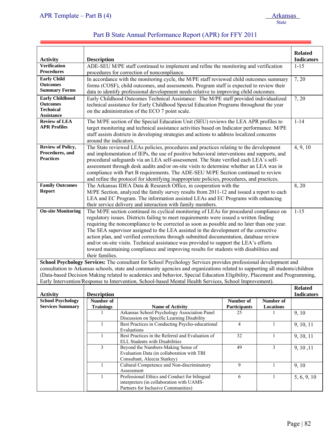| Part B State Annual Performance Report (APR) for FFY 2011 |  |
|-----------------------------------------------------------|--|
|-----------------------------------------------------------|--|

| <b>Activity</b>                       | <b>Description</b>      |                                                                                                                                                                                    |                 |              | <b>Related</b><br><b>Indicators</b> |
|---------------------------------------|-------------------------|------------------------------------------------------------------------------------------------------------------------------------------------------------------------------------|-----------------|--------------|-------------------------------------|
| <b>Verification</b>                   |                         | ADE-SEU M/PE staff continued to implement and refine the monitoring and verification                                                                                               |                 |              | $1 - 15$                            |
| <b>Procedures</b>                     |                         | procedures for correction of noncompliance.                                                                                                                                        |                 |              |                                     |
| <b>Early Child</b>                    |                         | In accordance with the monitoring cycle, the M/PE staff reviewed child outcomes summary                                                                                            |                 |              | 7, 20                               |
| <b>Outcomes</b>                       |                         | forms (COSF), child outcomes, and assessments. Program staff is expected to review their                                                                                           |                 |              |                                     |
| <b>Summary Forms</b>                  |                         | data to identify professional development needs relative to improving child outcomes.                                                                                              |                 |              |                                     |
| <b>Early Childhood</b>                |                         | Early Childhood Outcomes Technical Assistance: The M/PE staff provided individualized                                                                                              |                 |              | 7, 20                               |
| <b>Outcomes</b>                       |                         | technical assistance for Early Childhood Special Education Programs throughout the year                                                                                            |                 |              |                                     |
| <b>Technical</b><br><b>Assistance</b> |                         | on the administration of the ECO 7 point scale.                                                                                                                                    |                 |              |                                     |
| <b>Review of LEA</b>                  |                         | The M/PE section of the Special Education Unit (SEU) reviews the LEA APR profiles to                                                                                               |                 |              | $1 - 14$                            |
| <b>APR Profiles</b>                   |                         | target monitoring and technical assistance activities based on Indicator performance. M/PE                                                                                         |                 |              |                                     |
|                                       |                         | staff assists districts in developing strategies and actions to address localized concerns                                                                                         |                 |              |                                     |
|                                       | around the indicators.  |                                                                                                                                                                                    |                 |              |                                     |
| <b>Review of Policy,</b>              |                         | The State reviewed LEAs policies, procedures and practices relating to the development                                                                                             |                 |              | 4, 9, 10                            |
| Procedures, and                       |                         | and implementation of IEPs, the use of positive behavioral interventions and supports, and                                                                                         |                 |              |                                     |
| <b>Practices</b>                      |                         | procedural safeguards via an LEA self-assessment. The State verified each LEA's self-                                                                                              |                 |              |                                     |
|                                       |                         | assessment through desk audits and/or on-site visits to determine whether an LEA was in                                                                                            |                 |              |                                     |
|                                       |                         | compliance with Part B requirements. The ADE-SEU M/PE Section continued to review                                                                                                  |                 |              |                                     |
|                                       |                         | and refine the protocol for identifying inappropriate policies, procedures, and practices.                                                                                         |                 |              |                                     |
| <b>Family Outcomes</b>                |                         | The Arkansas IDEA Data & Research Office, in cooperation with the                                                                                                                  |                 |              | 8, 20                               |
| <b>Report</b>                         |                         | M/PE Section, analyzed the family survey results from 2011-12 and issued a report to each                                                                                          |                 |              |                                     |
|                                       |                         | LEA and EC Program. The information assisted LEAs and EC Programs with enhancing                                                                                                   |                 |              |                                     |
|                                       |                         | their service delivery and interaction with family members.                                                                                                                        |                 |              | $1 - 15$                            |
| <b>On-site Monitoring</b>             |                         | The M/PE section continued its cyclical monitoring of LEAs for procedural compliance on<br>regulatory issues. Districts failing to meet requirements were issued a written finding |                 |              |                                     |
|                                       |                         | requiring the noncompliance to be corrected as soon as possible and no later than one year.                                                                                        |                 |              |                                     |
|                                       |                         | The SEA supervisor assigned to the LEA assisted in the development of the corrective                                                                                               |                 |              |                                     |
|                                       |                         | action plan, and verified corrections through submitted documentation, database review                                                                                             |                 |              |                                     |
|                                       |                         | and/or on-site visits. Technical assistance was provided to support the LEA's efforts                                                                                              |                 |              |                                     |
|                                       |                         | toward maintaining compliance and improving results for students with disabilities and                                                                                             |                 |              |                                     |
|                                       | their families.         |                                                                                                                                                                                    |                 |              |                                     |
|                                       |                         | School Psychology Services: The consultant for School Psychology Services provides professional development and                                                                    |                 |              |                                     |
|                                       |                         | consultation to Arkansas schools, state and community agencies and organizations related to supporting all students/children                                                       |                 |              |                                     |
|                                       |                         | (Data-based Decision Making related to academics and behavior, Special Education Eligibility, Placement and Programming,                                                           |                 |              |                                     |
|                                       |                         | Early Intervention/Response to Intervention, School-based Mental Health Services, School Improvement).                                                                             |                 |              |                                     |
| <b>Activity</b>                       | <b>Description</b>      |                                                                                                                                                                                    |                 |              | <b>Related</b><br><b>Indicators</b> |
| <b>School Psychology</b>              | Number of               |                                                                                                                                                                                    | Number of       | Number of    |                                     |
| <b>Services Summary</b>               | <b>Trainings</b>        | <b>Name of Activity</b>                                                                                                                                                            | Participants    | Locations    |                                     |
|                                       |                         | Arkansas School Psychology Association Panel                                                                                                                                       | 25              |              | 9, 10                               |
|                                       |                         | Discussion on Specific Learning Disability                                                                                                                                         |                 |              |                                     |
|                                       | 1                       | Best Practices in Conducting Psycho-educational<br>Evaluations                                                                                                                     | 4               | 1            | 9, 10, 11                           |
|                                       | 1                       | Best Practices in the Referral and Evaluation of<br>ELL Students with Disabilities                                                                                                 | $\overline{32}$ | $\mathbf{1}$ | 9, 10, 11                           |
|                                       | $\overline{\mathbf{3}}$ | Beyond the Numbers-Making Sense of                                                                                                                                                 | 49              | 3            | 9, 10, 11                           |
|                                       |                         | Evaluation Data (in collaboration with TBI<br>Consultant, Aleecia Starkey)                                                                                                         |                 |              |                                     |
|                                       | $\mathbf{1}$            | Cultural Competence and Non-discriminatory                                                                                                                                         | 9               | $\mathbf{1}$ | 9, 10                               |
|                                       | 1                       | Assessment<br>Professional Ethics and Conduct for bilingual                                                                                                                        | 6               | 1            | 5, 6, 9, 10                         |
|                                       |                         | interpreters (in collaboration with UAMS-                                                                                                                                          |                 |              |                                     |
|                                       |                         | Partners for Inclusive Communities)                                                                                                                                                |                 |              |                                     |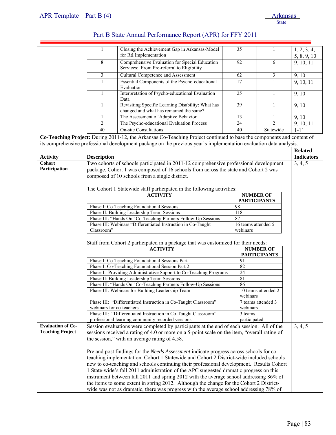|                          | 1                        | Closing the Achievement Gap in Arkansas-Model<br>for RtI Implementation                                                                                                                                                                     | 35                      | 1                   | 1, 2, 3, 4,<br>5, 8, 9, 10 |
|--------------------------|--------------------------|---------------------------------------------------------------------------------------------------------------------------------------------------------------------------------------------------------------------------------------------|-------------------------|---------------------|----------------------------|
|                          | $\overline{8}$           | Comprehensive Evaluation for Special Education<br>Services: From Pre-referral to Eligibility                                                                                                                                                | 92                      | 6                   | 9, 10, 11                  |
|                          | 3                        | <b>Cultural Competence and Assessment</b>                                                                                                                                                                                                   | 62                      | 3                   | $\overline{9}$ , 10        |
|                          | $\mathbf{1}$             | Essential Components of the Psycho-educational<br>Evaluation                                                                                                                                                                                | 17                      | $\mathbf{1}$        | 9, 10, 11                  |
|                          | 1                        | Interpretation of Psycho-educational Evaluation<br>Data                                                                                                                                                                                     | $\overline{25}$         | $\mathbf{1}$        | 9,10                       |
|                          | 1                        | Revisiting Specific Learning Disability: What has<br>changed and what has remained the same?                                                                                                                                                | 39                      | 1                   | 9, 10                      |
|                          | 1                        | The Assessment of Adaptive Behavior                                                                                                                                                                                                         | 13                      | 1                   | 9, 10                      |
|                          | $\overline{c}$           | The Psycho-educational Evaluation Process                                                                                                                                                                                                   | 24                      | $\overline{2}$      | 9, 10, 11                  |
|                          | 40                       | <b>On-site Consultations</b>                                                                                                                                                                                                                | 40                      | Statewide           | $1 - 11$                   |
|                          |                          | Co-Teaching Project: During 2011-12, the Arkansas Co-Teaching Project continued to base the components and content of<br>its comprehensive professional development package on the previous year's implementation evaluation data analysis. |                         |                     |                            |
|                          |                          |                                                                                                                                                                                                                                             |                         |                     | <b>Related</b>             |
| <b>Activity</b>          | <b>Description</b>       |                                                                                                                                                                                                                                             |                         |                     | <b>Indicators</b>          |
| <b>Cohort</b>            |                          | Two cohorts of schools participated in 2011-12 comprehensive professional development                                                                                                                                                       |                         |                     | 3, 4, 5                    |
| Participation            |                          | package. Cohort 1 was composed of 16 schools from across the state and Cohort 2 was                                                                                                                                                         |                         |                     |                            |
|                          |                          | composed of 10 schools from a single district.                                                                                                                                                                                              |                         |                     |                            |
|                          |                          |                                                                                                                                                                                                                                             |                         |                     |                            |
|                          |                          | The Cohort 1 Statewide staff participated in the following activities:                                                                                                                                                                      |                         |                     |                            |
|                          |                          | <b>ACTIVITY</b>                                                                                                                                                                                                                             |                         | <b>NUMBER OF</b>    |                            |
|                          |                          | Phase I: Co-Teaching Foundational Sessions                                                                                                                                                                                                  | 98                      | <b>PARTICIPANTS</b> |                            |
|                          |                          | Phase II: Building Leadership Team Sessions                                                                                                                                                                                                 | 118                     |                     |                            |
|                          |                          | Phase III: "Hands On" Co-Teaching Partners Follow-Up Sessions                                                                                                                                                                               | 87                      |                     |                            |
|                          |                          | Phase III: Webinars "Differentiated Instruction in Co-Taught                                                                                                                                                                                | 16 teams attended 5     |                     |                            |
|                          | Classroom"               |                                                                                                                                                                                                                                             | webinars                |                     |                            |
|                          |                          |                                                                                                                                                                                                                                             |                         |                     |                            |
|                          |                          | Staff from Cohort 2 participated in a package that was customized for their needs:<br><b>ACTIVITY</b>                                                                                                                                       |                         | <b>NUMBER OF</b>    |                            |
|                          |                          |                                                                                                                                                                                                                                             |                         | <b>PARTICIPANTS</b> |                            |
|                          |                          | Phase I: Co-Teaching Foundational Sessions Part 1                                                                                                                                                                                           | 91                      |                     |                            |
|                          |                          | Phase I: Co-Teaching Foundational Session Part 2                                                                                                                                                                                            | 82                      |                     |                            |
|                          |                          | Phase I: Providing Administrative Support to Co-Teaching Programs<br>Phase II: Building Leadership Team Sessions                                                                                                                            | $\overline{24}$<br>81   |                     |                            |
|                          |                          | Phase III: "Hands On" Co-Teaching Partners Follow-Up Sessions                                                                                                                                                                               | 86                      |                     |                            |
|                          |                          | Phase III: Webinars for Building Leadership Team                                                                                                                                                                                            |                         | 10 teams attended 2 |                            |
|                          |                          |                                                                                                                                                                                                                                             | webinars                |                     |                            |
|                          |                          | Phase III: "Differentiated Instruction in Co-Taught Classroom"                                                                                                                                                                              |                         | 7 teams attended 3  |                            |
|                          | webinars for co-teachers |                                                                                                                                                                                                                                             | webinars                |                     |                            |
|                          |                          | Phase III: "Differentiated Instruction in Co-Taught Classroom"<br>professional learning community recorded versions                                                                                                                         | 3 teams<br>participated |                     |                            |
| <b>Evaluation of Co-</b> |                          | Session evaluations were completed by participants at the end of each session. All of the                                                                                                                                                   |                         |                     | 3, 4, 5                    |
| <b>Teaching Project</b>  |                          | sessions received a rating of 4.0 or more on a 5-point scale on the item, "overall rating of                                                                                                                                                |                         |                     |                            |
|                          |                          | the session," with an average rating of 4.58.                                                                                                                                                                                               |                         |                     |                            |
|                          |                          |                                                                                                                                                                                                                                             |                         |                     |                            |
|                          |                          | Pre and post findings for the <i>Needs Assessment</i> indicate progress across schools for co-                                                                                                                                              |                         |                     |                            |
|                          |                          | teaching implementation. Cohort 1 Statewide and Cohort 2 District-wide included schools                                                                                                                                                     |                         |                     |                            |
|                          |                          | new to co-teaching and schools continuing their professional development. Results Cohort                                                                                                                                                    |                         |                     |                            |
|                          |                          | 1 State-wide's fall 2011 administration of the APC suggested dramatic progress on this                                                                                                                                                      |                         |                     |                            |
|                          |                          | instrument between fall 2011 and spring 2012 with the average school addressing 86% of                                                                                                                                                      |                         |                     |                            |
|                          |                          | the items to some extent in spring 2012. Although the change for the Cohort 2 District-                                                                                                                                                     |                         |                     |                            |
|                          |                          | wide was not as dramatic, there was progress with the average school addressing 78% of                                                                                                                                                      |                         |                     |                            |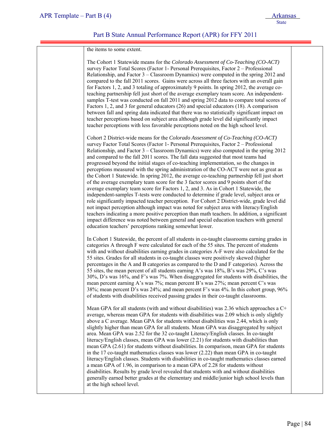| the items to some extent.                                                                                                                                                                                                                                                                                                                                                                                                                                                                                                                                                                                                                                                                                                                                                                                                                                                                                                                                                                                                                                                                                                                                                                                                                                                                                                                                             |  |
|-----------------------------------------------------------------------------------------------------------------------------------------------------------------------------------------------------------------------------------------------------------------------------------------------------------------------------------------------------------------------------------------------------------------------------------------------------------------------------------------------------------------------------------------------------------------------------------------------------------------------------------------------------------------------------------------------------------------------------------------------------------------------------------------------------------------------------------------------------------------------------------------------------------------------------------------------------------------------------------------------------------------------------------------------------------------------------------------------------------------------------------------------------------------------------------------------------------------------------------------------------------------------------------------------------------------------------------------------------------------------|--|
| The Cohort 1 Statewide means for the Colorado Assessment of Co-Teaching (CO-ACT)<br>survey Factor Total Scores (Factor 1- Personal Prerequisites, Factor 2 – Professional<br>Relationship, and Factor 3 – Classroom Dynamics) were computed in the spring 2012 and<br>compared to the fall 2011 scores. Gains were across all three factors with an overall gain<br>for Factors 1, 2, and 3 totaling of approximately 9 points. In spring 2012, the average co-<br>teaching partnership fell just short of the average exemplary team score. An independent-<br>samples T-test was conducted on fall 2011 and spring 2012 data to compare total scores of<br>Factors 1, 2, and 3 for general educators (26) and special educators (18). A comparison<br>between fall and spring data indicated that there was no statistically significant impact on<br>teacher perceptions based on subject area although grade level did significantly impact<br>teacher perceptions with less favorable perceptions noted on the high school level.                                                                                                                                                                                                                                                                                                                                |  |
| Cohort 2 District-wide means for the Colorado Assessment of Co-Teaching (CO-ACT)<br>survey Factor Total Scores (Factor 1- Personal Prerequisites, Factor 2 – Professional<br>Relationship, and Factor 3 - Classroom Dynamics) were also computed in the spring 2012<br>and compared to the fall 2011 scores. The fall data suggested that most teams had<br>progressed beyond the initial stages of co-teaching implementation, so the changes in<br>perceptions measured with the spring administration of the CO-ACT were not as great as<br>the Cohort 1 Statewide. In spring 2012, the average co-teaching partnership fell just short<br>of the average exemplary team score for the 3 factor scores and 9 points short of the<br>average exemplary team score for Factors 1, 2, and 3. As in Cohort 1 Statewide, the<br>independent-samples T-tests were conducted to determine if grade level, subject area or<br>role significantly impacted teacher perception. For Cohort 2 District-wide, grade level did<br>not impact perception although impact was noted for subject area with literacy/English<br>teachers indicating a more positive perception than math teachers. In addition, a significant<br>impact difference was noted between general and special education teachers with general<br>education teachers' perceptions ranking somewhat lower. |  |
| In Cohort 1 Statewide, the percent of all students in co-taught classrooms earning grades in<br>categories A through F were calculated for each of the 55 sites. The percent of students<br>with and without disabilities earning grades in categories A-F were also calculated for the<br>55 sites. Grades for all students in co-taught classes were positively skewed (higher<br>percentages in the A and B categories as compared to the D and F categories). Across the<br>55 sites, the mean percent of all students earning A's was 18%, B's was 29%, C's was<br>30%, D's was 16%, and F's was 7%. When disaggregated for students with disabilities, the<br>mean percent earning A's was 7%; mean percent B's was 27%; mean percent C's was<br>38%; mean percent D's was 24%; and mean percent F's was 4%. In this cohort group, 96%<br>of students with disabilities received passing grades in their co-taught classrooms.                                                                                                                                                                                                                                                                                                                                                                                                                                  |  |
| Mean GPA for all students (with and without disabilities) was 2.36 which approaches a C+<br>average, whereas mean GPA for students with disabilities was 2.09 which is only slightly<br>above a C average. Mean GPA for students without disabilities was 2.44, which is only<br>slightly higher than mean GPA for all students. Mean GPA was disaggregated by subject<br>area. Mean GPA was 2.52 for the 32 co-taught Literacy/English classes. In co-taught<br>literacy/English classes, mean GPA was lower (2.21) for students with disabilities than<br>mean GPA (2.61) for students without disabilities. In comparison, mean GPA for students<br>in the 17 co-taught mathematics classes was lower (2.22) than mean GPA in co-taught<br>literacy/English classes. Students with disabilities in co-taught mathematics classes earned<br>a mean GPA of 1.96, in comparison to a mean GPA of 2.28 for students without<br>disabilities. Results by grade level revealed that students with and without disabilities<br>generally earned better grades at the elementary and middle/junior high school levels than<br>at the high school level.                                                                                                                                                                                                                    |  |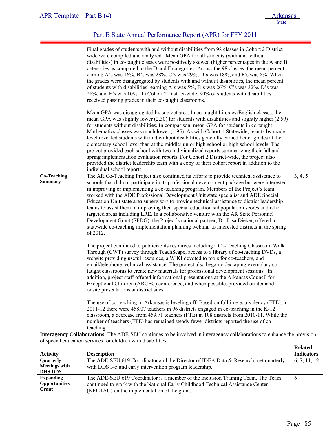|                                                     | Final grades of students with and without disabilities from 98 classes in Cohort 2 District-<br>wide were compiled and analyzed. Mean GPA for all students (with and without<br>disabilities) in co-taught classes were positively skewed (higher percentages in the A and B<br>categories as compared to the D and F categories. Across the 98 classes, the mean percent<br>earning A's was 16%, B's was 28%, C's was 29%, D's was 18%, and F's was 8%. When<br>the grades were disaggregated by students with and without disabilities, the mean percent<br>of students with disabilities' earning A's was 5%, B's was 26%, C's was 32%, D's was<br>28%, and F's was 10%. In Cohort 2 District-wide, 90% of students with disabilities<br>received passing grades in their co-taught classrooms.<br>Mean GPA was disaggregated by subject area. In co-taught Literacy/English classes, the<br>mean GPA was slightly lower (2.30) for students with disabilities and slightly higher (2.59)<br>for students without disabilities. In comparison, mean GPA for students in co-taught                                                                                                                                                                     |                                     |
|-----------------------------------------------------|----------------------------------------------------------------------------------------------------------------------------------------------------------------------------------------------------------------------------------------------------------------------------------------------------------------------------------------------------------------------------------------------------------------------------------------------------------------------------------------------------------------------------------------------------------------------------------------------------------------------------------------------------------------------------------------------------------------------------------------------------------------------------------------------------------------------------------------------------------------------------------------------------------------------------------------------------------------------------------------------------------------------------------------------------------------------------------------------------------------------------------------------------------------------------------------------------------------------------------------------------------|-------------------------------------|
|                                                     | Mathematics classes was much lower (1.95). As with Cohort 1 Statewide, results by grade<br>level revealed students with and without disabilities generally earned better grades at the<br>elementary school level than at the middle/junior high school or high school levels. The<br>project provided each school with two individualized reports summarizing their fall and<br>spring implementation evaluation reports. For Cohort 2 District-wide, the project also                                                                                                                                                                                                                                                                                                                                                                                                                                                                                                                                                                                                                                                                                                                                                                                  |                                     |
|                                                     | provided the district leadership team with a copy of their cohort report in addition to the                                                                                                                                                                                                                                                                                                                                                                                                                                                                                                                                                                                                                                                                                                                                                                                                                                                                                                                                                                                                                                                                                                                                                              |                                     |
| <b>Co-Teaching</b><br><b>Summary</b>                | individual school reports.<br>The AR Co-Teaching Project also continued its efforts to provide technical assistance to<br>schools that did not participate in its professional development package but were interested<br>in improving or implementing a co-teaching program. Members of the Project's team<br>worked with the ADE Professional Development Unit state specialist and ADE Special<br>Education Unit state area supervisors to provide technical assistance to district leadership<br>teams to assist them in improving their special education subpopulation scores and other<br>targeted areas including LRE. In a collaborative venture with the AR State Personnel<br>Development Grant (SPDG), the Project's national partner, Dr. Lisa Dieker, offered a<br>statewide co-teaching implementation planning webinar to interested districts in the spring<br>of 2012.<br>The project continued to publicize its resources including a Co-Teaching Classroom Walk<br>Through (CWT) survey through TeachScape, access to a library of co-teaching DVDs, a<br>website providing useful resources, a WIKI devoted to tools for co-teachers, and<br>email/telephone technical assistance. The project also began videotaping exemplary co- | 3, 4, 5                             |
|                                                     | taught classrooms to create new materials for professional development sessions. In<br>addition, project staff offered informational presentations at the Arkansas Council for<br>Exceptional Children (ARCEC) conference, and when possible, provided on-demand<br>onsite presentations at district sites.<br>The use of co-teaching in Arkansas is leveling off. Based on fulltime equivalency (FTE), in<br>2011-12 there were 458.07 teachers in 96 districts engaged in co-teaching in the K-12<br>classroom, a decrease from 459.71 teachers (FTE) in 108 districts from 2010-11. While the<br>number of teachers (FTE) has remained steady fewer districts reported the use of co-<br>teaching.                                                                                                                                                                                                                                                                                                                                                                                                                                                                                                                                                    |                                     |
|                                                     | Interagency Collaborations: The ADE-SEU continues to be involved in interagency collaborations to enhance the provision                                                                                                                                                                                                                                                                                                                                                                                                                                                                                                                                                                                                                                                                                                                                                                                                                                                                                                                                                                                                                                                                                                                                  |                                     |
|                                                     | of special education services for children with disabilities.                                                                                                                                                                                                                                                                                                                                                                                                                                                                                                                                                                                                                                                                                                                                                                                                                                                                                                                                                                                                                                                                                                                                                                                            |                                     |
| <b>Activity</b>                                     | <b>Description</b>                                                                                                                                                                                                                                                                                                                                                                                                                                                                                                                                                                                                                                                                                                                                                                                                                                                                                                                                                                                                                                                                                                                                                                                                                                       | <b>Related</b><br><b>Indicators</b> |
| Quarterly<br><b>Meetings with</b><br><b>DHS-DDS</b> | The ADE-SEU 619 Coordinator and the Director of IDEA Data & Research met quarterly<br>with DDS 3-5 and early intervention program leadership.                                                                                                                                                                                                                                                                                                                                                                                                                                                                                                                                                                                                                                                                                                                                                                                                                                                                                                                                                                                                                                                                                                            | 6, 7, 11, 12                        |
| <b>Expanding</b><br><b>Opportunities</b><br>Grant   | The ADE-SEU 619 Coordinator is a member of the Inclusion Training Team. The Team<br>continued to work with the National Early Childhood Technical Assistance Center<br>(NECTAC) on the implementation of the grant.                                                                                                                                                                                                                                                                                                                                                                                                                                                                                                                                                                                                                                                                                                                                                                                                                                                                                                                                                                                                                                      | 6                                   |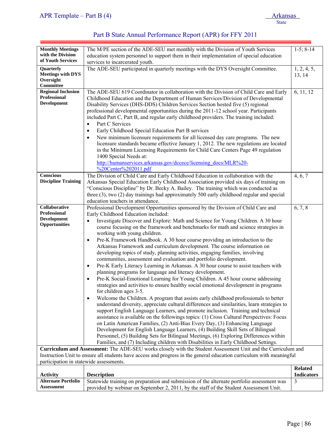| <b>Monthly Meetings</b>                 | The M/PE section of the ADE-SEU met monthly with the Division of Youth Services                                      | $1-5$ ; $8-14$    |
|-----------------------------------------|----------------------------------------------------------------------------------------------------------------------|-------------------|
| with the Division                       | education system personnel to support them in their implementation of special education                              |                   |
| of Youth Services                       | services to incarcerated youth.                                                                                      |                   |
| Quarterly                               | The ADE-SEU participated in quarterly meetings with the DYS Oversight Committee.                                     | 1, 2, 4, 5,       |
| <b>Meetings with DYS</b>                |                                                                                                                      | 13, 14            |
| Oversight                               |                                                                                                                      |                   |
| Committee                               |                                                                                                                      |                   |
| <b>Regional Inclusion</b>               | The ADE-SEU 619 Coordinator in collaboration with the Division of Child Care and Early                               | 6, 11, 12         |
| <b>Professional</b>                     | Childhood Education and the Department of Human Services/Division of Developmental                                   |                   |
| <b>Development</b>                      | Disability Services (DHS-DDS) Children Services Section hosted five (5) regional                                     |                   |
|                                         | professional developmental opportunities during the 2011-12 school year. Participants                                |                   |
|                                         | included Part C, Part B, and regular early childhood providers. The training included:                               |                   |
|                                         |                                                                                                                      |                   |
|                                         | Part C Services<br>$\bullet$                                                                                         |                   |
|                                         | Early Childhood Special Education Part B services<br>$\bullet$                                                       |                   |
|                                         | New minimum licensure requirements for all licensed day care programs. The new<br>$\bullet$                          |                   |
|                                         | licensure standards became effective January 1, 2012. The new regulations are located                                |                   |
|                                         | in the Minimum Licensing Requirements for Child Care Centers Page 49 regulation                                      |                   |
|                                         | 1400 Special Needs at:                                                                                               |                   |
|                                         | http://humanservices.arkansas.gov/dccece/licensing_docs/MLR%20-                                                      |                   |
|                                         | %20Center%202011.pdf                                                                                                 |                   |
| Conscious                               | The Division of Child Care and Early Childhood Education in collaboration with the                                   | 4, 6, 7           |
| <b>Discipline Training</b>              | Arkansas Special Education Early Childhood Association provided six days of training on                              |                   |
|                                         | "Conscious Discipline" by Dr. Becky A. Bailey. The training which was conducted as                                   |                   |
|                                         | three (3), two (2) day trainings had approximately 500 early childhood regular and special                           |                   |
|                                         | education teachers in attendance.                                                                                    |                   |
| Collaborative                           | Professional Development Opportunities sponsored by the Division of Child Care and                                   | 6, 7, 8           |
| <b>Professional</b>                     | Early Childhood Education included:                                                                                  |                   |
| <b>Development</b>                      | Investigate Discover and Explore: Math and Science for Young Children. A 30 hour                                     |                   |
| Opportunities                           |                                                                                                                      |                   |
|                                         | course focusing on the framework and benchmarks for math and science strategies in                                   |                   |
|                                         | working with young children.                                                                                         |                   |
|                                         | Pre-K Framework Handbook. A 30 hour course providing an introduction to the<br>$\bullet$                             |                   |
|                                         | Arkansas Framework and curriculum development. The course information on                                             |                   |
|                                         | developing topics of study, planning activities, engaging families, involving                                        |                   |
|                                         | communities, assessment and evaluation and portfolio development.                                                    |                   |
|                                         | Pre-K Early Literacy Learning in Arkansas. A 30 hour course to assist teachers with<br>$\bullet$                     |                   |
|                                         | planning programs for language and literacy development.                                                             |                   |
|                                         | Pre-K Social-Emotional Learning for Young Children. A 45 hour course addressing<br>$\bullet$                         |                   |
|                                         | strategies and activities to ensure healthy social emotional development in programs                                 |                   |
|                                         | for children ages 3-5.                                                                                               |                   |
|                                         | Welcome the Children. A program that assists early childhood professionals to better<br>$\bullet$                    |                   |
|                                         | understand diversity, appreciate cultural differences and similarities, learn strategies to                          |                   |
|                                         | support English Language Learners, and promote inclusion. Training and technical                                     |                   |
|                                         | assistance is available on the followings topics: (1) Cross Cultural Perspectives: Focus                             |                   |
|                                         | on Latin American Families, (2) Anti-Bias Every Day, (3) Enhancing Language                                          |                   |
|                                         | Development for English Language Learners, (4) Building Skill Sets of Bilingual                                      |                   |
|                                         | Personnel, (5) Building Sets for Bilingual Meetings, (6) Exploring Differences within                                |                   |
|                                         | Families, and (7) Including children with Disabilities in Early Childhood Settings.                                  |                   |
|                                         | Curriculum and Assessment: The ADE-SEU works closely with the Student Assessment Unit and the Curriculum and         |                   |
|                                         | Instruction Unit to ensure all students have access and progress in the general education curriculum with meaningful |                   |
| participation in statewide assessments. |                                                                                                                      |                   |
|                                         |                                                                                                                      | <b>Related</b>    |
| <b>Activity</b>                         | <b>Description</b>                                                                                                   | <b>Indicators</b> |
| <b>Alternate Portfolio</b>              |                                                                                                                      |                   |
| <b>Assessment</b>                       | Statewide training on preparation and submission of the alternate portfolio assessment was                           | 3                 |
|                                         | provided by webinar on September 2, 2011, by the staff of the Student Assessment Unit.                               |                   |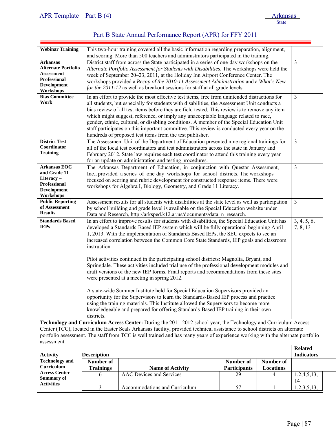| <b>Webinar Training</b>                                                                                                                                                                                                                                                                                                                                                                         |                                                                                                                                                                                                                                                                                                                                                                     | This two-hour training covered all the basic information regarding preparation, alignment,<br>and scoring. More than 500 teachers and administrators participated in the training.                                                                                                                                                                                                                                                                                                                                                                                                                                                                                                                                                          |                     |           |                                     |  |
|-------------------------------------------------------------------------------------------------------------------------------------------------------------------------------------------------------------------------------------------------------------------------------------------------------------------------------------------------------------------------------------------------|---------------------------------------------------------------------------------------------------------------------------------------------------------------------------------------------------------------------------------------------------------------------------------------------------------------------------------------------------------------------|---------------------------------------------------------------------------------------------------------------------------------------------------------------------------------------------------------------------------------------------------------------------------------------------------------------------------------------------------------------------------------------------------------------------------------------------------------------------------------------------------------------------------------------------------------------------------------------------------------------------------------------------------------------------------------------------------------------------------------------------|---------------------|-----------|-------------------------------------|--|
| <b>Arkansas</b><br><b>Alternate Portfolio</b><br><b>Assessment</b><br><b>Professional</b><br>Development<br>Workshops                                                                                                                                                                                                                                                                           |                                                                                                                                                                                                                                                                                                                                                                     | District staff from across the State participated in a series of one-day workshops on the<br>Alternate Portfolio Assessment for Students with Disabilities. The workshops were held the<br>week of September 20–23, 2011, at the Holiday Inn Airport Conference Center. The<br>workshops provided a Recap of the 2010-11 Assessment Administration and a What's New<br>for the 2011-12 as well as breakout sessions for staff at all grade levels.                                                                                                                                                                                                                                                                                          |                     |           | 3                                   |  |
| <b>Bias Committee</b><br>Work<br><b>District Test</b>                                                                                                                                                                                                                                                                                                                                           |                                                                                                                                                                                                                                                                                                                                                                     | 3<br>In an effort to provide the most effective test items, free from unintended distractions for<br>all students, but especially for students with disabilities, the Assessment Unit conducts a<br>bias review of all test items before they are field tested. This review is to remove any item<br>which might suggest, reference, or imply any unacceptable language related to race,<br>gender, ethnic, cultural, or disabling conditions. A member of the Special Education Unit<br>staff participates on this important committee. This review is conducted every year on the<br>hundreds of proposed test items from the test publisher.<br>The Assessment Unit of the Department of Education presented nine regional trainings for |                     |           |                                     |  |
| Coordinator<br><b>Training</b>                                                                                                                                                                                                                                                                                                                                                                  |                                                                                                                                                                                                                                                                                                                                                                     | all of the local test coordinators and test administrators across the state in January and<br>February 2012. State law requires each test coordinator to attend this training every year<br>for an update on administration and testing procedures.                                                                                                                                                                                                                                                                                                                                                                                                                                                                                         |                     |           | $\overline{\mathbf{3}}$             |  |
| <b>Arkansas EOC</b><br>and Grade 11<br>Literacy-<br><b>Professional</b><br><b>Development</b><br>Workshops                                                                                                                                                                                                                                                                                      |                                                                                                                                                                                                                                                                                                                                                                     | 3<br>The Arkansas Department of Education, in conjunction with Questar Assessment,<br>Inc., provided a series of one-day workshops for school districts. The workshops<br>focused on scoring and rubric development for constructed response items. There were<br>workshops for Algebra I, Biology, Geometry, and Grade 11 Literacy.                                                                                                                                                                                                                                                                                                                                                                                                        |                     |           |                                     |  |
| <b>Public Reporting</b><br>of Assessment<br><b>Results</b>                                                                                                                                                                                                                                                                                                                                      |                                                                                                                                                                                                                                                                                                                                                                     | Assessment results for all students with disabilities at the state level as well as participation<br>by school building and grade level is available on the Special Education website under<br>Data and Research, http://arksped.k12.ar.us/documents/data_n_research.                                                                                                                                                                                                                                                                                                                                                                                                                                                                       |                     |           | $\mathfrak{Z}$                      |  |
| <b>Standards Based</b><br><b>IEPs</b>                                                                                                                                                                                                                                                                                                                                                           | instruction.                                                                                                                                                                                                                                                                                                                                                        | In an effort to improve results for students with disabilities, the Special Education Unit has<br>3, 4, 5, 6,<br>developed a Standards-Based IEP system which will be fully operational beginning April<br>7, 8, 13<br>1, 2013. With the implementation of Standards Based IEPs, the SEU expects to see an<br>increased correlation between the Common Core State Standards, IEP goals and classroom                                                                                                                                                                                                                                                                                                                                        |                     |           |                                     |  |
|                                                                                                                                                                                                                                                                                                                                                                                                 |                                                                                                                                                                                                                                                                                                                                                                     | Pilot activities continued in the participating school districts: Magnolia, Bryant, and<br>Springdale. These activities included trial use of the professional development modules and<br>draft versions of the new IEP forms. Final reports and recommendations from these sites<br>were presented at a meeting in spring 2012.                                                                                                                                                                                                                                                                                                                                                                                                            |                     |           |                                     |  |
|                                                                                                                                                                                                                                                                                                                                                                                                 | A state-wide Summer Institute held for Special Education Supervisors provided an<br>opportunity for the Supervisors to learn the Standards-Based IEP process and practice<br>using the training materials. This Institute allowed the Supervisors to become more<br>knowledgeable and prepared for offering Standards-Based IEP training in their own<br>districts. |                                                                                                                                                                                                                                                                                                                                                                                                                                                                                                                                                                                                                                                                                                                                             |                     |           |                                     |  |
| Technology and Curriculum Access Center: During the 2011-2012 school year, the Technology and Curriculum Access<br>Center (TCC), located in the Easter Seals Arkansas facility, provided technical assistance to school districts on alternate<br>portfolio assessment. The staff from TCC is well trained and has many years of experience working with the alternate portfolio<br>assessment. |                                                                                                                                                                                                                                                                                                                                                                     |                                                                                                                                                                                                                                                                                                                                                                                                                                                                                                                                                                                                                                                                                                                                             |                     |           |                                     |  |
| <b>Activity</b>                                                                                                                                                                                                                                                                                                                                                                                 | <b>Description</b>                                                                                                                                                                                                                                                                                                                                                  |                                                                                                                                                                                                                                                                                                                                                                                                                                                                                                                                                                                                                                                                                                                                             |                     |           | <b>Related</b><br><b>Indicators</b> |  |
| <b>Technology and</b>                                                                                                                                                                                                                                                                                                                                                                           | Number of                                                                                                                                                                                                                                                                                                                                                           |                                                                                                                                                                                                                                                                                                                                                                                                                                                                                                                                                                                                                                                                                                                                             | Number of           | Number of |                                     |  |
| Curriculum                                                                                                                                                                                                                                                                                                                                                                                      | <b>Trainings</b>                                                                                                                                                                                                                                                                                                                                                    | <b>Name of Activity</b>                                                                                                                                                                                                                                                                                                                                                                                                                                                                                                                                                                                                                                                                                                                     | <b>Participants</b> | Locations |                                     |  |
| <b>Access Center</b><br><b>Summary of</b><br><b>Activities</b>                                                                                                                                                                                                                                                                                                                                  | 6                                                                                                                                                                                                                                                                                                                                                                   | <b>AAC Devices and Services</b>                                                                                                                                                                                                                                                                                                                                                                                                                                                                                                                                                                                                                                                                                                             | 29                  | 4         | 1,2,4,5,13,<br>14                   |  |
|                                                                                                                                                                                                                                                                                                                                                                                                 | $\mathfrak{Z}$                                                                                                                                                                                                                                                                                                                                                      | Accommodations and Curriculum                                                                                                                                                                                                                                                                                                                                                                                                                                                                                                                                                                                                                                                                                                               | 57                  | 1         | 1,2,3,5,13,                         |  |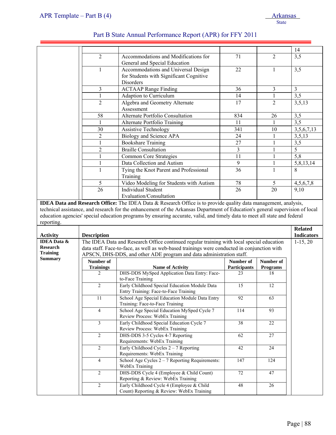|                                       |                                  |                                                                                                                                                                                          |                    |                       | 14                |
|---------------------------------------|----------------------------------|------------------------------------------------------------------------------------------------------------------------------------------------------------------------------------------|--------------------|-----------------------|-------------------|
|                                       | $\overline{2}$                   | Accommodations and Modifications for<br>General and Special Education                                                                                                                    | 71                 | $\overline{2}$        | 3,5               |
|                                       | 1                                | Accommodations and Universal Design<br>for Students with Significant Cognitive<br>Disorders                                                                                              | 22                 | 1                     | 3,5               |
|                                       | 3                                | <b>ACTAAP Range Finding</b>                                                                                                                                                              | 36                 | 3                     | $\mathfrak{Z}$    |
|                                       | $\mathbf{1}$                     | Adaption to Curriculum                                                                                                                                                                   | 14                 | $\mathbf{1}$          | 3,5               |
|                                       | $\overline{2}$                   | Algebra and Geometry Alternate<br>Assessment                                                                                                                                             | 17                 | $\overline{2}$        | 3,5,13            |
|                                       | 58                               | Alternate Portfolio Consultation                                                                                                                                                         | 834                | 26                    | 3,5               |
|                                       | 1                                | Alternate Portfolio Training                                                                                                                                                             | 11                 | 1                     | 3,5               |
|                                       | 30                               | <b>Assistive Technology</b>                                                                                                                                                              | 341                | 10                    | 3,5,6,7,13        |
|                                       | $\overline{2}$                   | Biology and Science APA                                                                                                                                                                  | 24                 | 1                     | 3,5,13            |
|                                       | $\mathbf{1}$                     | <b>Bookshare Training</b>                                                                                                                                                                | 27                 | $\mathbf{1}$          | 3,5               |
|                                       | 2                                | <b>Braille Consultation</b>                                                                                                                                                              | 3                  | 1                     | 5                 |
|                                       | 1                                | <b>Common Core Strategies</b>                                                                                                                                                            | 11                 | 1                     | 5,8               |
|                                       | 1                                | Data Collection and Autism                                                                                                                                                               | 9                  |                       | 5,8,13,14         |
|                                       | 1                                | Tying the Knot Parent and Professional<br>Training                                                                                                                                       | 36                 | 1                     | 8                 |
|                                       | 5                                | Video Modeling for Students with Autism                                                                                                                                                  | 78                 | 5                     | 4,5,6,7,8         |
|                                       | 26                               | <b>Individual Student</b>                                                                                                                                                                | 26                 | 20                    | 9,10              |
|                                       |                                  | Evaluation/Consultation<br><b>IDEA Data and Research Office:</b> The IDEA Data & Research Office is to provide quality data management, analysis,                                        |                    |                       |                   |
| reporting.                            |                                  | education agencies' special education programs by ensuring accurate, valid, and timely data to meet all state and federal                                                                |                    |                       |                   |
| <b>Activity</b><br><b>IDEA</b> Data & |                                  |                                                                                                                                                                                          |                    |                       | <b>Related</b>    |
|                                       | <b>Description</b>               |                                                                                                                                                                                          |                    |                       | <b>Indicators</b> |
| <b>Research</b><br><b>Training</b>    |                                  | The IDEA Data and Research Office continued regular training with local special education<br>data staff. Face-to-face, as well as web-based trainings were conducted in conjunction with |                    |                       | $1-15, 20$        |
| <b>Summary</b>                        |                                  | APSCN, DHS-DDS, and other ADE program and data administration staff.                                                                                                                     |                    |                       |                   |
|                                       | Number of                        | <b>Name of Activity</b>                                                                                                                                                                  | Number of          | Number of             |                   |
|                                       | <b>Trainings</b><br>2            | DHS-DDS MySped Application Data Entry: Face-<br>to-Face Training                                                                                                                         | Participants<br>23 | <b>Programs</b><br>18 |                   |
|                                       | $\overline{2}$                   | Early Childhood Special Education Module Data<br>Entry Training: Face-to-Face Training                                                                                                   | 15                 | $12\,$                |                   |
|                                       | 11                               | School Age Special Education Module Data Entry<br>Training: Face-to-Face Training                                                                                                        | $\overline{92}$    | 63                    |                   |
|                                       | $\overline{4}$                   | School Age Special Education MySped Cycle 7<br>Review Process: WebEx Training                                                                                                            | 114                | 93                    |                   |
|                                       | $\overline{\mathbf{3}}$          | Early Childhood Special Education Cycle 7<br>Review Process: WebEx Training                                                                                                              | $\overline{38}$    | 22                    |                   |
|                                       | $\overline{2}$                   | DHS-DDS 3-5 Cycles 4-7 Reporting<br>Requirements: WebEx Training                                                                                                                         | 62                 | 27                    |                   |
|                                       | $\overline{2}$                   | Early Childhood Cycles $2 - 7$ Reporting<br>Requirements: WebEx Training                                                                                                                 | 42                 | 24                    |                   |
|                                       | $\overline{4}$                   | School Age Cycles $2 - 7$ Reporting Requirements:<br>WebEx Training                                                                                                                      | 147                | 124                   |                   |
|                                       | $\overline{2}$<br>$\overline{2}$ | DHS-DDS Cycle 4 (Employee & Child Count)<br>Reporting & Review: WebEx Training<br>Early Childhood Cycle 4 (Employee & Child                                                              | 72<br>48           | 47<br>26              |                   |